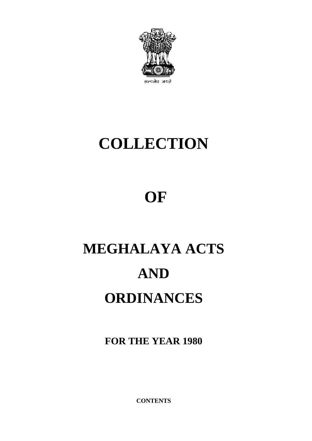

# **COLLECTION**

# **OF**

# **MEGHALAYA ACTS AND ORDINANCES**

**FOR THE YEAR 1980**

**CONTENTS**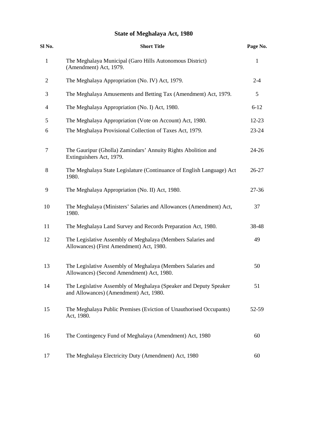# **State of Meghalaya Act, 1980**

| Sl No.         | <b>Short Title</b>                                                                                          | Page No.     |  |
|----------------|-------------------------------------------------------------------------------------------------------------|--------------|--|
| $\mathbf{1}$   | The Meghalaya Municipal (Garo Hills Autonomous District)<br>(Amendment) Act, 1979.                          | $\mathbf{1}$ |  |
| $\overline{2}$ | The Meghalaya Appropriation (No. IV) Act, 1979.                                                             | $2 - 4$      |  |
| 3              | The Meghalaya Amusements and Betting Tax (Amendment) Act, 1979.                                             | 5            |  |
| $\overline{4}$ | The Meghalaya Appropriation (No. I) Act, 1980.                                                              | $6 - 12$     |  |
| 5              | The Meghalaya Appropriation (Vote on Account) Act, 1980.                                                    | $12 - 23$    |  |
| 6              | The Meghalaya Provisional Collection of Taxes Act, 1979.                                                    | 23-24        |  |
| 7              | The Gauripur (Gholla) Zamindars' Annuity Rights Abolition and<br>Extinguishers Act, 1979.                   | 24-26        |  |
| 8              | The Meghalaya State Legislature (Continuance of English Language) Act<br>1980.                              | 26-27        |  |
| 9              | The Meghalaya Appropriation (No. II) Act, 1980.                                                             | 27-36        |  |
| 10             | The Meghalaya (Ministers' Salaries and Allowances (Amendment) Act,<br>1980.                                 | 37           |  |
| 11             | The Meghalaya Land Survey and Records Preparation Act, 1980.                                                | 38-48        |  |
| 12             | The Legislative Assembly of Meghalaya (Members Salaries and<br>Allowances) (First Amendment) Act, 1980.     | 49           |  |
| 13             | The Legislative Assembly of Meghalaya (Members Salaries and<br>Allowances) (Second Amendment) Act, 1980.    | 50           |  |
| 14             | The Legislative Assembly of Meghalaya (Speaker and Deputy Speaker<br>and Allowances) (Amendment) Act, 1980. | 51           |  |
| 15             | The Meghalaya Public Premises (Eviction of Unauthorised Occupants)<br>Act, 1980.                            | 52-59        |  |
| 16             | The Contingency Fund of Meghalaya (Amendment) Act, 1980                                                     | 60           |  |
| 17             | The Meghalaya Electricity Duty (Amendment) Act, 1980                                                        | 60           |  |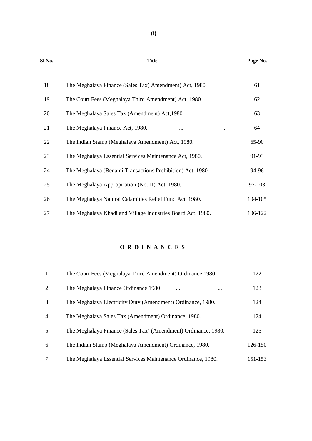| 18 | The Meghalaya Finance (Sales Tax) Amendment) Act, 1980      | 61      |
|----|-------------------------------------------------------------|---------|
| 19 | The Court Fees (Meghalaya Third Amendment) Act, 1980        | 62      |
| 20 | The Meghalaya Sales Tax (Amendment) Act, 1980               | 63      |
| 21 | The Meghalaya Finance Act, 1980.<br><br>$\cdots$            | 64      |
| 22 | The Indian Stamp (Meghalaya Amendment) Act, 1980.           | 65-90   |
| 23 | The Meghalaya Essential Services Maintenance Act, 1980.     | 91-93   |
| 24 | The Meghalaya (Benami Transactions Prohibition) Act, 1980   | 94-96   |
| 25 | The Meghalaya Appropriation (No.III) Act, 1980.             | 97-103  |
| 26 | The Meghalaya Natural Calamities Relief Fund Act, 1980.     | 104-105 |
| 27 | The Meghalaya Khadi and Village Industries Board Act, 1980. | 106-122 |

# **O R D I N A N C E S**

| 1              | The Court Fees (Meghalaya Third Amendment) Ordinance, 1980     | 122     |  |
|----------------|----------------------------------------------------------------|---------|--|
| $\overline{2}$ | The Meghalaya Finance Ordinance 1980<br>$\cdots$<br>$\cdots$   | 123     |  |
| 3              | The Meghalaya Electricity Duty (Amendment) Ordinance, 1980.    | 124     |  |
| $\overline{4}$ | The Meghalaya Sales Tax (Amendment) Ordinance, 1980.           | 124     |  |
| 5              | The Meghalaya Finance (Sales Tax) (Amendment) Ordinance, 1980. | 125     |  |
| 6              | The Indian Stamp (Meghalaya Amendment) Ordinance, 1980.        | 126-150 |  |
| 7              | The Meghalaya Essential Services Maintenance Ordinance, 1980.  | 151-153 |  |

#### **Sl No. Title Page No.**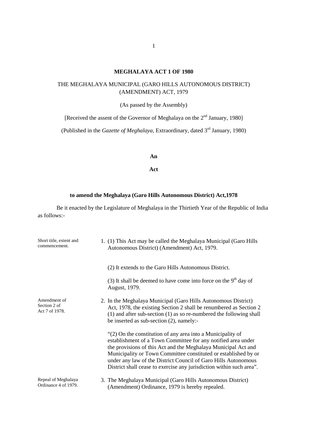# **MEGHALAYA ACT 1 OF 1980**

# THE MEGHALAYA MUNICIPAL (GARO HILLS AUTONOMOUS DISTRICT) (AMENDMENT) ACT, 1979

(As passed by the Assembly)

[Received the assent of the Governor of Meghalaya on the 2<sup>nd</sup> January, 1980]

(Published in the *Gazette of Meghalaya*, Extraordinary, dated 3rd January, 1980)

**An**

**Act**

# **to amend the Meghalaya (Garo Hills Autonomous District) Act,1978**

Be it enacted by the Legislature of Meghalaya in the Thirtieth Year of the Republic of India as follows:-

| Short title, extent and<br>commencement.       | 1. (1) This Act may be called the Meghalaya Municipal (Garo Hills<br>Autonomous District) (Amendment) Act, 1979.                                                                                                                                                                                                                                                                                            |
|------------------------------------------------|-------------------------------------------------------------------------------------------------------------------------------------------------------------------------------------------------------------------------------------------------------------------------------------------------------------------------------------------------------------------------------------------------------------|
|                                                | (2) It extends to the Garo Hills Autonomous District.                                                                                                                                                                                                                                                                                                                                                       |
|                                                | (3) It shall be deemed to have come into force on the $9th$ day of<br>August, 1979.                                                                                                                                                                                                                                                                                                                         |
| Amendment of<br>Section 2 of<br>Act 7 of 1978. | 2. In the Meghalaya Municipal (Garo Hills Autonomous District)<br>Act, 1978, the existing Section 2 shall be renumbered as Section 2<br>$(1)$ and after sub-section $(1)$ as so re-numbered the following shall<br>be inserted as $sub-section(2)$ , namely:-                                                                                                                                               |
|                                                | "(2) On the constitution of any area into a Municipality of<br>establishment of a Town Committee for any notified area under<br>the provisions of this Act and the Meghalaya Municipal Act and<br>Municipality or Town Committee constituted or established by or<br>under any law of the District Council of Garo Hills Autonomous<br>District shall cease to exercise any jurisdiction within such area". |
| Repeal of Meghalaya<br>Ordinance 4 of 1979.    | 3. The Meghalaya Municipal (Garo Hills Autonomous District)<br>(Amendment) Ordinance, 1979 is hereby repealed.                                                                                                                                                                                                                                                                                              |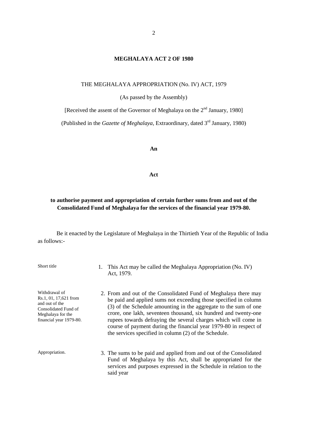#### **MEGHALAYA ACT 2 OF 1980**

#### THE MEGHALAYA APPROPRIATION (No. IV) ACT, 1979

(As passed by the Assembly)

[Received the assent of the Governor of Meghalaya on the 2<sup>nd</sup> January, 1980]

(Published in the *Gazette of Meghalaya*, Extraordinary, dated 3rd January, 1980)

**An**

#### **Act**

# **to authorise payment and appropriation of certain further sums from and out of the Consolidated Fund of Meghalaya for the services of the financial year 1979-80.**

Be it enacted by the Legislature of Meghalaya in the Thirtieth Year of the Republic of India as follows:-

| Short title                                                                                                                      | 1. | This Act may be called the Meghalaya Appropriation (No. IV)<br>Act, 1979.                                                                                                                                                                                                                                                                                                                                                                                                   |
|----------------------------------------------------------------------------------------------------------------------------------|----|-----------------------------------------------------------------------------------------------------------------------------------------------------------------------------------------------------------------------------------------------------------------------------------------------------------------------------------------------------------------------------------------------------------------------------------------------------------------------------|
| Withdrawal of<br>Rs.1, 01, 17,621 from<br>and out of the<br>Consolidated Fund of<br>Meghalaya for the<br>financial year 1979-80. |    | 2. From and out of the Consolidated Fund of Meghalaya there may<br>be paid and applied sums not exceeding those specified in column<br>(3) of the Schedule amounting in the aggregate to the sum of one<br>crore, one lakh, seventeen thousand, six hundred and twenty-one<br>rupees towards defraying the several charges which will come in<br>course of payment during the financial year 1979-80 in respect of<br>the services specified in column (2) of the Schedule. |
| Appropriation.                                                                                                                   |    | 3. The sums to be paid and applied from and out of the Consolidated<br>Fund of Meghalaya by this Act, shall be appropriated for the<br>services and purposes expressed in the Schedule in relation to the<br>said year                                                                                                                                                                                                                                                      |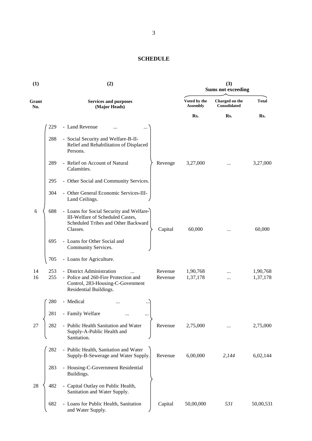# **SCHEDULE**

| (1)          |            | (2)                                                                                                                             | (3)<br><b>Sums not exceeding</b> |                                 |                                       |                      |
|--------------|------------|---------------------------------------------------------------------------------------------------------------------------------|----------------------------------|---------------------------------|---------------------------------------|----------------------|
| Grant<br>No. |            | <b>Services and purposes</b><br>(Major Heads)                                                                                   |                                  | Voted by the<br><b>Assembly</b> | Charged on the<br><b>Consolidated</b> | <b>Total</b>         |
|              |            |                                                                                                                                 |                                  | Rs.                             | Rs.                                   | Rs.                  |
|              | 229        | - Land Revenue                                                                                                                  |                                  |                                 |                                       |                      |
|              | 288        | - Social Security and Welfare-B-II-<br>Relief and Rehabilitation of Displaced<br>Persons.                                       |                                  |                                 |                                       |                      |
|              | 289        | - Relief on Account of Natural<br>Calamities.                                                                                   | Revenge                          | 3,27,000                        |                                       | 3,27,000             |
|              | 295        | - Other Social and Community Services.                                                                                          |                                  |                                 |                                       |                      |
|              | 304        | - Other General Economic Services-III-<br>Land Ceilings.                                                                        |                                  |                                 |                                       |                      |
| 6            | 688        | - Loans for Social Security and Welfare-<br>III-Welfare of Scheduled Castes,<br>Scheduled Tribes and Other Backward<br>Classes. | Capital                          | 60,000                          |                                       | 60,000               |
|              | 695        | - Loans for Other Social and<br>Community Services.                                                                             |                                  |                                 |                                       |                      |
|              | 705        | - Loans for Agriculture.                                                                                                        |                                  |                                 |                                       |                      |
| 14<br>16     | 253<br>255 | - District Administration<br>- Police and 260-Fire Protection and<br>Control, 283-Housing-C-Govenment<br>Residential Buildings. | Revenue<br>Revenue               | 1,90,768<br>1,37,178            |                                       | 1,90,768<br>1,37,178 |
|              | 280        | - Medical                                                                                                                       |                                  |                                 |                                       |                      |
|              | 281        | - Family Welfare                                                                                                                |                                  |                                 |                                       |                      |
| 27           | 282        | - Public Health Sanitation and Water<br>Supply-A-Public Health and<br>Sanitation.                                               | Revenue                          | 2,75,000                        |                                       | 2,75,000             |
|              | 282        | - Public Health, Sanitation and Water<br>Supply-B-Sewerage and Water Supply.                                                    | Revenue                          | 6,00,000                        | 2,144                                 | 6,02,144             |
|              | 283        | - Housing-C-Government Residential<br>Buildings.                                                                                |                                  |                                 |                                       |                      |
| 28           | 482        | - Capital Outlay on Public Health,<br>Sanitation and Water Supply.                                                              |                                  |                                 |                                       |                      |
|              | 682        | - Loans for Public Health, Sanitation<br>and Water Supply.                                                                      | Capital                          | 50,00,000                       | 531                                   | 50,00,531            |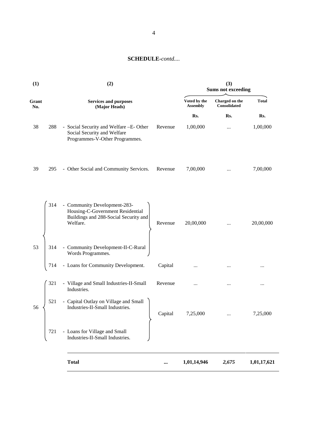| (1)          | (2)                                                                                                                   | (3)<br><b>Sums not exceeding</b> |                                 |                                |              |
|--------------|-----------------------------------------------------------------------------------------------------------------------|----------------------------------|---------------------------------|--------------------------------|--------------|
| Grant<br>No. | <b>Services and purposes</b><br>(Major Heads)                                                                         |                                  | Voted by the<br><b>Assembly</b> | Charged on the<br>Consolidated | <b>Total</b> |
|              |                                                                                                                       |                                  | Rs.                             | Rs.                            | Rs.          |
| 38<br>288    | - Social Security and Welfare -E-Other<br>Social Security and Welfare<br>Programmes-V-Other Programmes.               | Revenue                          | 1,00,000                        | $\cdots$                       | 1,00,000     |
| 39<br>295    | - Other Social and Community Services.                                                                                | Revenue                          | 7,00,000                        | $\cdots$                       | 7,00,000     |
| 314          | - Community Development-283-<br>Housing-C-Government Residential<br>Buildings and 288-Social Security and<br>Welfare. | Revenue                          | 20,00,000                       | $\cdots$                       | 20,00,000    |
| 53<br>314    | - Community Development-II-C-Rural<br>Words Programmes.                                                               |                                  |                                 |                                |              |
| 714          | - Loans for Community Development.                                                                                    | Capital                          |                                 |                                |              |
| 321          | - Village and Small Industries-II-Small<br>Industries.                                                                | Revenue                          |                                 |                                | $\cdots$     |
| 521<br>56    | - Capital Outlay on Village and Small<br>Industries-II-Small Industries.                                              | Capital                          | 7,25,000                        |                                | 7,25,000     |
| 721          | - Loans for Village and Small<br>Industries-II-Small Industries.                                                      |                                  |                                 |                                |              |
|              | <b>Total</b>                                                                                                          |                                  | 1,01,14,946                     | 2,675                          | 1,01,17,621  |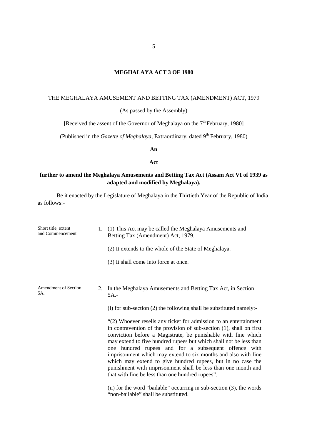# **MEGHALAYA ACT 3 OF 1980**

# THE MEGHALAYA AMUSEMENT AND BETTING TAX (AMENDMENT) ACT, 1979

(As passed by the Assembly)

[Received the assent of the Governor of Meghalaya on the  $7<sup>th</sup>$  February, 1980]

(Published in the *Gazette of Meghalaya*, Extraordinary, dated 9<sup>th</sup> February, 1980)

**An**

**Act**

# **further to amend the Meghalaya Amusements and Betting Tax Act (Assam Act VI of 1939 as adapted and modified by Meghalaya).**

Be it enacted by the Legislature of Meghalaya in the Thirtieth Year of the Republic of India as follows:-

| Short title, extent<br>and Commencement | 1. (1) This Act may be called the Meghalaya Amusements and<br>Betting Tax (Amendment) Act, 1979.                                                                                                                                                                                                                                                                                                                                                                                                                                                                                               |
|-----------------------------------------|------------------------------------------------------------------------------------------------------------------------------------------------------------------------------------------------------------------------------------------------------------------------------------------------------------------------------------------------------------------------------------------------------------------------------------------------------------------------------------------------------------------------------------------------------------------------------------------------|
|                                         | (2) It extends to the whole of the State of Meghalaya.                                                                                                                                                                                                                                                                                                                                                                                                                                                                                                                                         |
|                                         | (3) It shall come into force at once.                                                                                                                                                                                                                                                                                                                                                                                                                                                                                                                                                          |
|                                         |                                                                                                                                                                                                                                                                                                                                                                                                                                                                                                                                                                                                |
| Amendment of Section<br>5A.             | 2. In the Meghalaya Amusements and Betting Tax Act, in Section<br>$5A$ .-                                                                                                                                                                                                                                                                                                                                                                                                                                                                                                                      |
|                                         | $(i)$ for sub-section $(2)$ the following shall be substituted namely:-                                                                                                                                                                                                                                                                                                                                                                                                                                                                                                                        |
|                                         | "(2) Whoever resells any ticket for admission to an entertainment<br>in contravention of the provision of sub-section (1), shall on first<br>conviction before a Magistrate, be punishable with fine which<br>may extend to five hundred rupees but which shall not be less than<br>one hundred rupees and for a subsequent offence with<br>imprisonment which may extend to six months and also with fine<br>which may extend to give hundred rupees, but in no case the<br>punishment with imprisonment shall be less than one month and<br>that with fine be less than one hundred rupees". |
|                                         | (ii) for the word "bailable" occurring in sub-section $(3)$ , the words<br>"non-bailable" shall be substituted.                                                                                                                                                                                                                                                                                                                                                                                                                                                                                |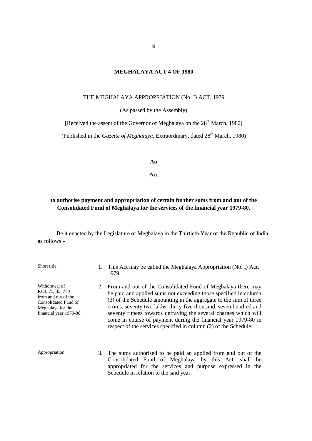#### **MEGHALAYA ACT 4 OF 1980**

#### THE MEGHALAYA APPROPRIATION (No. I) ACT, 1979

(As passed by the Assembly)

[Received the assent of the Governor of Meghalaya on the  $28<sup>th</sup>$  March, 1980]

(Published in the *Gazette of Meghalaya*, Extraordinary, dated 28<sup>th</sup> March, 1980)

**An**

#### **Act**

# **to authorise payment and appropriation of certain further sums from and out of the Consolidated Fund of Meghalaya for the services of the financial year 1979-80.**

Be it enacted by the Legislature of Meghalaya in the Thirtieth Year of the Republic of India as follows:-

Short title 1. This Act may be called the Meghalaya Appropriation (No. I) Act, 1979. Withdrawal of Rs.3, 75, 35, 770 from and out of the Consolidated Fund of Meghalaya for the financial year 1979-80. 2. From and out of the Consolidated Fund of Meghalaya there may be paid and applied sums not exceeding those specified in column (3) of the Schedule amounting in the aggregate to the sum of three crores, seventy two lakhs, thirty-five thousand, seven hundred and seventy rupees towards defraying the several charges which will come in course of payment during the financial year 1979-80 in respect of the services specified in column (2) of the Schedule. Appropriation. 3. The sums authorised to be paid an applied from and out of the Consolidated Fund of Meghalaya by this Act, shall be appropriated for the services and purpose expressed in the Schedule in relation to the said year.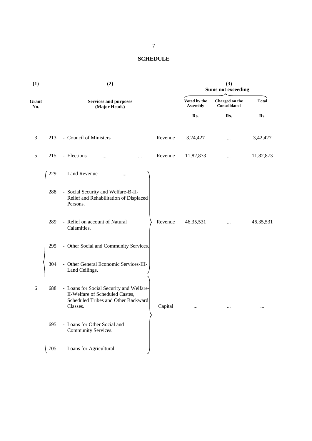# **SCHEDULE**

| (1)          |     | (2)                                                                                                                            |         |                                 | (3)<br><b>Sums not exceeding</b>      |              |
|--------------|-----|--------------------------------------------------------------------------------------------------------------------------------|---------|---------------------------------|---------------------------------------|--------------|
| Grant<br>No. |     | <b>Services and purposes</b><br>(Major Heads)                                                                                  |         | Voted by the<br><b>Assembly</b> | Charged on the<br><b>Consolidated</b> | <b>Total</b> |
|              |     |                                                                                                                                |         | Rs.                             | Rs.                                   | Rs.          |
| 3            | 213 | - Council of Ministers                                                                                                         | Revenue | 3,24,427                        | $\cdots$                              | 3,42,427     |
| 5            | 215 | - Elections<br><br>                                                                                                            | Revenue | 11,82,873                       | $\cdots$                              | 11,82,873    |
|              | 229 | - Land Revenue<br>$\cdots$                                                                                                     |         |                                 |                                       |              |
|              | 288 | - Social Security and Welfare-B-II-<br>Relief and Rehabilitation of Displaced<br>Persons.                                      |         |                                 |                                       |              |
|              | 289 | - Relief on account of Natural<br>Calamities.                                                                                  | Revenue | 46, 35, 531                     |                                       | 46, 35, 531  |
|              | 295 | - Other Social and Community Services.                                                                                         |         |                                 |                                       |              |
|              | 304 | - Other General Economic Services-III-<br>Land Ceilings.                                                                       |         |                                 |                                       |              |
| 6            | 688 | - Loans for Social Security and Welfare-<br>II-Welfare of Scheduled Castes,<br>Scheduled Tribes and Other Backward<br>Classes. | Capital | $\cdots$                        |                                       | $\cdots$     |
|              | 695 | - Loans for Other Social and<br>Community Services.                                                                            |         |                                 |                                       |              |
|              | 705 | - Loans for Agricultural                                                                                                       |         |                                 |                                       |              |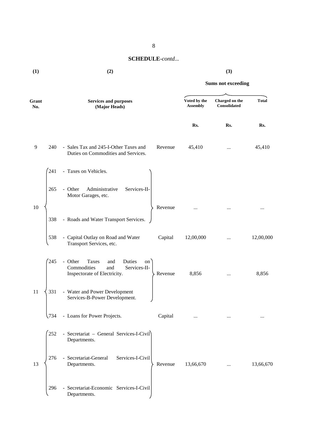#### **(1) (2) (3)**

# **Sums not exceeding Grant No. Services and purposes (Major Heads) Voted by the Assembly Charged on the Consolidated Total Rs. Rs. Rs.** 9 240 - Sales Tax and 245-I-Other Taxes and Duties on Commodities and Services. Revenue 45,410 *...* 45,410 241 - Taxes on Vehicles. 10 265 - Other Administrative Services-II- Motor Garages, etc. Revenue ... ... ... ... ... ... 338 - Roads and Water Transport Services. 538 - Capital Outlay on Road and Water Transport Services, etc. Capital 12,00,000 *...* 12,00,000 245 - Other Taxes and Duties on Commodities and Services-II-Inspectorate of Electricity.  $\searrow$  Revenue 8,856 ... 8,856 11  $\langle 331 \rangle$  - Water and Power Development Services-B-Power Development. 734 - Loans for Power Projects. Capital ... *...* ... 252 - Secretariat – General Services-I-Civil Departments. 13 276 - Secretariat-General Services-I-Civil Departments. Revenue 13,66,670 *...* 13,66,670 296 - Secretariat-Economic Services-I-Civil Departments.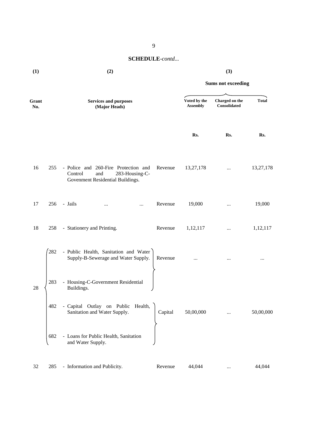**Sums not exceeding**

# **Grant No. Services and purposes (Major Heads) Voted by the Assembly Charged on the Consolidated Total Rs. Rs. Rs.** 16 255 - Police and 260-Fire Protection and Control and 283-Housing-C- Govenment Residential Buildings. Revenue 13,27,178 *...* 13,27,178 17 256 - Jails ... ... Revenue 19,000 *...* 19,000 18 258 - Stationery and Printing. Revenue 1,12,117 *...* 1,12,117 282 - Public Health, Sanitation and Water Supply-B-Sewerage and Water Supply. Revenue ... **...** ... ... ... ... ... ... ... 28 283 - Housing-C-Government Residential Buildings. 482 - Capital Outlay on Public Health, Sanitation and Water Supply. Capital 50,00,000 *...* 50,00,000 682 - Loans for Public Health, Sanitation and Water Supply. 32 285 - Information and Publicity. Revenue 44,044 *...* 44,044

9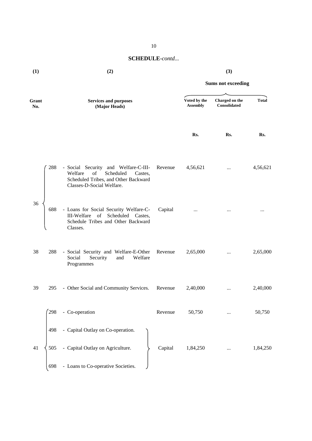| (1) | (2) | (3) |
|-----|-----|-----|
|     |     |     |

|              |     |                                                                                                                                                    |         |                                 | <b>Sums not exceeding</b>      |              |
|--------------|-----|----------------------------------------------------------------------------------------------------------------------------------------------------|---------|---------------------------------|--------------------------------|--------------|
| Grant<br>No. |     | <b>Services and purposes</b><br>(Major Heads)                                                                                                      |         | Voted by the<br><b>Assembly</b> | Charged on the<br>Consolidated | <b>Total</b> |
|              |     |                                                                                                                                                    |         | Rs.                             | Rs.                            | Rs.          |
|              | 288 | - Social Security and Welfare-C-III-<br>Scheduled<br>Welfare<br>of<br>Castes,<br>Scheduled Tribes, and Other Backward<br>Classes-D-Social Welfare. | Revenue | 4,56,621                        | $\cdots$                       | 4,56,621     |
| 36           | 688 | - Loans for Social Security Welfare-C-<br>of Scheduled Castes,<br>III-Welfare<br>Schedule Tribes and Other Backward<br>Classes.                    | Capital | $\cdots$                        | $\cdots$                       | $\cdots$     |
| 38           | 288 | - Social Security and Welfare-E-Other<br>Social<br>Security<br>Welfare<br>and<br>Programmes                                                        | Revenue | 2,65,000                        | $\cdots$                       | 2,65,000     |
| 39           | 295 | - Other Social and Community Services.                                                                                                             | Revenue | 2,40,000                        | $\cdots$                       | 2,40,000     |
|              | 298 | - Co-operation                                                                                                                                     | Revenue | 50,750                          | $\ldots$                       | 50,750       |
|              | 498 | - Capital Outlay on Co-operation.                                                                                                                  |         |                                 |                                |              |
| 41           | 505 | - Capital Outlay on Agriculture.                                                                                                                   | Capital | 1,84,250                        |                                | 1,84,250     |
|              | 698 | - Loans to Co-operative Societies.                                                                                                                 |         |                                 |                                |              |

10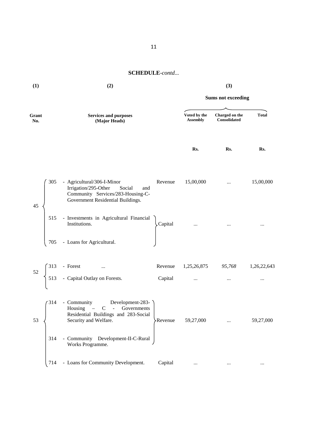| (1)          |            | (2)                                                                                                                                                              |                    |                                 | (3)                            |                         |
|--------------|------------|------------------------------------------------------------------------------------------------------------------------------------------------------------------|--------------------|---------------------------------|--------------------------------|-------------------------|
|              |            |                                                                                                                                                                  |                    |                                 | <b>Sums not exceeding</b>      |                         |
| Grant<br>No. |            | <b>Services and purposes</b><br>(Major Heads)                                                                                                                    |                    | Voted by the<br><b>Assembly</b> | Charged on the<br>Consolidated | <b>Total</b>            |
|              |            |                                                                                                                                                                  |                    | Rs.                             | Rs.                            | Rs.                     |
| 45           | 305        | - Agricultural/306-I-Minor<br>Irrigation/295-Other<br>Social<br>and<br>Community Services/283-Housing-C-<br>Government Residential Buildings.                    | Revenue            | 15,00,000                       | $\cdots$                       | 15,00,000               |
|              | 515<br>705 | - Investments in Agricultural Financial<br>Institutions.<br>- Loans for Agricultural.                                                                            | Capital            |                                 |                                |                         |
|              |            |                                                                                                                                                                  |                    |                                 |                                |                         |
| 52           |            | 313 - Forest<br>513 - Capital Outlay on Forests.                                                                                                                 | Revenue<br>Capital | 1,25,26,875 95,768<br>$\cdots$  | $\cdots$                       | 1,26,22,643<br>$\cdots$ |
| 53           | 314<br>314 | - Community Development-283-<br>Housing – C - Governments<br>Residential Buildings and 283-Social<br>Security and Welfare.<br>- Community Development-II-C-Rural | Revenue            | 59,27,000                       |                                | 59,27,000               |
|              | 714        | Works Programme.<br>- Loans for Community Development.                                                                                                           | Capital            | $\cdots$                        | $\cdots$                       | $\cdots$                |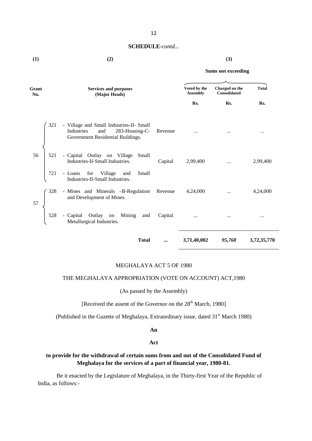| (1) | (2) | (3) |
|-----|-----|-----|

#### **Sums not exceeding**

| Grant<br>No. | <b>Services and purposes</b><br>(Major Heads)                                                                        |          | Voted by the<br><b>Assembly</b> | Charged on the<br>Consolidated | <b>Total</b> |
|--------------|----------------------------------------------------------------------------------------------------------------------|----------|---------------------------------|--------------------------------|--------------|
|              |                                                                                                                      |          | Rs.                             | Rs.                            | Rs.          |
| 321          | - Village and Small Industries-II- Small<br>Industries<br>and<br>283-Housing-C-<br>Government Residential Buildings. | Revenue  | $\cdots$                        |                                | $\cdots$     |
| 56<br>521    | - Capital Outlay on Village<br>Small<br>Industries-II-Small Industries.                                              | Capital  | 2,99,400                        | $\cdots$                       | 2,99,400     |
| 721          | - Loans for Village<br>and<br>Small<br>Industries-II-Small Industries.                                               |          |                                 |                                |              |
| 328<br>57    | - Mines and Minerals -B-Regulation Revenue<br>and Development of Mines.                                              |          | 4,24,000                        | $\cdots$                       | 4,24,000     |
| 528          | - Capital Outlay on Mining<br>and<br>Metallurgical Industries.                                                       | Capital  | $\cdots$                        | $\cdots$                       | $\cdots$     |
|              | <b>Total</b>                                                                                                         | $\cdots$ | 3,71,40,002                     | 95,768                         | 3,72,35,770  |

### MEGHALAYA ACT 5 OF 1980

#### THE MEGHALAYA APPROPRIATION (VOTE ON ACCOUNT) ACT,1980

(As passed by the Assembly)

[Received the assent of the Governor on the  $28<sup>th</sup>$  March, 1980]

(Published in the Gazette of Meghalaya, Extraordinary issue, dated 31<sup>st</sup> March 1980)

#### **An**

#### **Act**

# **to provide for the withdrawal of certain sums from and out of the Consolidated Fund of Meghalaya for the services of a part of financial year, 1980-81.**

Be it enacted by the Legislature of Meghalaya, in the Thirty-first Year of the Republic of India, as follows:-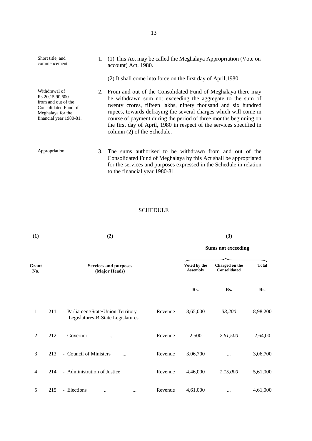| Short title, and<br>commencement                                                                                                | 1. (1) This Act may be called the Meghalaya Appropriation (Vote on<br>account) Act, 1980.<br>(2) It shall come into force on the first day of April, 1980.                                                                                                                                                                                                                                                                                    |
|---------------------------------------------------------------------------------------------------------------------------------|-----------------------------------------------------------------------------------------------------------------------------------------------------------------------------------------------------------------------------------------------------------------------------------------------------------------------------------------------------------------------------------------------------------------------------------------------|
| Withdrawal of<br>Rs.20,15,90,600<br>from and out of the<br>Consolidated Fund of<br>Meghalaya for the<br>financial year 1980-81. | 2. From and out of the Consolidated Fund of Meghalaya there may<br>be withdrawn sum not exceeding the aggregate to the sum of<br>twenty crores, fifteen lakhs, ninety thousand and six hundred<br>rupees, towards defraying the several charges which will come in<br>course of payment during the period of three months beginning on<br>the first day of April, 1980 in respect of the services specified in<br>column (2) of the Schedule. |
| Appropriation.                                                                                                                  | 3. The sums authorised to be withdrawn from and out of the<br>Consolidated Fund of Meghalaya by this Act shall be appropriated<br>for the services and purposes expressed in the Schedule in relation<br>to the financial year 1980-81.                                                                                                                                                                                                       |

# SCHEDULE

| (1)            |     | (2)                                                                      | (3)     |                                 |                                       |              |
|----------------|-----|--------------------------------------------------------------------------|---------|---------------------------------|---------------------------------------|--------------|
|                |     |                                                                          |         | <b>Sums not exceeding</b>       |                                       |              |
| Grant<br>No.   |     | <b>Services and purposes</b><br>(Major Heads)                            |         | Voted by the<br><b>Assembly</b> | Charged on the<br><b>Consolidated</b> | <b>Total</b> |
|                |     |                                                                          |         | Rs.                             | Rs.                                   | Rs.          |
| 1              | 211 | - Parliament/State/Union Territory<br>Legislatures-B-State Legislatures. | Revenue | 8,65,000                        | 33,200                                | 8,98,200     |
| $\overline{c}$ | 212 | - Governor<br>$\cdots$                                                   | Revenue | 2,500                           | 2,61,500                              | 2,64,00      |
| 3              | 213 | - Council of Ministers<br>$\cdots$                                       | Revenue | 3,06,700                        | $\cdots$                              | 3,06,700     |
| $\overline{4}$ | 214 | - Administration of Justice                                              | Revenue | 4,46,000                        | 1,15,000                              | 5,61,000     |
| 5              | 215 | - Elections<br>$\ddotsc$<br>                                             | Revenue | 4,61,000                        | $\cdots$                              | 4,61,000     |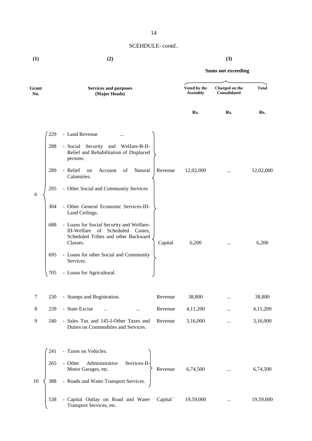| (1) | (2) | (3) |
|-----|-----|-----|
|     |     |     |

| Grant<br>No. |     | <b>Services and purposes</b><br>(Major Heads)                                                                                         |         | Voted by the<br><b>Assembly</b> | Charged on the<br><b>Consolidated</b> | <b>Total</b> |
|--------------|-----|---------------------------------------------------------------------------------------------------------------------------------------|---------|---------------------------------|---------------------------------------|--------------|
|              |     |                                                                                                                                       |         | Rs.                             | Rs.                                   | Rs.          |
|              | 229 | - Land Revenue<br>                                                                                                                    |         |                                 |                                       |              |
|              | 288 | - Social Security and Welfare-B-II-<br>Relief and Rehabilitation of Displaced<br>persons.                                             |         |                                 |                                       |              |
|              | 289 | - Relief<br>Natural<br>Account<br>of<br>on<br>Calamities.                                                                             | Revenue | 12,02,000                       | $\cdots$                              | 12,02,000    |
| 6            | 295 | - Other Social and Community Services                                                                                                 |         |                                 |                                       |              |
|              | 304 | - Other General Economic Services-III-<br>Land Ceilings.                                                                              |         |                                 |                                       |              |
|              | 688 | - Loans for Social Security and Welfare-<br>Scheduled<br>III-Welfare of<br>Castes,<br>Scheduled Tribes and other Backward<br>Classes. | Capital | 6,200                           |                                       | 6,200        |
|              | 695 | - Loans for other Social and Community<br>Services.                                                                                   |         |                                 |                                       |              |
|              | 705 | - Loans for Agricultural.                                                                                                             |         |                                 |                                       |              |
| 7            | 230 | - Stamps and Registration.                                                                                                            | Revenue | 38,800                          |                                       | 38,800       |
| 8            | 239 | - State Excise<br>$\cdots$                                                                                                            | Revenue | 4,11,200                        |                                       | 4,11,200     |
| 9            | 240 | - Sales Tax and 145-I-Other Taxes and Revenue<br>Duties on Commodities and Services.                                                  |         | 3,16,000                        | $\cdots$                              | 3,16,000     |
|              | 241 | - Taxes on Vehicles.                                                                                                                  |         |                                 |                                       |              |
|              | 265 | Services-II-<br>- Other<br>Administrative<br>Motor Garages, etc.                                                                      | Revenue | 6,74,500                        |                                       | 6,74,500     |
| 10           | 388 | - Roads and Water Transport Services.                                                                                                 |         |                                 |                                       |              |
|              | 538 | - Capital Outlay on Road and Water Capital<br>Transport Services, etc.                                                                |         | 19,59,000                       | $\cdots$                              | 19,59,000    |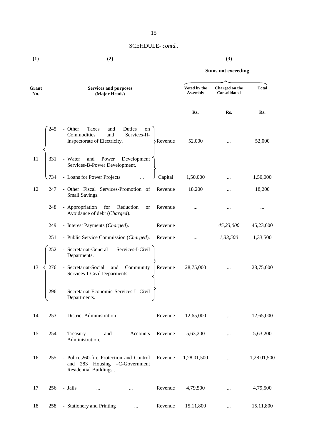# 15

# SCEHDULE- *contd..*

**(1) (2) (3)**

| Grant<br>No. |       | <b>Services and purposes</b><br>(Major Heads)                                                                             | Voted by the<br><b>Assembly</b> | Charged on the<br>Consolidated | <b>Total</b> |  |
|--------------|-------|---------------------------------------------------------------------------------------------------------------------------|---------------------------------|--------------------------------|--------------|--|
|              |       |                                                                                                                           | Rs.                             | Rs.                            | Rs.          |  |
|              | 245   | - Other<br>Taxes<br>Duties<br>and<br>on<br>Commodities<br>Services-II-<br>and<br>Inspectorate of Electricity.<br>-Revenue | 52,000                          |                                | 52,000       |  |
| 11           | 331   | - Water<br>Power<br>Development<br>and<br>Services-B-Power Development.                                                   |                                 |                                |              |  |
|              | \ 734 | - Loans for Power Projects<br>Capital                                                                                     | 1,50,000                        |                                | 1,50,000     |  |
| 12           | 247   | - Other Fiscal Services-Promotion of<br>Revenue<br>Small Savings.                                                         | 18,200                          |                                | 18,200       |  |
|              | 248   | - Appropriation<br>for<br>Reduction<br>Revenue<br>or<br>Avoidance of debt (Charged).                                      |                                 |                                |              |  |
|              | 249   | - Interest Payments (Charged).<br>Revenue                                                                                 |                                 | 45,23,000                      | 45,23,000    |  |
|              | 251   | - Public Service Commission (Charged).<br>Revenue                                                                         | $\cdots$                        | 1,33,500                       | 1,33,500     |  |
|              | 252   | - Secretariat-General Services-I-Civil<br>Deparments.                                                                     |                                 |                                |              |  |
| 13           | 276   | - Secretariat-Social<br>and<br>Community<br>Revenue<br>Services-I-Civil Deparments.                                       | 28,75,000                       |                                | 28,75,000    |  |
|              | 296   | - Secretariat-Economic Services-I- Civil<br>Departments.                                                                  |                                 |                                |              |  |
| 14           | 253   | - District Administration<br>Revenue                                                                                      | 12,65,000                       | $\cdots$                       | 12,65,000    |  |
| 15           | 254   | - Treasury<br>and<br>Accounts<br>Revenue<br>Administration.                                                               | 5,63,200                        |                                | 5,63,200     |  |
| 16           | 255   | - Police, 260-fire Protection and Control<br>Revenue<br>and 283 Housing -C-Government<br>Residential Buildings            | 1,28,01,500                     |                                | 1,28,01,500  |  |
| 17           | 256   | - Jails<br>Revenue<br>$\cdots$                                                                                            | 4,79,500                        |                                | 4,79,500     |  |
| 18           | 258   | - Stationery and Printing<br>Revenue<br>$\cdots$                                                                          | 15,11,800                       | $\cdots$                       | 15,11,800    |  |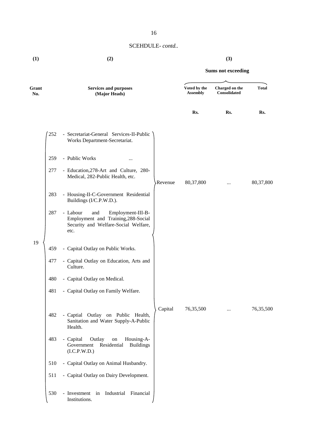| Grant<br>No. |     | <b>Services and purposes</b><br>(Major Heads)                                                                               |         | Voted by the<br><b>Assembly</b> | Charged on the<br>Consolidated | <b>Total</b> |
|--------------|-----|-----------------------------------------------------------------------------------------------------------------------------|---------|---------------------------------|--------------------------------|--------------|
|              |     |                                                                                                                             |         | Rs.                             | Rs.                            | Rs.          |
|              | 252 | - Secretariat-General Services-II-Public<br>Works Department-Secretariat.                                                   |         |                                 |                                |              |
|              | 259 | - Public Works<br>                                                                                                          |         |                                 |                                |              |
|              | 277 | - Education, 278-Art and Culture, 280-<br>Medical, 282-Public Health, etc.                                                  | Revenue | 80,37,800                       |                                | 80,37,800    |
|              | 283 | - Housing-II-C-Government Residential<br>Buildings (I/C.P.W.D.).                                                            |         |                                 |                                |              |
|              | 287 | - Labour<br>Employment-III-B-<br>and<br>Employment and Training, 288-Social<br>Security and Welfare-Social Welfare,<br>etc. |         |                                 |                                |              |
| 19           | 459 | - Capital Outlay on Public Works.                                                                                           |         |                                 |                                |              |
|              | 477 | - Capital Outlay on Education, Arts and<br>Culture.                                                                         |         |                                 |                                |              |
|              | 480 | - Capital Outlay on Medical.                                                                                                |         |                                 |                                |              |
|              | 481 | - Capital Outlay on Family Welfare.                                                                                         |         |                                 |                                |              |
|              | 482 | - Captial Outlay on Public Health,<br>Sanitation and Water Supply-A-Public<br>Health.                                       | Capital | 76,35,500                       |                                | 76,35,500    |
|              | 483 | - Capital<br>Outlay<br>Housing-A-<br>$\,$ on<br>Government<br>Residential<br><b>Buildings</b><br>(I.C.P.W.D.)               |         |                                 |                                |              |
|              | 510 | - Capital Outlay on Animal Husbandry.                                                                                       |         |                                 |                                |              |
|              | 511 | - Capital Outlay on Dairy Development.                                                                                      |         |                                 |                                |              |
|              | 530 | - Investment in Industrial<br>Financial<br>Institutions.                                                                    |         |                                 |                                |              |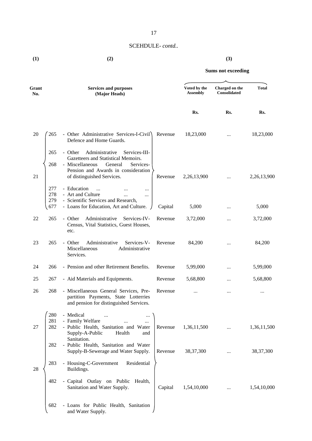**(1) (2) (3)**

| Grant<br>No. |                          | <b>Services and purposes</b><br>(Major Heads)                                                                                                                                                     |         | Voted by the<br><b>Assembly</b> | Charged on the<br><b>Consolidated</b> | <b>Total</b> |
|--------------|--------------------------|---------------------------------------------------------------------------------------------------------------------------------------------------------------------------------------------------|---------|---------------------------------|---------------------------------------|--------------|
|              |                          |                                                                                                                                                                                                   |         | Rs.                             | Rs.                                   | Rs.          |
| 20           | 265                      | - Other Administrative Services-I-Civil<br>Defence and Home Guards.                                                                                                                               | Revenue | 18,23,000                       |                                       | 18,23,000    |
| 21           | 265<br>268               | Administrative<br>- Other<br>Services-III-<br>Gazetteers and Statistical Memoirs.<br>- Miscellaneous<br>General<br>Services-<br>Pension and Awards in consideration<br>of distinguished Services. | Revenue | 2,26,13,900                     | $\cdots$                              | 2,26,13,900  |
|              | 277<br>278<br>279<br>677 | - Education<br>$\ddots$<br>$\cdots$<br>- Art and Culture<br>$\ldots$<br>- Scientific Services and Research,<br>- Loans for Education, Art and Culture.                                            | Capital | 5,000                           | $\cdots$                              | 5,000        |
| 22           | 265                      | Administrative<br>Services-IV-<br>- Other<br>Census, Vital Statistics, Guest Houses,<br>etc.                                                                                                      | Revenue | 3,72,000                        | $\cdots$                              | 3,72,000     |
| 23           | 265                      | Administrative<br>Services-V-<br>- Other<br>Miscellaneous<br>Administrative<br>Services.                                                                                                          | Revenue | 84,200                          |                                       | 84,200       |
| 24           | 266                      | - Pension and other Retirement Benefits.                                                                                                                                                          | Revenue | 5,99,000                        |                                       | 5,99,000     |
| 25           | 267                      | - Aid Materials and Equipments.                                                                                                                                                                   | Revenue | 5,68,800                        | $\cdots$                              | 5,68,800     |
| 26           | 268                      | - Miscellaneous General Services, Pre-<br>partition Payments, State Lotterries<br>and pension for distinguished Services.                                                                         | Revenue |                                 |                                       |              |
| 27           | 280<br>281<br>282        | - Medical<br>- Family Welfare<br>$\cdots$<br>- Public Health, Sanitation and Water<br>Supply-A-Public<br>Health<br>and                                                                            | Revenue | 1,36,11,500                     |                                       | 1,36,11,500  |
|              | 282                      | Sanitation.<br>- Public Health, Sanitation and Water<br>Supply-B-Sewerage and Water Supply.                                                                                                       | Revenue | 38, 37, 300                     |                                       | 38, 37, 300  |
| 28           | 283                      | - Housing-C-Government<br>Residential<br>Buildings.                                                                                                                                               |         |                                 |                                       |              |
|              | 482                      | - Capital Outlay on Public Health,<br>Sanitation and Water Supply.                                                                                                                                | Capital | 1,54,10,000                     |                                       | 1,54,10,000  |
|              | 682                      | - Loans for Public Health, Sanitation<br>and Water Supply.                                                                                                                                        |         |                                 |                                       |              |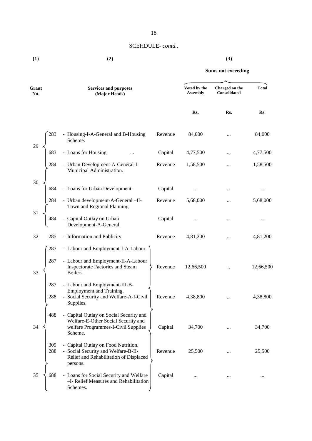**(1) (2) (3)**

| Grant<br>No. |            | <b>Services and purposes</b><br>(Major Heads)                                                                                     |         | Voted by the<br><b>Assembly</b> | Charged on the<br>Consolidated | <b>Total</b> |  |
|--------------|------------|-----------------------------------------------------------------------------------------------------------------------------------|---------|---------------------------------|--------------------------------|--------------|--|
|              |            |                                                                                                                                   |         | Rs.                             | Rs.                            | Rs.          |  |
|              | 283        | - Housing-I-A-General and B-Housing<br>Scheme.                                                                                    | Revenue | 84,000                          |                                | 84,000       |  |
| 29           | 683        | - Loans for Housing                                                                                                               | Capital | 4,77,500                        |                                | 4,77,500     |  |
|              | 284        | - Urban Development-A-General-I-<br>Municipal Administration.                                                                     | Revenue | 1,58,500                        |                                | 1,58,500     |  |
| 30           | 684        | - Loans for Urban Development.                                                                                                    | Capital |                                 |                                | $\cdots$     |  |
| 31           | 284        | - Urban development-A-General -II-<br>Town and Regional Planning.                                                                 | Revenue | 5,68,000                        |                                | 5,68,000     |  |
|              | 484        | Capital Outlay on Urban<br>Development-A-General.                                                                                 | Capital |                                 |                                |              |  |
| 32           | 285        | - Information and Publicity.                                                                                                      | Revenue | 4,81,200                        |                                | 4,81,200     |  |
| 33           | 287<br>287 | - Labour and Employment-I-A-Labour.<br>- Labour and Employment-II-A-Labour<br><b>Inspectorate Factories and Steam</b><br>Boilers. | Revenue | 12,66,500                       |                                | 12,66,500    |  |
|              | 287<br>288 | - Labour and Employment-III-B-<br>Employment and Training.<br>- Social Security and Welfare-A-I-Civil<br>Supplies.                | Revenue | 4,38,800                        |                                | 4,38,800     |  |
| 34           | 488        | - Capital Outlay on Social Security and<br>Welfare-E-Other Social Security and<br>welfare Programmes-I-Civil Supplies<br>Scheme.  | Capital | 34,700                          |                                | 34,700       |  |
|              | 309<br>288 | - Capital Outlay on Food Nutrition.<br>- Social Security and Welfare-B-II-<br>Relief and Rehabilitation of Displaced<br>persons.  | Revenue | 25,500                          |                                | 25,500       |  |
| 35           | 688        | - Loans for Social Security and Welfare<br>-I- Relief Measures and Rehabilitation<br>Schemes.                                     | Capital |                                 |                                |              |  |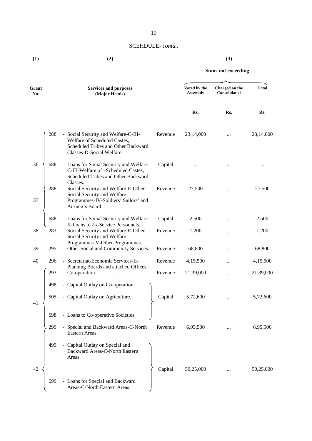**(1) (2) (3)**

| Grant<br>No. |     | <b>Services and purposes</b><br>(Major Heads)                                                                                            |         | Voted by the<br><b>Assembly</b> | Charged on the<br><b>Consolidated</b> | <b>Total</b> |  |
|--------------|-----|------------------------------------------------------------------------------------------------------------------------------------------|---------|---------------------------------|---------------------------------------|--------------|--|
|              |     |                                                                                                                                          |         | Rs.                             | Rs.                                   | Rs.          |  |
|              | 288 | - Social Security and Welfare-C-III-<br>Welfare of Scheduled Castes,<br>Scheduled Tribes and Other Backward<br>Classes-D-Social Welfare. | Revenue | 23,14,000                       |                                       | 23,14,000    |  |
| 36           | 688 | - Loans for Social Security and Welfare-<br>C-III-Welfare of -Scheduled Castes,<br>Scheduled Tribes and Other Backward<br>Classes.       | Capital |                                 |                                       |              |  |
| 37           | 288 | - Social Security and Welfare-E-Other<br>Social Security and Welfare<br>Programmes-IV-Soldiers' Sailors' and<br>Airmen's Board.          | Revenue | 27,500                          |                                       | 27,500       |  |
|              | 688 | - Loans for Social Security and Welfare-<br>II-Loans to Ex-Service Personnels.                                                           | Capital | 2,500                           |                                       | 2,500        |  |
| 38           | 283 | - Social Security and Welfare-E-Other<br>Social Security and Welfare<br>Programmes-V-Other Programmes.                                   | Revenue | 1,200                           |                                       | 1,200        |  |
| 39           | 295 | - Other Social and Community Services.                                                                                                   | Revenue | 68,800                          |                                       | 68,800       |  |
| 40           | 296 | - Secretariat-Economic Services-II-<br>Planning Boards and attached Offices.                                                             | Revenue | 4,15,500                        |                                       | 4,15,500     |  |
|              | 293 | - Co-operation<br>                                                                                                                       | Revenue | 21,39,000                       | $\ddotsc$                             | 21,39,000    |  |
|              | 498 | - Capital Outlay on Co-operation.                                                                                                        |         |                                 |                                       |              |  |
| 41           | 505 | - Capital Outlay on Agriculture.                                                                                                         | Capital | 5,72,600                        |                                       | 5,72,600     |  |
|              | 698 | - Loans to Co-operative Societies.                                                                                                       |         |                                 |                                       |              |  |
|              | 299 | - Special and Backward Areas-C-North<br>Eastern Areas.                                                                                   | Revenue | 6,95,500                        |                                       | 6,95,500     |  |
|              | 499 | - Capital Outlay on Special and<br><b>Backward Areas-C-North Eastern</b><br>Areas.                                                       |         |                                 |                                       |              |  |
| 42           |     |                                                                                                                                          | Capital | 50,25,000                       |                                       | 50,25,000    |  |
|              | 699 | - Loans for Special and Backward<br>Areas-C-North Eastern Areas.                                                                         |         |                                 |                                       |              |  |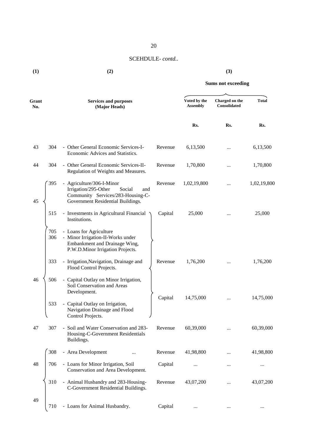| Grant<br>No. |            | <b>Services and purposes</b><br>(Major Heads)                                                                                                            |         | Voted by the<br><b>Assembly</b> | Charged on the<br><b>Consolidated</b> | <b>Total</b> |
|--------------|------------|----------------------------------------------------------------------------------------------------------------------------------------------------------|---------|---------------------------------|---------------------------------------|--------------|
|              |            |                                                                                                                                                          |         | Rs.                             | Rs.                                   | Rs.          |
| 43           | 304        | - Other General Economic Services-I-<br>Economic Advices and Statistics.                                                                                 | Revenue | 6,13,500                        |                                       | 6,13,500     |
| 44           | 304        | - Other General Economic Services-II-<br>Regulation of Weights and Measures.                                                                             | Revenue | 1,70,800                        |                                       | 1,70,800     |
| 45           | 395        | - Agriculture/306-I-Minor<br>Irrigation/295-Other<br>Social<br>and<br>Community Services/283-Housing-C-<br>Government Residential Buildings.             | Revenue | 1,02,19,800                     |                                       | 1,02,19,800  |
|              | 515        | - Investments in Agricultural Financial<br>Institutions.                                                                                                 | Capital | 25,000                          |                                       | 25,000       |
|              | 705<br>306 | - Loans for Agriculture<br>- Minor Irrigation-II-Works under<br>Embankment and Drainage Wing,<br>P.W.D.Minor Irrigation Projects.                        |         |                                 |                                       |              |
|              | 333        | - Irrigation, Navigation, Drainage and<br>Flood Control Projects.                                                                                        | Revenue | 1,76,200                        |                                       | 1,76,200     |
| 46           | 506<br>533 | - Capital Outlay on Minor Irrigation,<br>Soil Conservation and Areas<br>Development.<br>- Capital Outlay on Irrigation,<br>Navigation Drainage and Flood | Capital | 14,75,000                       | $\ddotsc$                             | 14,75,000    |
| 47           | 307        | Control Projects.<br>- Soil and Water Conservation and 283-<br>Housing-C-Government Residentials<br>Buildings.                                           | Revenue | 60,39,000                       |                                       | 60,39,000    |
|              | 308        | - Area Development                                                                                                                                       | Revenue | 41,98,800                       |                                       | 41,98,800    |
| 48           | 706        | - Loans for Minor Irrigation, Soil<br>Conservation and Area Development.                                                                                 | Capital |                                 |                                       |              |
|              | 310        | - Animal Husbandry and 283-Housing-<br>C-Government Residential Buildings.                                                                               | Revenue | 43,07,200                       |                                       | 43,07,200    |
| 49           | 710        | - Loans for Animal Husbandry.                                                                                                                            | Capital | $\cdots$                        | $\cdots$                              | $\cdots$     |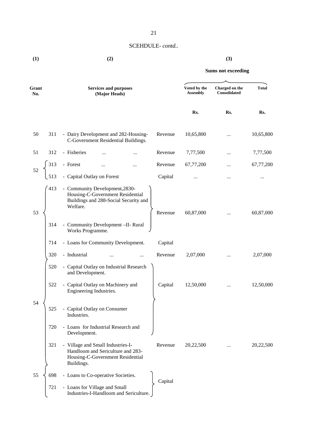| (1) | (2) | (3) |
|-----|-----|-----|
|     |     |     |

| Grant<br>No. |            | <b>Services and purposes</b><br>(Major Heads)                                                                                                                                     |         | Voted by the<br><b>Assembly</b> | Charged on the<br>Consolidated | <b>Total</b> |
|--------------|------------|-----------------------------------------------------------------------------------------------------------------------------------------------------------------------------------|---------|---------------------------------|--------------------------------|--------------|
|              |            |                                                                                                                                                                                   |         | Rs.                             | Rs.                            | Rs.          |
| 50           | 311        | - Dairy Development and 282-Housing-<br>C-Government Residential Buildings.                                                                                                       | Revenue | 10,65,800                       | $\ddotsc$                      | 10,65,800    |
| 51           | 312        | - Fisheries                                                                                                                                                                       | Revenue | 7,77,500                        |                                | 7,77,500     |
|              | 313        | - Forest<br>$\cdots$                                                                                                                                                              | Revenue | 67,77,200                       |                                | 67,77,200    |
| 52           | 513        | - Capital Outlay on Forest                                                                                                                                                        | Capital |                                 |                                | $\cdots$     |
| 53           | 413<br>314 | - Community Development, 2830-<br>Housing-C-Government Residential<br>Buildings and 288-Social Security and<br>Welfare.<br>- Community Development -II- Rural<br>Works Programme. | Revenue | 60,87,000                       |                                | 60,87,000    |
|              | 714        | - Loans for Community Development.                                                                                                                                                | Capital |                                 |                                |              |
|              | 320        | - Industrial<br><br>$\ddotsc$                                                                                                                                                     | Revenue | 2,07,000                        |                                | 2,07,000     |
|              | 520        | - Capital Outlay on Industrial Research<br>and Development.                                                                                                                       |         |                                 |                                |              |
|              | 522        | - Capital Outlay on Machinery and<br>Engineering Industries.                                                                                                                      | Capital | 12,50,000                       |                                | 12,50,000    |
| 54           | 525        | - Capital Outlay on Consumer<br>Industries.                                                                                                                                       |         |                                 |                                |              |
|              | 720        | - Loans for Industrial Research and<br>Development.                                                                                                                               |         |                                 |                                |              |
|              | 321        | - Village and Small Industries-I-<br>Handloom and Sericulture and 283-<br>Housing-C-Government Residential<br>Buildings.                                                          | Revenue | 20,22,500                       |                                | 20,22,500    |
| 55           | 698<br>721 | - Loans to Co-operative Societies.<br>- Loans for Village and Small<br>Industries-I-Handloom and Sericulture.                                                                     | Capital |                                 |                                |              |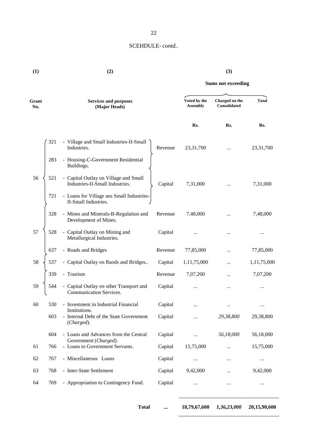# 22

# SCEHDULE- *contd..*

**(1) (2) (3)**

# **Sums not exceeding**

| Grant<br>No. |     | <b>Services and purposes</b><br>(Major Heads)                            |         | Voted by the<br><b>Assembly</b> | Charged on the<br><b>Consolidated</b> | <b>Total</b> |
|--------------|-----|--------------------------------------------------------------------------|---------|---------------------------------|---------------------------------------|--------------|
|              |     |                                                                          |         | Rs.                             | Rs.                                   | Rs.          |
|              | 321 | - Village and Small Industries-II-Small<br>Industries.                   | Revenue | 23,31,700                       |                                       | 23,31,700    |
|              | 283 | - Housing-C-Government Residential<br>Buildings.                         |         |                                 |                                       |              |
| 56           | 521 | - Capital Outlay on Village and Small<br>Industries-II-Small Industries. | Capital | 7,31,000                        |                                       | 7,31,000     |
|              | 721 | - Loans for Village ans Small Industries-<br>II-Small Industries.        |         |                                 |                                       |              |
|              | 328 | - Mines and Minerals-B-Regulation and<br>Development of Mines.           | Revenue | 7,48,000                        | $\ddotsc$                             | 7,48,000     |
| 57           | 528 | - Capital Outlay on Mining and<br>Metallurgical Industries.              | Capital |                                 |                                       |              |
|              | 637 | - Roads and Bridges                                                      | Revenue | 77,85,000                       |                                       | 77,85,000    |
| 58           | 537 | - Capital Outlay on Raods and Bridges                                    | Capital | 1,11,75,000                     |                                       | 1,11,75,000  |
|              | 339 | - Tourism                                                                | Revenue | 7,07,200                        |                                       | 7,07,200     |
| 59           | 544 | - Capital Outlay on other Transport and<br>Communication Services.       | Capital | $\ddotsc$                       |                                       |              |
| 60           | 530 | - Investment in Industrial Financial                                     | Capital |                                 |                                       |              |
|              | 603 | Institutions.<br>- Internal Debt of the State Government<br>(Charged).   | Capital |                                 | 29,38,800                             | 29,38,800    |
|              | 604 | - Loans and Advances from the Central                                    | Capital | $\cdots$                        | 56,18,000                             | 56,18,000    |
| 61           | 766 | Government (Charged).<br>- Loans to Government Servants.                 | Capital | 15,75,000                       | $\cdots$                              | 15,75,000    |
| 62           | 767 | - Miscellaneous Loans                                                    | Capital | $\cdots$                        | $\cdots$                              | $\cdots$     |
| 63           | 768 | - Inter-State Settlement                                                 | Capital | 9,42,000                        |                                       | 9,42,000     |
| 64           | 769 | - Appropriation to Contingency Fund.                                     | Capital | $\cdots$                        | $\cdots$                              | $\ldots$     |
|              |     |                                                                          |         |                                 |                                       |              |

**Total ... 18,79,67,600** *1,36,23,000* **20,15,90,600**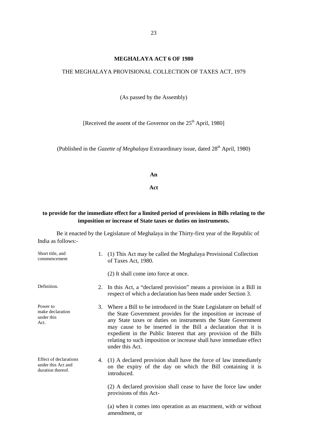#### **MEGHALAYA ACT 6 OF 1980**

#### THE MEGHALAYA PROVISIONAL COLLECTION OF TAXES ACT, 1979

(As passed by the Assembly)

[Received the assent of the Governor on the  $25<sup>th</sup>$  April, 1980]

(Published in the *Gazette of Meghalaya* Extraordinary issue, dated 28<sup>th</sup> April, 1980)

**An**

**Act**

# **to provide for the immediate effect for a limited period of provisions in Bills relating to the imposition or increase of State taxes or duties on instruments.**

Be it enacted by the Legislature of Meghalaya in the Thirty-first year of the Republic of India as follows:-

| Short title, and<br>commencement                                         |    | 1. (1) This Act may be called the Meghalaya Provisional Collection<br>of Taxes Act, 1980.                                                                                                                                                                                                                                                                                                                                                 |
|--------------------------------------------------------------------------|----|-------------------------------------------------------------------------------------------------------------------------------------------------------------------------------------------------------------------------------------------------------------------------------------------------------------------------------------------------------------------------------------------------------------------------------------------|
|                                                                          |    | (2) It shall come into force at once.                                                                                                                                                                                                                                                                                                                                                                                                     |
| Definition.                                                              | 2. | In this Act, a "declared provision" means a provision in a Bill in<br>respect of which a declaration has been made under Section 3.                                                                                                                                                                                                                                                                                                       |
| Power to<br>make declaration<br>under this<br>Act.                       |    | 3. Where a Bill to be introduced in the State Legislature on behalf of<br>the State Government provides for the imposition or increase of<br>any State taxes or duties on instruments the State Government<br>may cause to be inserted in the Bill a declaration that it is<br>expedient in the Public Interest that any provision of the Bills<br>relating to such imposition or increase shall have immediate effect<br>under this Act. |
| <b>Effect of declarations</b><br>under this Act and<br>duration thereof. |    | 4. (1) A declared provision shall have the force of law immediately<br>on the expiry of the day on which the Bill containing it is<br>introduced.<br>(2) A declared provision shall cease to have the force law under                                                                                                                                                                                                                     |
|                                                                          |    | provisions of this Act-                                                                                                                                                                                                                                                                                                                                                                                                                   |
|                                                                          |    | (a) when it comes into operation as an enactment, with or without<br>amendment, or                                                                                                                                                                                                                                                                                                                                                        |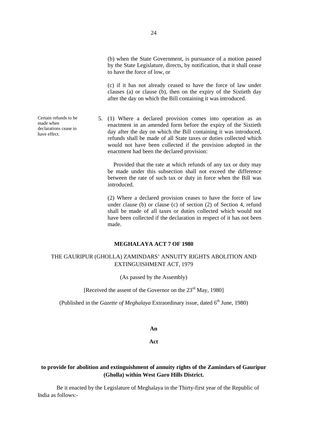(c) if it has not already ceased to have the force of law under clauses (a) or clause (b), then on the expiry of the Sixtieth day after the day on which the Bill containing it was introduced.

5. (1) Where a declared provision comes into operation as an enactment in an amended form before the expiry of the Sixtieth day after the day on which the Bill containing it was introduced, refunds shall be made of all State taxes or duties collected which would not have been collected if the provision adopted in the enactment had been the declared provision:

> Provided that the rate at which refunds of any tax or duty may be made under this subsection shall not exceed the difference between the rate of such tax or duty in force when the Bill was introduced.

> (2) Where a declared provision ceases to have the force of law under clause (b) or clause (c) of section (2) of Section 4, refund shall be made of all taxes or duties collected which would not have been collected if the declaration in respect of it has not been made.

#### **MEGHALAYA ACT 7 OF 1980**

# THE GAURIPUR (GHOLLA) ZAMINDARS' ANNUITY RIGHTS ABOLITION AND EXTINGUISHMENT ACT, 1979

(As passed by the Assembly)

### [Received the assent of the Governor on the  $23<sup>rd</sup>$  May, 1980]

(Published in the *Gazette of Meghalaya* Extraordinary issue, dated  $6<sup>th</sup>$  June, 1980)

#### **An**

#### **Act**

# **to provide for abolition and extinguishment of annuity rights of the Zamindars of Gauripur (Gholla) within West Garo Hills District.**

Be it enacted by the Legislature of Meghalaya in the Thirty-first year of the Republic of India as follows:-

Certain refunds to be made when declarations cease to have effect.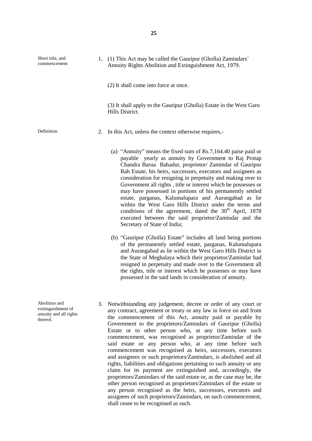| Short title, and<br>commencement | 1. (1) This Act may be called the Gauripur (Gholla) Zamindars'<br>Annuity Rights Abolition and Extinguishment Act, 1979.                                                             |
|----------------------------------|--------------------------------------------------------------------------------------------------------------------------------------------------------------------------------------|
|                                  | (2) It shall come into force at once.                                                                                                                                                |
|                                  | (3) It shall apply to the Gauripur (Gholla) Estate in the West Garo<br>Hills District.                                                                                               |
| Definition.                      | 2. In this Act, unless the context otherwise requires,-                                                                                                                              |
|                                  | (a) "Annuity" means the fixed sum of $Rs.7,164.40$ paise paid or<br>payable yearly as annuity by Government to Raj Protap<br>Chandra Barua Bahadur, proprietor/ Zamindar of Gauripur |

- Chandra Barua Bahadur, proprietor/ Zamindar of Gauripur Rah Estate, his heirs, successors, executors and assignees as consideration for resigning in perpetuity and making over to Government all rights , title or interest which he possesses or may have possessed in portions of his permanently settled estate, parganas, Kalumalupara and Aurangabad as lie within the West Garo Hills District under the terms and conditions of the agreement, dated the  $30<sup>th</sup>$  April, 1878 executed between the said proprietor/Zamindar and the Secretary of State of India;
- (b) "Gauripur (Gholla) Estate" includes all land being portions of the permanently settled estate, parganas, Kalumalupara and Aurangabad as lie within the West Garo Hills District in the State of Meghalaya which their proprietor/Zamindar had resigned in perpetuity and made over to the Government all the rights, title or interest which he possesses or may have possessed in the said lands in consideration of annuity.
- 3. Notwithstanding any judgement, decree or order of any court or any contract, agreement or treaty or any law in force on and from the commencement of this Act, annuity paid or payable by Government to the proprietors/Zamindars of Gauripur (Gholla) Estate or to other person who, at any time before such commencement, was recognised as proprietor/Zamindar of the said estate or any person who, at any time before such commencement was recognised as heirs, successors, executors and assignees or such proprietors/Zamindars, is abolished and all rights, liabilities and obligations pertaining to such annuity or any claim for its payment are extinguished and, accordingly, the proprietors/Zamindars of the said estate or, as the case may be, the other person recognised as proprietors/Zamindars of the estate or any person recognised as the heirs, successors, executors and assignees of such proprietors/Zamindars, on such commencement, shall cease to be recognised as such.
- Abolition and exitinguishment of annuity and all rights thereof.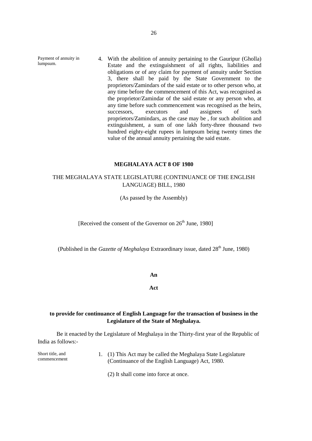Payment of annuity in lumpsum. 4. With the abolition of annuity pertaining to the Gauripur (Gholla) Estate and the extinguishment of all rights, liabilities and obligations or of any claim for payment of annuity under Section 3, there shall be paid by the State Government to the proprietors/Zamindars of the said estate or to other person who, at any time before the commencement of this Act, was recognised as the proprietor/Zamindar of the said estate or any person who, at any time before such commencement was recognised as the heirs, successors, executors and assignees of such proprietors/Zamindars, as the case may be , for such abolition and extinguishment, a sum of one lakh forty-three thousand two hundred eighty-eight rupees in lumpsum being twenty times the value of the annual annuity pertaining the said estate.

#### **MEGHALAYA ACT 8 OF 1980**

# THE MEGHALAYA STATE LEGISLATURE (CONTINUANCE OF THE ENGLISH LANGUAGE) BILL, 1980

(As passed by the Assembly)

[Received the consent of the Governor on  $26<sup>th</sup>$  June, 1980]

(Published in the *Gazette of Meghalaya* Extraordinary issue, dated 28<sup>th</sup> June, 1980)

#### **An**

**Act**

# **to provide for continuance of English Language for the transaction of business in the Legislature of the State of Meghalaya.**

Be it enacted by the Legislature of Meghalaya in the Thirty-first year of the Republic of India as follows:-

| Short title, and | 1. (1) This Act may be called the Meghalaya State Legislature |
|------------------|---------------------------------------------------------------|
| commencement     | (Continuance of the English Language) Act, 1980.              |

(2) It shall come into force at once.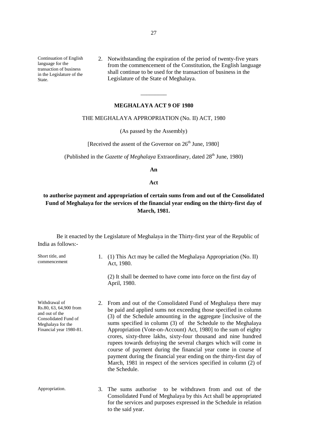Continuation of English language for the transaction of business in the Legislature of the State.

2. Notwithstanding the expiration of the period of twenty-five years from the commencement of the Constitution, the English language shall continue to be used for the transaction of business in the Legislature of the State of Meghalaya.

#### **MEGHALAYA ACT 9 OF 1980**

\_\_\_\_\_\_\_\_\_

#### THE MEGHALAYA APPROPRIATION (No. II) ACT, 1980

(As passed by the Assembly)

[Received the assent of the Governor on  $26<sup>th</sup>$  June, 1980]

(Published in the *Gazette of Meghalaya* Extraordinary, dated 28<sup>th</sup> June, 1980)

**An**

#### **Act**

# **to authorise payment and appropriation of certain sums from and out of the Consolidated Fund of Meghalaya for the services of the financial year ending on the thirty-first day of March, 1981.**

Be it enacted by the Legislature of Meghalaya in the Thirty-first year of the Republic of India as follows:-

| Short title, and<br>commencement                                                                                                  | 1. | (1) This Act may be called the Meghalaya Appropriation (No. II)<br>Act, 1980.                                                                                                                                                                                                                                                                                                                                                                                                                                                                                                                                                                                                                                |  |  |  |  |
|-----------------------------------------------------------------------------------------------------------------------------------|----|--------------------------------------------------------------------------------------------------------------------------------------------------------------------------------------------------------------------------------------------------------------------------------------------------------------------------------------------------------------------------------------------------------------------------------------------------------------------------------------------------------------------------------------------------------------------------------------------------------------------------------------------------------------------------------------------------------------|--|--|--|--|
|                                                                                                                                   |    | (2) It shall be deemed to have come into force on the first day of<br>April, 1980.                                                                                                                                                                                                                                                                                                                                                                                                                                                                                                                                                                                                                           |  |  |  |  |
| Withdrawal of<br>Rs.80, 63, 64,900 from<br>and out of the<br>Consolidated Fund of<br>Meghalaya for the<br>Financial year 1980-81. | 2. | From and out of the Consolidated Fund of Meghalaya there may<br>be paid and applied sums not exceeding those specified in column<br>(3) of the Schedule amounting in the aggregate [inclusive of the<br>sums specified in column (3) of the Schedule to the Meghalaya<br>Appropriation (Vote-on-Account) Act, 1980] to the sum of eighty<br>crores, sixty-three lakhs, sixty-four thousand and nine hundred<br>rupees towards defraying the several charges which will come in<br>course of payment during the financial year come in course of<br>payment during the financial year ending on the thirty-first day of<br>March, 1981 in respect of the services specified in column (2) of<br>the Schedule. |  |  |  |  |
| Appropriation.                                                                                                                    | 3. | The sums authorise<br>to be withdrawn from and out of the<br>Consolidated Fund of Meghalaya by this Act shall be appropriated<br>for the services and purposes expressed in the Schedule in relation<br>to the said year.                                                                                                                                                                                                                                                                                                                                                                                                                                                                                    |  |  |  |  |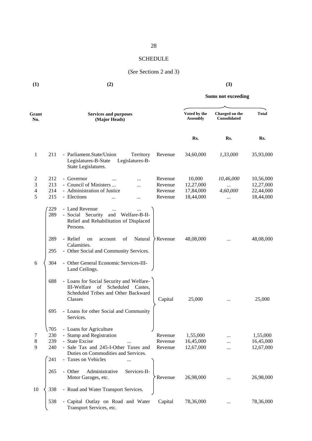# **SCHEDULE**

# (*See* Sections 2 and 3)

| (1)                                                 | (2)                                                                                                                                                                                                                                                 | (3)                                                                                                                                |  |  |  |
|-----------------------------------------------------|-----------------------------------------------------------------------------------------------------------------------------------------------------------------------------------------------------------------------------------------------------|------------------------------------------------------------------------------------------------------------------------------------|--|--|--|
|                                                     |                                                                                                                                                                                                                                                     | <b>Sums not exceeding</b>                                                                                                          |  |  |  |
| Grant<br>No.                                        | <b>Services and purposes</b><br>(Major Heads)                                                                                                                                                                                                       | Voted by the<br><b>Total</b><br>Charged on the<br><b>Consolidated</b><br><b>Assembly</b>                                           |  |  |  |
|                                                     |                                                                                                                                                                                                                                                     | Rs.<br>Rs.<br>Rs.                                                                                                                  |  |  |  |
| 1                                                   | 211<br>- Parliament.State/Union<br>Territory<br>Revenue<br>Legislatures-B-State<br>Legislatures-B-<br>State Legislatures.                                                                                                                           | 34,60,000<br>1,33,000<br>35,93,000                                                                                                 |  |  |  |
| 2<br>$\mathfrak{Z}$<br>$\overline{\mathbf{4}}$<br>5 | 212<br>- Governor<br>Revenue<br>213<br>- Council of Ministers<br>Revenue<br><br>214<br>- Administration of Justice<br>Revenue<br>215<br>- Elections<br>Revenue<br>$\cdots$                                                                          | 10,000<br>10,56,000<br>10,46,000<br>12,27,000<br>12,27,000<br><br>22,44,000<br>17,84,000<br>4,60,000<br>18,44,000<br>18,44,000<br> |  |  |  |
|                                                     | 229<br>- Land Revenue<br><br>289<br>- Social Security<br>and<br>Welfare-B-II-<br>Relief and Rehabilitation of Displaced<br>Persons.                                                                                                                 |                                                                                                                                    |  |  |  |
|                                                     | Natural<br>289<br>- Relief<br>of<br>Revenue<br>on<br>account<br>Calamities.<br>- Other Social and Community Services.<br>295                                                                                                                        | 48,08,000<br>48,08,000                                                                                                             |  |  |  |
| 6                                                   | - Other General Economic Services-III-<br>304<br>Land Ceilings.                                                                                                                                                                                     |                                                                                                                                    |  |  |  |
|                                                     | - Loans for Social Security and Welfare-<br>688<br>Scheduled<br>III-Welfare<br>of<br>Castes,<br>Scheduled Tribes and Other Backward<br>Classes<br>Capital                                                                                           | 25,000<br>25,000<br>                                                                                                               |  |  |  |
|                                                     | - Loans for other Social and Community<br>695<br>Services.                                                                                                                                                                                          |                                                                                                                                    |  |  |  |
| 7<br>8<br>9                                         | - Loans for Agriculture<br>705<br>- Stamp and Registration<br>230<br>Revenue<br>239<br>- State Excise<br>Revenue<br>240<br>- Sale Tax and 245-I-Other Taxes and<br>Revenue<br>Duties on Commodities and Services.<br>241<br>- Taxes on Vehicles<br> | 1,55,000<br>1,55,000<br>16,45,000<br>16,45,000<br>12,67,000<br>12,67,000                                                           |  |  |  |
|                                                     | 265<br>Administrative<br>Services-II-<br>- Other<br>Motor Garages, etc.<br>Revenue                                                                                                                                                                  | 26,98,000<br>26,98,000                                                                                                             |  |  |  |
| 10                                                  | 338<br>- Road and Water Transport Services.<br>538<br>- Capital Outlay on Road and Water<br>Capital<br>Transport Services, etc.                                                                                                                     | 78,36,000<br>78,36,000                                                                                                             |  |  |  |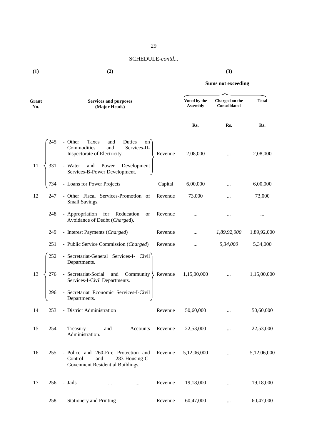**(1) (2) (3)**

| Grant<br>No. |     | <b>Services and purposes</b><br>(Major Heads)                                                                 |         | Voted by the<br><b>Assembly</b> | Charged on the<br><b>Consolidated</b> | <b>Total</b> |  |
|--------------|-----|---------------------------------------------------------------------------------------------------------------|---------|---------------------------------|---------------------------------------|--------------|--|
|              |     |                                                                                                               |         | Rs.                             | Rs.                                   | Rs.          |  |
|              | 245 | - Other<br>Taxes<br>Duties<br>and<br>on<br>Commodities<br>and<br>Services-II-<br>Inspectorate of Electricity. | Revenue | 2,08,000                        | $\cdots$                              | 2,08,000     |  |
| 11           | 331 | - Water<br>Power<br>Development<br>and<br>Services-B-Power Development.                                       |         |                                 |                                       |              |  |
|              | 734 | - Loans for Power Projects                                                                                    | Capital | 6,00,000                        |                                       | 6,00,000     |  |
| 12           | 247 | - Other Fiscal Services-Promotion of<br>Small Savings.                                                        | Revenue | 73,000                          |                                       | 73,000       |  |
|              | 248 | - Appropriation for Reducation<br><b>or</b><br>Avoidance of Dedbt (Charged).                                  | Revenue | .                               |                                       | $\cdots$     |  |
|              | 249 | - Interest Payments (Charged)                                                                                 | Revenue | $\cdots$                        | 1,89,92,000                           | 1,89,92,000  |  |
|              | 251 | - Public Service Commission (Charged)                                                                         | Revenue | $\cdots$                        | 5,34,000                              | 5,34,000     |  |
|              | 252 | - Secretariat-General Services-I- Civil<br>Departments.                                                       |         |                                 |                                       |              |  |
| 13           | 276 | - Secretariat-Social<br>Community<br>and<br>Services-I-Civil Departments.                                     | Revenue | 1,15,00,000                     | $\cdots$                              | 1,15,00,000  |  |
|              | 296 | - Secretariat Economic Services-I-Civil<br>Departments.                                                       |         |                                 |                                       |              |  |
| 14           | 253 | - District Administration                                                                                     | Revenue | 50,60,000                       | $\cdots$                              | 50,60,000    |  |
| 15           | 254 | - Treasury<br>and<br>Accounts<br>Administration.                                                              | Revenue | 22,53,000                       |                                       | 22,53,000    |  |
| 16           | 255 | - Police and 260-Fire Protection and<br>Control<br>283-Housing-C-<br>and<br>Govenment Residential Buildings.  | Revenue | 5,12,06,000                     | $\cdots$                              | 5,12,06,000  |  |
| 17           | 256 | - Jails<br>$\cdots$<br>$\cdots$                                                                               | Revenue | 19,18,000                       | $\cdots$                              | 19,18,000    |  |
|              | 258 | - Stationery and Printing                                                                                     | Revenue | 60,47,000                       | $\cdots$                              | 60,47,000    |  |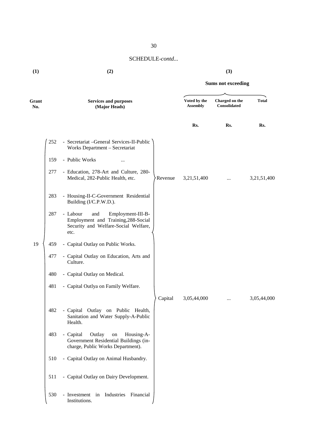| (1) | (2) | (3) |
|-----|-----|-----|

# **Sums not exceeding**

| Grant<br>No. |     | <b>Services and purposes</b><br>(Major Heads)                                                                               |         | Voted by the<br><b>Assembly</b> | Charged on the<br><b>Consolidated</b> | <b>Total</b> |  |
|--------------|-----|-----------------------------------------------------------------------------------------------------------------------------|---------|---------------------------------|---------------------------------------|--------------|--|
|              |     |                                                                                                                             |         | Rs.                             | Rs.                                   | Rs.          |  |
|              | 252 | - Secretariat -General Services-II-Public<br>Works Department - Secretariat                                                 |         |                                 |                                       |              |  |
|              | 159 | - Public Works<br>                                                                                                          |         |                                 |                                       |              |  |
|              | 277 | - Education, 278-Art and Culture, 280-<br>Medical, 282-Public Health, etc.                                                  | Revenue | 3,21,51,400                     |                                       | 3,21,51,400  |  |
|              | 283 | - Housing-II-C-Government Residential<br>Building (I/C.P.W.D.).                                                             |         |                                 |                                       |              |  |
|              | 287 | - Labour<br>and<br>Employment-III-B-<br>Employment and Training, 288-Social<br>Security and Welfare-Social Welfare,<br>etc. |         |                                 |                                       |              |  |
| 19           | 459 | - Capital Outlay on Public Works.                                                                                           |         |                                 |                                       |              |  |
|              | 477 | - Capital Outlay on Education, Arts and<br>Culture.                                                                         |         |                                 |                                       |              |  |
|              | 480 | - Capital Outlay on Medical.                                                                                                |         |                                 |                                       |              |  |
|              | 481 | - Capital Outlya on Family Welfare.                                                                                         |         |                                 |                                       |              |  |
|              |     |                                                                                                                             | Capital | 3,05,44,000                     |                                       | 3,05,44,000  |  |
|              | 482 | - Capital Outlay on Public Health,<br>Sanitation and Water Supply-A-Public<br>Health.                                       |         |                                 |                                       |              |  |
|              | 483 | - Capital<br>Outlay<br>Housing-A-<br>on<br>Government Residential Buildings (in-<br>charge, Public Works Department).       |         |                                 |                                       |              |  |
|              | 510 | - Capital Outlay on Animal Husbandry.                                                                                       |         |                                 |                                       |              |  |
|              | 511 | - Capital Outlay on Dairy Development.                                                                                      |         |                                 |                                       |              |  |
|              | 530 | - Investment in Industries Financial<br>Institutions.                                                                       |         |                                 |                                       |              |  |

30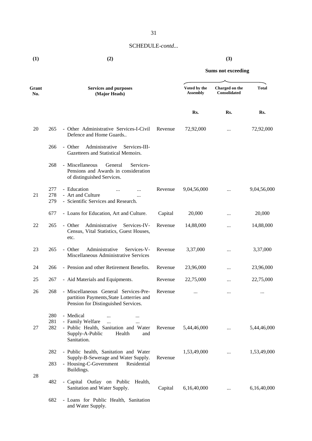**(1) (2) (3)**

**Sums not exceeding**

| Grant<br>No. |                   | <b>Services and purposes</b><br>(Major Heads)                                                                                                                       |         |             | Charged on the<br><b>Consolidated</b> | <b>Total</b> |
|--------------|-------------------|---------------------------------------------------------------------------------------------------------------------------------------------------------------------|---------|-------------|---------------------------------------|--------------|
|              |                   |                                                                                                                                                                     |         | Rs.         | Rs.                                   | Rs.          |
| 20           | 265               | - Other Administrative Services-I-Civil<br>Defence and Home Guards                                                                                                  | Revenue | 72,92,000   | $\cdots$                              | 72,92,000    |
|              | 266               | Administrative<br>Services-III-<br>- Other<br>Gazetteers and Statistical Memoirs.                                                                                   |         |             |                                       |              |
|              | 268               | - Miscellaneous<br>General<br>Services-<br>Pensions and Awards in consideration<br>of distinguished Services.                                                       |         |             |                                       |              |
| 21           | 277<br>278<br>279 | - Education<br>- Art and Culture<br>- Scientific Services and Research.                                                                                             | Revenue | 9,04,56,000 |                                       | 9,04,56,000  |
|              | 677               | - Loans for Education, Art and Culture.                                                                                                                             | Capital | 20,000      |                                       | 20,000       |
| 22           | 265               | Administrative<br>- Other<br>Services-IV-<br>Census, Vital Statistics, Guest Houses,<br>etc.                                                                        | Revenue | 14,88,000   |                                       | 14,88,000    |
| 23           | 265               | Administrative<br>- Other<br>Services-V-<br>Miscellaneous Administrative Services                                                                                   | Revenue | 3,37,000    |                                       | 3,37,000     |
| 24           | 266               | - Pension and other Retirement Benefits.                                                                                                                            | Revenue | 23,96,000   |                                       | 23,96,000    |
| 25           | 267               | - Aid Materials and Equipments.                                                                                                                                     | Revenue | 22,75,000   |                                       | 22,75,000    |
| 26           | 268               | - Miscellaneous General Services-Pre-<br>partition Payments, State Lotterries and<br>Pension for Distinguished Services.                                            | Revenue | $\cdots$    |                                       |              |
| 27           | 280<br>281<br>282 | - Medical<br>$\cdots$<br>$\cdots$<br>- Family Welfare<br>$\dddotsc$<br><br>- Public Health, Sanitation and Water<br>Supply-A-Public<br>Health<br>and<br>Sanitation. | Revenue | 5,44,46,000 | $\cdots$                              | 5,44,46,000  |
|              | 282<br>283        | - Public health, Sanitation and Water<br>Supply-B-Sewerage and Water Supply.<br>- Housing-C-Government<br>Residential<br>Buildings.                                 | Revenue | 1,53,49,000 | $\cdots$                              | 1,53,49,000  |
| 28           | 482               | - Capital Outlay on Public Health,<br>Sanitation and Water Supply.                                                                                                  | Capital | 6,16,40,000 | $\cdots$                              | 6,16,40,000  |
|              | 682               | - Loans for Public Health, Sanitation<br>$\lambda$ Waton Const.                                                                                                     |         |             |                                       |              |

and Water Supply.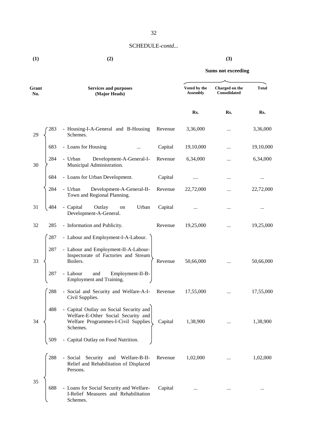**(1) (2) (3)**

| Grant<br>No. |     | <b>Services and purposes</b><br>(Major Heads)                                                                                     | Voted by the<br><b>Assembly</b> | Charged on the<br>Consolidated | <b>Total</b> |           |
|--------------|-----|-----------------------------------------------------------------------------------------------------------------------------------|---------------------------------|--------------------------------|--------------|-----------|
|              |     |                                                                                                                                   |                                 | Rs.                            | Rs.          | Rs.       |
| 29           | 283 | - Housing-I-A-General and B-Housing<br>Schemes.                                                                                   | Revenue                         | 3,36,000                       |              | 3,36,000  |
|              | 683 | - Loans for Housing<br>                                                                                                           | Capital                         | 19,10,000                      |              | 19,10,000 |
| 30           | 284 | Development-A-General-I-<br>- Urban<br>Municipal Administration.                                                                  | Revenue                         | 6,34,000                       |              | 6,34,000  |
|              | 684 | - Loans for Urban Development.                                                                                                    | Capital                         |                                |              |           |
|              | 284 | Development-A-General-II-<br>- Urban<br>Town and Regional Planning.                                                               | Revenue                         | 22,72,000                      |              | 22,72,000 |
| 31           | 484 | - Capital<br>Outlay<br>Urban<br>on<br>Development-A-General.                                                                      | Capital                         |                                |              | $\cdots$  |
| 32           | 285 | - Information and Publicity.                                                                                                      | Revenue                         | 19,25,000                      |              | 19,25,000 |
|              | 287 | - Labour and Employment-I-A-Labour.                                                                                               |                                 |                                |              |           |
| 33           | 287 | - Labour and Employment-II-A-Labour-<br>Inspectorate of Factories and Stream<br>Boilers.                                          | Revenue                         | 50,66,000                      | $\cdots$     | 50,66,000 |
|              | 287 | and<br>- Labour<br>Employment-II-B-<br>Employment and Training.                                                                   |                                 |                                |              |           |
|              | 288 | - Social and Security and Welfare-A-I-<br>Civil Supplies.                                                                         | Revenue                         | 17,55,000                      |              | 17,55,000 |
| 34           | 488 | - Capital Outlay on Social Security and<br>Welfare-E-Other Social Security and<br>Welfare Programmes-I-Civil Supplies<br>Schemes. | Capital                         | 1,38,900                       |              | 1,38,900  |
|              | 509 | - Capital Outlay on Food Nutrition.                                                                                               |                                 |                                |              |           |
|              | 288 | - Social Security and Welfare-B-II-<br>Relief and Rehabilitation of Displaced<br>Persons.                                         | Revenue                         | 1,02,000                       | $\cdots$     | 1,02,000  |
| 35           | 688 | - Loans for Social Security and Welfare-<br>I-Relief Measures and Rehabilitation<br>Schemes.                                      | Capital                         | $\cdots$                       |              | $\cdots$  |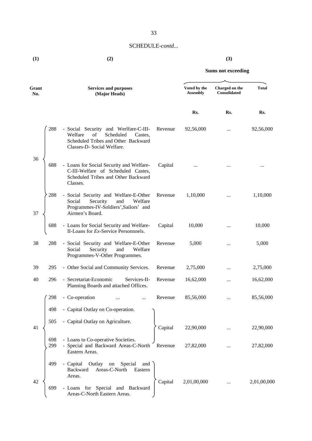**(1) (2) (3)**

| Grant<br>No. |            | <b>Services and purposes</b><br>(Major Heads)                                                                                                       |         | Voted by the<br><b>Assembly</b> | Charged on the<br>Consolidated | <b>Total</b> |
|--------------|------------|-----------------------------------------------------------------------------------------------------------------------------------------------------|---------|---------------------------------|--------------------------------|--------------|
|              |            |                                                                                                                                                     |         | Rs.                             | Rs.                            | Rs.          |
|              | 288        | - Social Security and Werlfare-C-III-<br>Welfare<br>of<br>Scheduled<br>Castes,<br>Scheduled Tribes and Other Backward<br>Classes-D- Social Welfare. | Revenue | 92,56,000                       |                                | 92,56,000    |
| 36           | 688        | - Loans for Social Security and Welfare-<br>C-III-Welfare of Scheduled Castes,<br>Scheduled Tribes and Other Backward<br>Classes.                   | Capital |                                 |                                |              |
| 37           | 288        | - Social Security and Welfare-E-Other<br>Security<br>and<br>Welfare<br>Social<br>Programmes-IV-Soldiers', Sailors' and<br>Airmen's Board.           | Revenue | 1,10,000                        |                                | 1,10,000     |
|              | 688        | - Loans for Social Security and Welfare-<br>II-Loans for Ex-Service Personnnels.                                                                    | Capital | 10,000                          |                                | 10,000       |
| 38           | 288        | - Social Security and Welfare-E-Other<br>Social<br>Security<br>and<br>Welfare<br>Programmes-V-Other Programmes.                                     | Revenue | 5,000                           |                                | 5,000        |
| 39           | 295        | - Other Social and Community Services.                                                                                                              | Revenue | 2,75,000                        |                                | 2,75,000     |
| 40           | 296        | - Secretariat-Economic<br>Services-II-<br>Planning Boards and attached Offices.                                                                     | Revenue | 16,62,000                       | $\cdots$                       | 16,62,000    |
|              | 298        | - Co-operation                                                                                                                                      | Revenue | 85,56,000                       |                                | 85,56,000    |
|              | 498        | - Capital Outlay on Co-operation.                                                                                                                   |         |                                 |                                |              |
| 41           | 505        | - Capital Outlay on Agriculture.                                                                                                                    | Capital | 22,90,000                       |                                | 22,90,000    |
|              | 698<br>299 | - Loans to Co-operative Societies.<br>- Special and Backward Areas-C-North<br>Eastern Areas.                                                        | Revenue | 27,82,000                       |                                | 27,82,000    |
|              | 499        | - Capital<br>Special<br>Outlay<br>$\,$ on<br>and<br>Areas-C-North<br>Backward<br>Eastern<br>Areas.                                                  |         |                                 |                                |              |
| 42           | 699        | - Loans for Special and Backward<br>Areas-C-North Eastern Areas.                                                                                    | Capital | 2,01,00,000                     |                                | 2,01,00,000  |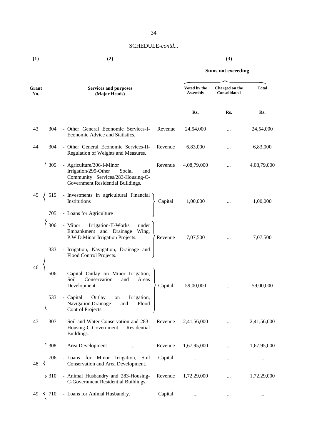# SCHEDULE-*contd...*

**(1) (2) (3)**

# **Sums not exceeding**

| Grant<br>No. |     | <b>Services and purposes</b><br>(Major Heads)                                                                                                |         | Voted by the<br><b>Assembly</b> | Charged on the<br>Consolidated | <b>Total</b> |
|--------------|-----|----------------------------------------------------------------------------------------------------------------------------------------------|---------|---------------------------------|--------------------------------|--------------|
|              |     |                                                                                                                                              |         | Rs.                             | Rs.                            | Rs.          |
| 43           | 304 | - Other General Economic Services-I-<br>Economic Advice and Statistics.                                                                      | Revenue | 24,54,000                       |                                | 24,54,000    |
| 44           | 304 | - Other General Economic Services-II-<br>Regulation of Weights and Measures.                                                                 | Revenue | 6,83,000                        | $\cdots$                       | 6,83,000     |
|              | 305 | - Agriculture/306-I-Minor<br>Irrigation/295-Other<br>Social<br>and<br>Community Services/283-Housing-C-<br>Government Residential Buildings. | Revenue | 4,08,79,000                     | $\cdots$                       | 4,08,79,000  |
| 45           | 515 | - Investments in agricultural Financial<br>Institutions                                                                                      | Capital | 1,00,000                        |                                | 1,00,000     |
|              | 705 | - Loans for Agriculture                                                                                                                      |         |                                 |                                |              |
|              | 306 | - Minor<br>Irrigation-II-Works<br>under<br>Embankment and Drainage<br>Wing,<br>P.W.D.Minor Irrigation Projects.                              | Revenue | 7,07,500                        |                                | 7,07,500     |
|              | 333 | - Irrigation, Navigation, Drainage and<br>Flood Control Projects.                                                                            |         |                                 |                                |              |
| 46           | 506 | - Capital Outlay on Minor Irrigation,<br>Conservation<br>Soil<br>and<br>Areas<br>Development.                                                | Capital | 59,00,000                       |                                | 59,00,000    |
|              | 533 | - Capital<br>Outlay<br>Irrigation,<br>on<br>Navigation, Drainage<br>Flood<br>and<br>Control Projects.                                        |         |                                 |                                |              |
| 47           | 307 | - Soil and Water Conservation and 283-<br>Housing-C-Government<br>Residential<br>Buildings.                                                  | Revenue | 2,41,56,000                     |                                | 2,41,56,000  |
|              | 308 | - Area Development                                                                                                                           | Revenue | 1,67,95,000                     |                                | 1,67,95,000  |
| 48           | 706 | - Loans for Minor Irrigation,<br>Soil<br>Conservation and Area Development.                                                                  | Capital |                                 |                                |              |
|              | 310 | - Animal Husbandry and 283-Housing-<br>C-Government Residential Buildings.                                                                   | Revenue | 1,72,29,000                     |                                | 1,72,29,000  |
| 49           | 710 | - Loans for Animal Husbandry.                                                                                                                | Capital |                                 |                                |              |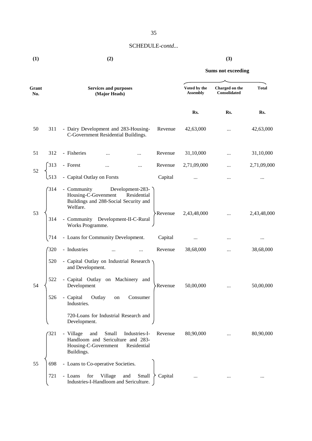# SCHEDULE-*contd...*

| (1) | (2) | (3) |
|-----|-----|-----|
|     |     |     |

**Sums not exceeding**

| Grant<br>No. |                   | <b>Services and purposes</b><br>(Major Heads)                                                                                                                                                                               | Voted by the<br><b>Assembly</b> | Charged on the<br>Consolidated | <b>Total</b> |
|--------------|-------------------|-----------------------------------------------------------------------------------------------------------------------------------------------------------------------------------------------------------------------------|---------------------------------|--------------------------------|--------------|
|              |                   |                                                                                                                                                                                                                             | Rs.                             | Rs.                            | Rs.          |
| 50           | 311               | - Dairy Development and 283-Housing-<br>Revenue<br>C-Government Residential Buildings.                                                                                                                                      | 42,63,000                       |                                | 42,63,000    |
| 51           | 312               | - Fisheries<br>Revenue<br>$\cdots$                                                                                                                                                                                          | 31,10,000                       |                                | 31,10,000    |
|              | 313               | - Forest<br>Revenue<br>$\cdots$<br>                                                                                                                                                                                         | 2,71,09,000                     |                                | 2,71,09,000  |
| 52           | 513               | - Capital Outlay on Forsts<br>Capital                                                                                                                                                                                       | $\cdots$                        |                                |              |
| 53           | 314<br>314        | - Community<br>Development-283-<br>Housing-C-Govenment<br>Residential<br>Buildings and 288-Social Security and<br>Welfare.<br>Revenue<br>- Community Development-II-C-Rural<br>Works Programme.                             | 2,43,48,000                     |                                | 2,43,48,000  |
|              | 714               | - Loans for Community Development.<br>Capital                                                                                                                                                                               |                                 |                                | $\cdots$     |
|              | 320               | - Industries<br>Revenue                                                                                                                                                                                                     | 38,68,000                       | $\cdots$                       | 38,68,000    |
| 54           | 520<br>522<br>526 | - Capital Outlay on Industrial Research<br>and Development.<br>- Capital Outlay on Machinery and<br>Development<br>Revenue<br>- Capital<br>Outlay<br>Consumer<br>on<br>Industries.<br>720-Loans for Industrial Research and | 50,00,000                       |                                | 50,00,000    |
|              | 321               | Development.<br>- Village<br>and<br>Small<br>Industries-I-<br>Revenue<br>Handloom and Sericulture and 283-<br>Housing-C-Government<br>Residential<br>Buildings.                                                             | 80,90,000                       |                                | 80,90,000    |
| 55           | 698               | - Loans to Co-operative Societies.                                                                                                                                                                                          |                                 |                                |              |
|              | 721               | for<br>Village<br>Small<br>Capital<br>- Loans<br>and<br>Industries-I-Handloom and Sericulture.                                                                                                                              | $\cdots$                        | $\cdots$                       | $\cdots$     |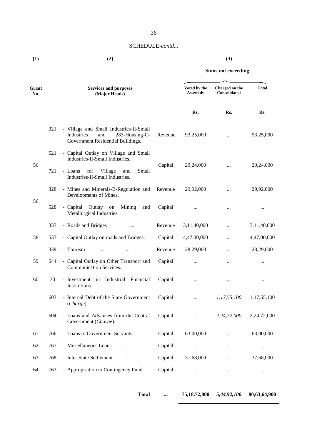# SCHEDULE-*contd...*

**(1) (2) (3)**

**Sums not exceeding**

| Grant<br>No. |     | <b>Services and purposes</b><br>(Major Heads)                                                                       |         | Voted by the<br><b>Assembly</b> | Charged on the<br>Consolidated | <b>Total</b> |
|--------------|-----|---------------------------------------------------------------------------------------------------------------------|---------|---------------------------------|--------------------------------|--------------|
|              |     |                                                                                                                     |         | Rs.                             | Rs.                            | Rs.          |
|              | 321 | - Village and Small Industries-II-Small<br>Industries<br>and<br>283-Housing-C-<br>Government Residential Buildings. | Revenue | 93,25,000                       | $\cdots$                       | 93,25,000    |
| 56           | 521 | - Capital Outlay on Village and Small<br>Industries-II-Small Industries.                                            | Capital | 29,24,000                       | $\cdots$                       | 29,24,000    |
|              | 721 | - Loans<br>for<br>Village<br>Small<br>and<br>Industries-II-Small Industries.                                        |         |                                 |                                |              |
|              | 328 | - Mines and Minerals-B-Regulation and<br>Developments of Mines.                                                     | Revenue | 29,92,000                       | $\cdots$                       | 29,92,000    |
| 56           | 528 | - Capital<br>Outlay<br>Mining<br>${\rm on}$<br>and<br>Metallurgical Industries.                                     | Capital | $\cdots$                        | $\cdots$                       |              |
|              | 337 | - Roads and Bridges                                                                                                 | Revenue | 3,11,40,000                     |                                | 3,11,40,000  |
| 58           | 537 | - Capital Outlay on roads and Bridges.                                                                              | Capital | 4,47,00,000                     |                                | 4,47,00,000  |
|              | 339 | - Tourism<br>$\cdots$                                                                                               | Revenue | 28,29,000                       |                                | 28,29,000    |
| 59           | 544 | - Capital Outlay on Other Transport and<br><b>Communication Services.</b>                                           | Capital | $\cdots$                        | $\cdots$                       | $\cdots$     |
| 60           | 30  | - Investment in Industrial Financial<br>Institutions.                                                               | Capital | $\cdots$                        | $\cdots$                       | $\cdots$     |
|              | 603 | - Internal Debt of the State Government<br>(Change).                                                                | Capital | $\cdots$                        | 1,17,55,100                    | 1,17,55,100  |
|              | 604 | - Loans and Advances from the Central<br>Government (Charge).                                                       | Capital |                                 | 2,24,72,000                    | 2,24,72,000  |
| 61           | 766 | - Loans to Government Servants.                                                                                     | Capital | 63,00,000                       |                                | 63,00,000    |
| 62           | 767 | - Miscellaneous Loans<br>                                                                                           | Capital | $\cdots$                        | $\cdots$                       | $\cdots$     |
| 63           | 768 | - Inter State Settlement<br>$\cdots$                                                                                | Capital | 37,68,000                       |                                | 37,68,000    |
| 64           | 763 | - Appropriation to Contingency Fund.                                                                                | Capital | $\cdots$                        | $\cdots$                       | $\cdots$     |
|              |     |                                                                                                                     |         |                                 |                                |              |

**Total ... 75,18,72,800** *5,44,92,100* **80,63,64,900**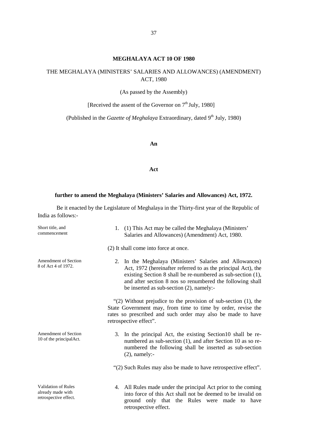# **MEGHALAYA ACT 10 OF 1980**

# THE MEGHALAYA (MINISTERS' SALARIES AND ALLOWANCES) (AMENDMENT) ACT, 1980

(As passed by the Assembly)

[Received the assent of the Governor on 7<sup>th</sup> July, 1980]

(Published in the *Gazette of Meghalaya* Extraordinary, dated 9<sup>th</sup> July, 1980)

#### **An**

#### **Act**

# **further to amend the Meghalaya (Ministers' Salaries and Allowances) Act, 1972.**

Be it enacted by the Legislature of Meghalaya in the Thirty-first year of the Republic of India as follows:-

| Short title, and<br>commencement                                         | 1. (1) This Act may be called the Meghalaya (Ministers'<br>Salaries and Allowances) (Amendment) Act, 1980.                                                                                                                                                                                           |
|--------------------------------------------------------------------------|------------------------------------------------------------------------------------------------------------------------------------------------------------------------------------------------------------------------------------------------------------------------------------------------------|
|                                                                          | (2) It shall come into force at once.                                                                                                                                                                                                                                                                |
| Amendment of Section<br>8 of Act 4 of 1972.                              | 2. In the Meghalaya (Ministers' Salaries and Allowances)<br>Act, 1972 (hereinafter referred to as the principal Act), the<br>existing Section 8 shall be re-numbered as sub-section (1),<br>and after section 8 nos so renumbered the following shall<br>be inserted as sub-section $(2)$ , namely:- |
|                                                                          | " $(2)$ Without prejudice to the provision of sub-section $(1)$ , the<br>State Government may, from time to time by order, revise the<br>rates so prescribed and such order may also be made to have<br>retrospective effect".                                                                       |
| <b>Amendment of Section</b><br>10 of the principalAct.                   | In the principal Act, the existing Section 10 shall be re-<br>3.<br>numbered as sub-section (1), and after Section 10 as so re-<br>numbered the following shall be inserted as sub-section<br>$(2)$ , namely:-                                                                                       |
|                                                                          | "(2) Such Rules may also be made to have retrospective effect".                                                                                                                                                                                                                                      |
| <b>Validation of Rules</b><br>already made with<br>retrospective effect. | 4. All Rules made under the principal Act prior to the coming<br>into force of this Act shall not be deemed to be invalid on<br>ground only that the Rules were made to have<br>retrospective effect.                                                                                                |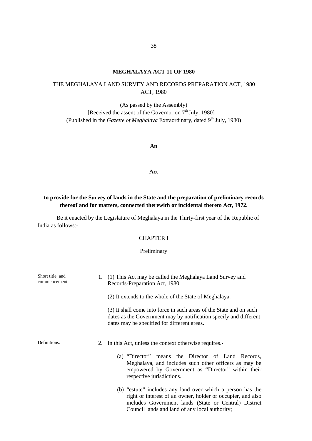# **MEGHALAYA ACT 11OF 1980**

# THE MEGHALAYA LAND SURVEY AND RECORDS PREPARATION ACT, 1980 ACT, 1980

(As passed by the Assembly) [Received the assent of the Governor on  $7<sup>th</sup>$  July, 1980] (Published in the *Gazette of Meghalaya* Extraordinary, dated 9<sup>th</sup> July, 1980)

**An**

**Act**

# **to provide for the Survey of lands in the State and the preparation of preliminary records thereof and for matters, connected therewith or incidental thereto Act, 1972.**

Be it enacted by the Legislature of Meghalaya in the Thirty-first year of the Republic of India as follows:-

# CHAPTER I

### Preliminary

| Short title, and<br>commencement | (1) This Act may be called the Meghalaya Land Survey and<br>1.<br>Records-Preparation Act, 1980.                                                                                                                                     |
|----------------------------------|--------------------------------------------------------------------------------------------------------------------------------------------------------------------------------------------------------------------------------------|
|                                  | (2) It extends to the whole of the State of Meghalaya.                                                                                                                                                                               |
|                                  | (3) It shall come into force in such areas of the State and on such<br>dates as the Government may by notification specify and different<br>dates may be specified for different areas.                                              |
| Definitions.                     | In this Act, unless the context otherwise requires.<br>2.                                                                                                                                                                            |
|                                  | (a) "Director" means the Director of Land Records,<br>Meghalaya, and includes such other officers as may be<br>empowered by Government as "Director" within their<br>respective jurisdictions.                                       |
|                                  | (b) "estute" includes any land over which a person has the<br>right or interest of an owner, holder or occupier, and also<br>includes Government lands (State or Central) District<br>Council lands and land of any local authority; |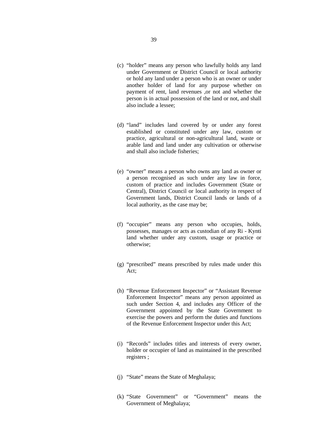- (c) "holder" means any person who lawfully holds any land under Government or District Council or local authority or hold any land under a person who is an owner or under another holder of land for any purpose whether on payment of rent, land revenues ,or not and whether the person is in actual possession of the land or not, and shall also include a lessee;
- (d) "land" includes land covered by or under any forest established or constituted under any law, custom or practice, agricultural or non-agricultural land, waste or arable land and land under any cultivation or otherwise and shall also include fisheries;
- (e) "owner" means a person who owns any land as owner or a person recognised as such under any law in force, custom of practice and includes Government (State or Central), District Council or local authority in respect of Government lands, District Council lands or lands of a local authority, as the case may be;
- (f) "occupier" means any person who occupies, holds, possesses, manages or acts as custodian of any Ri - Kynti land whether under any custom, usage or practice or otherwise;
- (g) "prescribed" means prescribed by rules made under this Act;
- (h) "Revenue Enforcement Inspector" or "Assistant Revenue Enforcement Inspector" means any person appointed as such under Section 4, and includes any Officer of the Government appointed by the State Government to exercise the powers and perform the duties and functions of the Revenue Enforcement Inspector under this Act;
- (i) "Records" includes titles and interests of every owner, holder or occupier of land as maintained in the prescribed registers ;
- (j) "State" means the State of Meghalaya;
- (k) "State Government" or "Government" means the Government of Meghalaya;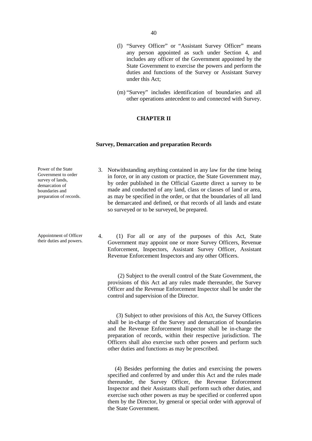- (l) "Survey Officer" or "Assistant Survey Officer" means any person appointed as such under Section 4, and includes any officer of the Government appointed by the State Government to exercise the powers and perform the duties and functions of the Survey or Assistant Survey under this Act;
- (m) "Survey" includes identification of boundaries and all other operations antecedent to and connected with Survey.

3. Notwithstanding anything contained in any law for the time being

# **CHAPTER II**

### **Survey, Demarcation and preparation Records**

Power of the State

| Government to order<br>survey of lands,<br>demarcation of<br>boundaries and<br>preparation of records. | in force, or in any custom or practice, the State Government may,<br>by order published in the Official Gazette direct a survey to be<br>made and conducted of any land, class or classes of land or area,<br>as may be specified in the order, or that the boundaries of all land<br>be demarcated and defined, or that records of all lands and estate<br>so surveyed or to be surveyed, be prepared.                              |
|--------------------------------------------------------------------------------------------------------|--------------------------------------------------------------------------------------------------------------------------------------------------------------------------------------------------------------------------------------------------------------------------------------------------------------------------------------------------------------------------------------------------------------------------------------|
| Appointment of Officer<br>their duties and powers.                                                     | 4.<br>(1) For all or any of the purposes of this Act, State<br>Government may appoint one or more Survey Officers, Revenue<br>Enforcement, Inspectors, Assistant Survey Officer, Assistant<br>Revenue Enforcement Inspectors and any other Officers.                                                                                                                                                                                 |
|                                                                                                        | (2) Subject to the overall control of the State Government, the<br>provisions of this Act ad any rules made thereunder, the Survey<br>Officer and the Revenue Enforcement Inspector shall be under the<br>control and supervision of the Director.                                                                                                                                                                                   |
|                                                                                                        | (3) Subject to other provisions of this Act, the Survey Officers<br>shall be in-charge of the Survey and demarcation of boundaries<br>and the Revenue Enforcement Inspector shall be in-charge the<br>preparation of records, within their respective jurisdiction. The<br>Officers shall also exercise such other powers and perform such<br>other duties and functions as may be prescribed.                                       |
|                                                                                                        | (4) Besides performing the duties and exercising the powers<br>specified and conferred by and under this Act and the rules made<br>thereunder, the Survey Officer, the Revenue Enforcement<br>Inspector and their Assistants shall perform such other duties, and<br>exercise such other powers as may be specified or conferred upon<br>them by the Director, by general or special order with approval of<br>the State Government. |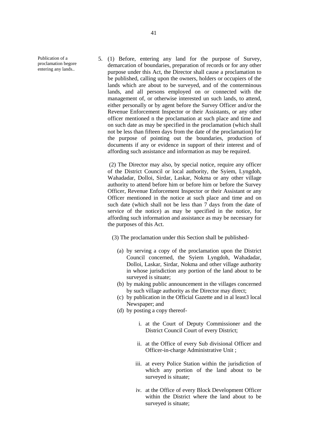Publication of a proclamation begore entering any lands..

5. (1) Before, entering any land for the purpose of Survey, demarcation of boundaries, preparation of records or for any other purpose under this Act, the Director shall cause a proclamation to be published, calling upon the owners, holders or occupiers of the lands which are about to be surveyed, and of the conterminous lands, and all persons employed on or connected with the management of, or otherwise interested un such lands, to attend, either personally or by agent before the Survey Officer and/or the Revenue Enforcement Inspector or their Assistants, or any other officer mentioned n the proclamation at such place and time and on such date as may be specified in the proclamation (which shall not be less than fifteen days from the date of the proclamation) for the purpose of pointing out the boundaries, production of documents if any or evidence in support of their interest and of affording such assistance and information as may be required.

(2) The Director may also, by special notice, require any officer of the District Council or local authority, the Syiem, Lyngdoh, Wahadadar, Dolloi, Sirdar, Laskar, Nokma or any other village authority to attend before him or before him or before the Survey Officer, Revenue Enforcement Inspector or their Assistant or any Officer mentioned in the notice at such place and time and on such date (which shall not be less than 7 days from the date of service of the notice) as may be specified in the notice, for affording such information and assistance as may be necessary for the purposes of this Act.

(3) The proclamation under this Section shall be published-

- (a) by serving a copy of the proclamation upon the District Council concerned, the Syiem Lyngdoh, Wahadadar, Dolloi, Laskar, Sirdar, Nokma and other village authority in whose jurisdiction any portion of the land about to be surveyed is situate;
- (b) by making public announcement in the villages concerned by such village authority as the Director may direct;
- (c) by publication in the Official Gazette and in al least3 local Newspaper; and
- (d) by posting a copy thereof
	- i. at the Court of Deputy Commissioner and the District Council Court of every District;
	- ii. at the Office of every Sub divisional Officer and Officer-in-charge Administrative Unit ;
	- iii. at every Police Station within the jurisdiction of which any portion of the land about to be surveyed is situate;
	- iv. at the Office of every Block Development Officer within the District where the land about to be surveyed is situate;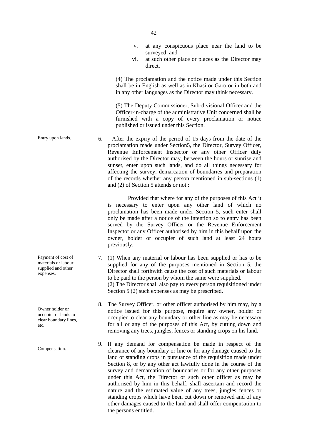- v. at any conspicuous place near the land to be surveyed, and
- vi. at such other place or places as the Director may direct.

(4) The proclamation and the notice made under this Section shall be in English as well as in Khasi or Garo or in both and in any other languages as the Director may think necessary.

(5) The Deputy Commissioner, Sub-divisional Officer and the Officer-in-charge of the administrative Unit concerned shall be furnished with a copy of every proclamation or notice published or issued under this Section.

Entry upon lands. 6. After the expiry of the period of 15 days from the date of the proclamation made under Section5, the Director, Survey Officer, Revenue Enforcement Inspector or any other Officer duly authorised by the Director may, between the hours or sunrise and sunset, enter upon such lands, and do all things necessary for affecting the survey, demarcation of boundaries and preparation of the records whether any person mentioned in sub-sections (1) and (2) of Section 5 attends or not :

> Provided that where for any of the purposes of this Act it is necessary to enter upon any other land of which no proclamation has been made under Section 5, such enter shall only be made after a notice of the intention so to entry has been served by the Survey Officer or the Revenue Enforcement Inspector or any Officer authorised by him in this behalf upon the owner, holder or occupier of such land at least 24 hours previously.

- 7. (1) When any material or labour has been supplied or has to be supplied for any of the purposes mentioned in Section 5, the Director shall forthwith cause the cost of such materials or labour to be paid to the person by whom the same were supplied. (2) The Director shall also pay to every person requisitioned under Section 5 (2) such expenses as may be prescribed.
- 8. The Survey Officer, or other officer authorised by him may, by a notice issued for this purpose, require any owner, holder or occupier to clear any boundary or other line as may be necessary for all or any of the purposes of this Act, by cutting down and removing any trees, jungles, fences or standing crops on his land.
- 9. If any demand for compensation be made in respect of the clearance of any boundary or line or for any damage caused to the land or standing crops in pursuance of the requisition made under Section 8, or by any other act lawfully done in the course of the survey and demarcation of boundaries or for any other purposes under this Act, the Director or such other officer as may be authorised by him in this behalf, shall ascertain and record the nature and the estimated value of any trees, jungles fences or standing crops which have been cut down or removed and of any other damages caused to the land and shall offer compensation to the persons entitled.

Payment of cost of materials or labour supplied and other expenses.

Owner holder or occupier or lands to clear boundary lines, etc.

Compensation.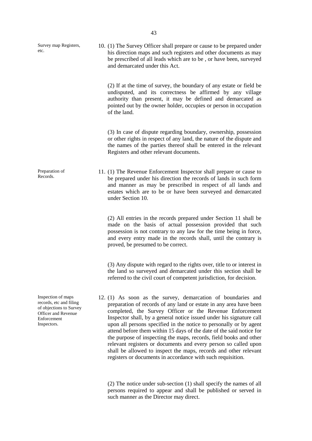| Survey map Registers,<br>etc.                                                                                                 | 10. (1) The Survey Officer shall prepare or cause to be prepared under<br>his direction maps and such registers and other documents as may<br>be prescribed of all leads which are to be, or have been, surveyed<br>and demarcated under this Act.                                                                                                                                                                                                                                                                                                                                                                                                                                               |
|-------------------------------------------------------------------------------------------------------------------------------|--------------------------------------------------------------------------------------------------------------------------------------------------------------------------------------------------------------------------------------------------------------------------------------------------------------------------------------------------------------------------------------------------------------------------------------------------------------------------------------------------------------------------------------------------------------------------------------------------------------------------------------------------------------------------------------------------|
|                                                                                                                               | (2) If at the time of survey, the boundary of any estate or field be<br>undisputed, and its correctness be affirmed by any village<br>authority than present, it may be defined and demarcated as<br>pointed out by the owner holder, occupies or person in occupation<br>of the land.                                                                                                                                                                                                                                                                                                                                                                                                           |
|                                                                                                                               | (3) In case of dispute regarding boundary, ownership, possession<br>or other rights in respect of any land, the nature of the dispute and<br>the names of the parties thereof shall be entered in the relevant<br>Registers and other relevant documents.                                                                                                                                                                                                                                                                                                                                                                                                                                        |
| Preparation of<br>Records.                                                                                                    | 11. (1) The Revenue Enforcement Inspector shall prepare or cause to<br>be prepared under his direction the records of lands in such form<br>and manner as may be prescribed in respect of all lands and<br>estates which are to be or have been surveyed and demarcated<br>under Section 10.                                                                                                                                                                                                                                                                                                                                                                                                     |
|                                                                                                                               | (2) All entries in the records prepared under Section 11 shall be<br>made on the basis of actual possession provided that such<br>possession is not contrary to any law for the time being in force,<br>and every entry made in the records shall, until the contrary is<br>proved, be presumed to be correct.                                                                                                                                                                                                                                                                                                                                                                                   |
|                                                                                                                               | (3) Any dispute with regard to the rights over, title to or interest in<br>the land so surveyed and demarcated under this section shall be<br>referred to the civil court of competent jurisdiction, for decision.                                                                                                                                                                                                                                                                                                                                                                                                                                                                               |
| Inspection of maps<br>records, etc and filing<br>of objections to Survey<br>Officer and Revenue<br>Enforcement<br>Inspectors. | 12. (1) As soon as the survey, demarcation of boundaries and<br>preparation of records of any land or estate in any area have been<br>completed, the Survey Officer or the Revenue Enforcement<br>Inspector shall, by a general notice issued under his signature call<br>upon all persons specified in the notice to personally or by agent<br>attend before them within 15 days of the date of the said notice for<br>the purpose of inspecting the maps, records, field books and other<br>relevant registers or documents and every person so called upon<br>shall be allowed to inspect the maps, records and other relevant<br>registers or documents in accordance with such requisition. |

(2) The notice under sub-section (1) shall specify the names of all persons required to appear and shall be published or served in such manner as the Director may direct.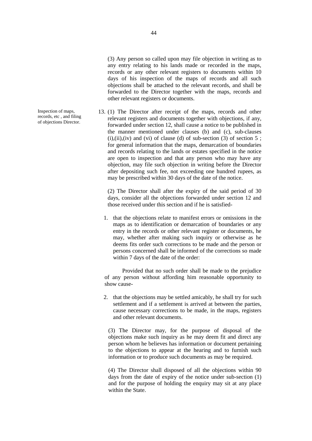(3) Any person so called upon may file objection in writing as to any entry relating to his lands made or recorded in the maps, records or any other relevant registers to documents within 10 days of his inspection of the maps of records and all such objections shall be attached to the relevant records, and shall be forwarded to the Director together with the maps, records and other relevant registers or documents.

Inspection of maps, 13. (1) The Director after receipt of the maps, records and other<br>records, etc., and filing relevant registers and documents together with objections, if any,<br>of objections Director. forwarded under section 12, shall cause a notice to be published in the manner mentioned under clauses (b) and (c), sub-clauses  $(i)$ , $(ii)$ , $(iv)$  and  $(vi)$  of clause (d) of sub-section (3) of section 5; for general information that the maps, demarcation of boundaries and records relating to the lands or estates specified in the notice are open to inspection and that any person who may have any objection, may file such objection in writing before the Director after depositing such fee, not exceeding one hundred rupees, as may be prescribed within 30 days of the date of the notice.

> (2) The Director shall after the expiry of the said period of 30 days, consider all the objections forwarded under section 12 and those received under this section and if he is satisfied-

1. that the objections relate to manifest errors or omissions in the maps as to identification or demarcation of boundaries or any entry in the records or other relevant register or documents, he may, whether after making such inquiry or otherwise as he deems fits order such corrections to be made and the person or persons concerned shall be informed of the corrections so made within 7 days of the date of the order:

Provided that no such order shall be made to the prejudice of any person without affording him reasonable opportunity to show cause-

2. that the objections may be settled amicably, he shall try for such settlement and if a settlement is arrived at between the parties, cause necessary corrections to be made, in the maps, registers and other relevant documents.

(3) The Director may, for the purpose of disposal of the objections make such inquiry as he may deem fit and direct any person whom he believes has information or document pertaining to the objections to appear at the hearing and to furnish such information or to produce such documents as may be required.

(4) The Director shall disposed of all the objections within 90 days from the date of expiry of the notice under sub-section (1) and for the purpose of holding the enquiry may sit at any place within the State.

Inspection of maps, records, etc , and filing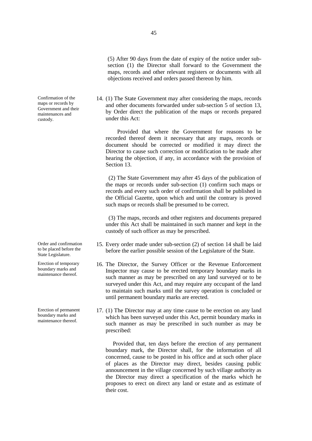Confirmation of the maps or records by Government and their maintenances and custody.

Order and confirmation to be placed before the State Legislature.

Erection of temporary boundary marks and maintenance thereof.

Erection of permanent boundary marks and maintenance thereof.

(5) After 90 days from the date of expiry of the notice under sub section (1) the Director shall forward to the Government the maps, records and other relevant registers or documents with all objections received and orders passed thereon by him.

14. (1) The State Government may after considering the maps, records and other documents forwarded under sub-section 5 of section 13, by Order direct the publication of the maps or records prepared under this Act:

Provided that where the Government for reasons to be recorded thereof deem it necessary that any maps, records or document should be corrected or modified it may direct the Director to cause such correction or modification to be made after hearing the objection, if any, in accordance with the provision of Section 13.

(2) The State Government may after 45 days of the publication of the maps or records under sub-section (1) confirm such maps or records and every such order of confirmation shall be published in the Official Gazette, upon which and until the contrary is proved such maps or records shall be presumed to be correct.

(3) The maps, records and other registers and documents prepared under this Act shall be maintained in such manner and kept in the custody of such officer as may be prescribed.

- 15. Every order made under sub-section (2) of section 14 shall be laid before the earlier possible session of the Legislature of the State.
- 16. The Director, the Survey Officer or the Revenue Enforcement Inspector may cause to be erected temporary boundary marks in such manner as may be prescribed on any land surveyed or to be surveyed under this Act, and may require any occupant of the land to maintain such marks until the survey operation is concluded or until permanent boundary marks are erected.
- 17. (1) The Director may at any time cause to be erection on any land which has been surveyed under this Act, permit boundary marks in such manner as may be prescribed in such number as may be prescribed:

Provided that, ten days before the erection of any permanent boundary mark, the Director shall, for the information of all concerned, cause to be posted in his office and at such other place of places as the Director may direct, besides causing public announcement in the village concerned by such village authority as the Director may direct a specification of the marks which he proposes to erect on direct any land or estate and as estimate of their cost.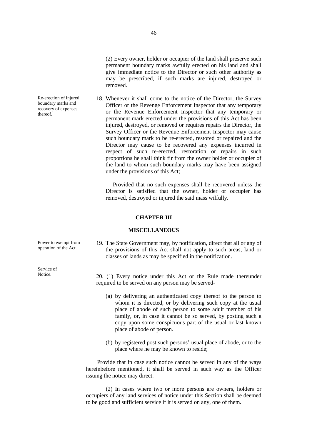(2) Every owner, holder or occupier of the land shall preserve such permanent boundary marks awfully erected on his land and shall give immediate notice to the Director or such other authority as may be prescribed, if such marks are injured, destroyed or removed.

18. Whenever it shall come to the notice of the Director, the Survey Officer or the Revenge Enforcement Inspector that any temporary or the Revenue Enforcement Inspector that any temporary or permanent mark erected under the provisions of this Act has been injured, destroyed, or removed or requires repairs the Director, the Survey Officer or the Revenue Enforcement Inspector may cause such boundary mark to be re-erected, restored or repaired and the Director may cause to be recovered any expenses incurred in respect of such re-erected, restoration or repairs in such proportions he shall think fir from the owner holder or occupier of the land to whom such boundary marks may have been assigned under the provisions of this Act;

Provided that no such expenses shall be recovered unless the Director is satisfied that the owner, holder or occupier has removed, destroyed or injured the said mass wilfully.

#### **CHAPTER III**

#### **MISCELLANEOUS**

19. The State Government may, by notification, direct that all or any of the provisions of this Act shall not apply to such areas, land or classes of lands as may be specified in the notification.

Notice. 20. (1) Every notice under this Act or the Rule made thereunder required to be served on any person may be served-

- (a) by delivering an authenticated copy thereof to the person to whom it is directed, or by delivering such copy at the usual place of abode of such person to some adult member of his family, or, in case it cannot be so served, by posting such a copy upon some conspicuous part of the usual or last known place of abode of person.
- (b) by registered post such persons' usual place of abode, or to the place where he may be known to reside;

Provide that in case such notice cannot be served in any of the ways hereinbefore mentioned, it shall be served in such way as the Officer issuing the notice may direct.

(2) In cases where two or more persons are owners, holders or occupiers of any land services of notice under this Section shall be deemed to be good and sufficient service if it is served on any, one of them.

Re-erection of injured boundary marks and recovery of expenses thereof.

Power to exempt from operation of the Act.

Service of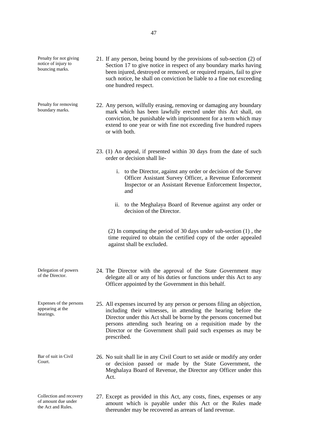Penalty for not giving notice of injury to bouncing marks.

Penalty for removing boundary marks.

of the Director.

appearing at the hearings.

- 21. If any person, being bound by the provisions of sub-section (2) of Section 17 to give notice in respect of any boundary marks having been injured, destroyed or removed, or required repairs, fail to give such notice, he shall on conviction be liable to a fine not exceeding one hundred respect.
- 22. Any person, wilfully erasing, removing or damaging any boundary mark which has been lawfully erected under this Act shall, on conviction, be punishable with imprisonment for a term which may extend to one year or with fine not exceeding five hundred rupees or with both.
	- 23. (1) An appeal, if presented within 30 days from the date of such order or decision shall lie
		- i. to the Director, against any order or decision of the Survey Officer Assistant Survey Officer, a Revenue Enforcement Inspector or an Assistant Revenue Enforcement Inspector, and
		- ii. to the Meghalaya Board of Revenue against any order or decision of the Director.

(2) In computing the period of 30 days under sub-section (1) , the time required to obtain the certified copy of the order appealed against shall be excluded.

- Delegation of powers 24. The Director with the approval of the State Government may delegate all or any of his duties or functions under this Act to any Officer appointed by the Government in this behalf.
- Expenses of the persons 25. All expenses incurred by any person or persons filing an objection, including their witnesses, in attending the hearing before the Director under this Act shall be borne by the persons concerned but persons attending such hearing on a requisition made by the Director or the Government shall paid such expenses as may be prescribed.
- Bar of suit in Civil Court. 26. No suit shall lie in any Civil Court to set aside or modify any order or decision passed or made by the State Government, the Meghalaya Board of Revenue, the Director any Officer under this Act.
- Collection and recovery of amount due under the Act and Rules. 27. Except as provided in this Act, any costs, fines, expenses or any amount which is payable under this Act or the Rules made thereunder may be recovered as arrears of land revenue.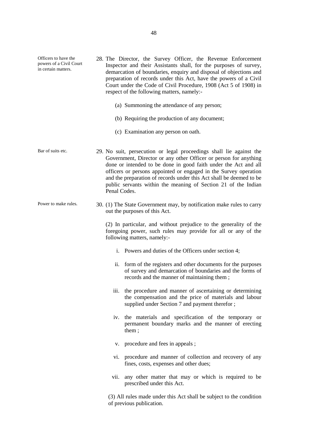Officers to have the powers of a Civil Court in certain matters. 28. The Director, the Survey Officer, the Revenue Enforcement Inspector and their Assistants shall, for the purposes of survey, demarcation of boundaries, enquiry and disposal of objections and preparation of records under this Act, have the powers of a Civil Court under the Code of Civil Procedure, 1908 (Act 5 of 1908) in respect of the following matters, namely:- (a) Summoning the attendance of any person; (b) Requiring the production of any document; (c) Examination any person on oath. Bar of suits etc. 29. No suit, persecution or legal proceedings shall lie against the Government, Director or any other Officer or person for anything done or intended to be done in good faith under the Act and all officers or persons appointed or engaged in the Survey operation and the preparation of records under this Act shall be deemed to be public servants within the meaning of Section 21 of the Indian Penal Codes. Power to make rules. 30. (1) The State Government may, by notification make rules to carry out the purposes of this Act. (2) In particular, and without prejudice to the generality of the foregoing power, such rules may provide for all or any of the following matters, namely: i. Powers and duties of the Officers under section 4; ii. form of the registers and other documents for the purposes of survey and demarcation of boundaries and the forms of records and the manner of maintaining them ; iii. the procedure and manner of ascertaining or determining the compensation and the price of materials and labour supplied under Section 7 and payment therefor ; iv. the materials and specification of the temporary or permanent boundary marks and the manner of erecting them ; v. procedure and fees in appeals ; vi. procedure and manner of collection and recovery of any fines, costs, expenses and other dues; vii. any other matter that may or which is required to be prescribed under this Act. (3) All rules made under this Act shall be subject to the condition of previous publication.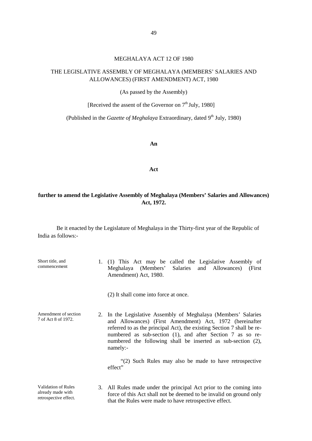# MEGHALAYA ACT 12 OF 1980

# THE LEGISLATIVE ASSEMBLY OF MEGHALAYA (MEMBERS' SALARIES AND ALLOWANCES) (FIRST AMENDMENT) ACT, 1980

(As passed by the Assembly)

[Received the assent of the Governor on 7<sup>th</sup> July, 1980]

(Published in the *Gazette of Meghalaya* Extraordinary, dated 9<sup>th</sup> July, 1980)

**An**

**Act**

# **further to amend the Legislative Assembly of Meghalaya (Members' Salaries and Allowances) Act, 1972.**

Be it enacted by the Legislature of Meghalaya in the Thirty-first year of the Republic of India as follows:-

| Short title, and<br>commencement                                         |    | (1) This Act may be called the Legislative Assembly of<br>Meghalaya (Members' Salaries and Allowances) (First<br>Amendment) Act, 1980.                                                                                                                                                                                                         |
|--------------------------------------------------------------------------|----|------------------------------------------------------------------------------------------------------------------------------------------------------------------------------------------------------------------------------------------------------------------------------------------------------------------------------------------------|
|                                                                          |    | (2) It shall come into force at once.                                                                                                                                                                                                                                                                                                          |
| Amendment of section<br>7 of Act 8 of 1972.                              |    | 2. In the Legislative Assembly of Meghalaya (Members' Salaries<br>and Allowances) (First Amendment) Act, 1972 (hereinafter<br>referred to as the principal Act), the existing Section 7 shall be re-<br>numbered as sub-section (1), and after Section 7 as so re-<br>numbered the following shall be inserted as sub-section (2),<br>namely:- |
|                                                                          |    | "(2) Such Rules may also be made to have retrospective<br>effect"                                                                                                                                                                                                                                                                              |
| <b>Validation of Rules</b><br>already made with<br>retrospective effect. | 3. | All Rules made under the principal Act prior to the coming into<br>force of this Act shall not be deemed to be invalid on ground only<br>that the Rules were made to have retrospective effect.                                                                                                                                                |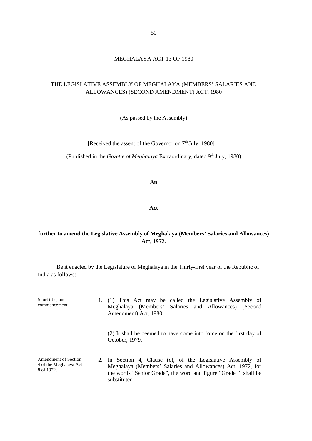# MEGHALAYA ACT 13 OF 1980

# THE LEGISLATIVE ASSEMBLY OF MEGHALAYA (MEMBERS' SALARIES AND ALLOWANCES) (SECOND AMENDMENT) ACT, 1980

(As passed by the Assembly)

[Received the assent of the Governor on  $7<sup>th</sup>$  July, 1980]

(Published in the *Gazette of Meghalaya* Extraordinary, dated 9<sup>th</sup> July, 1980)

**An**

**Act**

# **further to amend the Legislative Assembly of Meghalaya (Members' Salaries and Allowances) Act, 1972.**

Be it enacted by the Legislature of Meghalaya in the Thirty-first year of the Republic of India as follows:-

| Short title, and<br>commencement                             | 1. (1) This Act may be called the Legislative Assembly of<br>Meghalaya (Members' Salaries and Allowances) (Second<br>Amendment) Act, 1980.                                                                    |
|--------------------------------------------------------------|---------------------------------------------------------------------------------------------------------------------------------------------------------------------------------------------------------------|
|                                                              | (2) It shall be deemed to have come into force on the first day of<br>October, 1979.                                                                                                                          |
| Amendment of Section<br>4 of the Meghalaya Act<br>8 of 1972. | 2. In Section 4, Clause (c), of the Legislative Assembly of<br>Meghalaya (Members' Salaries and Allowances) Act, 1972, for<br>the words "Senior Grade", the word and figure "Grade I" shall be<br>substituted |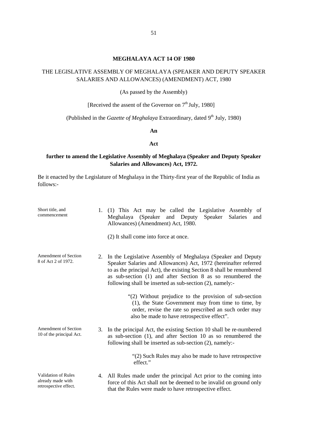### **MEGHALAYA ACT 14 OF 1980**

# THE LEGISLATIVE ASSEMBLY OF MEGHALAYA (SPEAKER AND DEPUTY SPEAKER SALARIES AND ALLOWANCES) (AMENDMENT) ACT, 1980

(As passed by the Assembly)

[Received the assent of the Governor on  $7<sup>th</sup>$  July, 1980]

(Published in the *Gazette of Meghalaya* Extraordinary, dated 9<sup>th</sup> July, 1980)

### **An**

### **Act**

# **further to amend the Legislative Assembly of Meghalaya (Speaker and Deputy Speaker Salaries and Allowances) Act, 1972.**

Be it enacted by the Legislature of Meghalaya in the Thirty-first year of the Republic of India as follows:-

| Short title, and<br>commencement                                         | 1. | (1) This Act may be called the Legislative Assembly of<br>Meghalaya (Speaker and Deputy<br>Speaker<br>Salaries<br>and<br>Allowances) (Amendment) Act, 1980.<br>(2) It shall come into force at once.                                                                                                                                   |
|--------------------------------------------------------------------------|----|----------------------------------------------------------------------------------------------------------------------------------------------------------------------------------------------------------------------------------------------------------------------------------------------------------------------------------------|
| <b>Amendment of Section</b><br>8 of Act 2 of 1972.                       |    | 2. In the Legislative Assembly of Meghalaya (Speaker and Deputy<br>Speaker Salaries and Allowances) Act, 1972 (hereinafter referred<br>to as the principal Act), the existing Section 8 shall be renumbered<br>as sub-section (1) and after Section 8 as so renumbered the<br>following shall be inserted as sub-section (2), namely:- |
|                                                                          |    | "(2) Without prejudice to the provision of sub-section<br>(1), the State Government may from time to time, by<br>order, revise the rate so prescribed an such order may<br>also be made to have retrospective effect".                                                                                                                 |
| <b>Amendment of Section</b><br>10 of the principal Act.                  |    | 3. In the principal Act, the existing Section 10 shall be re-numbered<br>as sub-section (1), and after Section 10 as so renumbered the<br>following shall be inserted as sub-section (2), namely:-                                                                                                                                     |
|                                                                          |    | "(2) Such Rules may also be made to have retrospective<br>effect."                                                                                                                                                                                                                                                                     |
| <b>Validation of Rules</b><br>already made with<br>retrospective effect. |    | 4. All Rules made under the principal Act prior to the coming into<br>force of this Act shall not be deemed to be invalid on ground only<br>that the Rules were made to have retrospective effect.                                                                                                                                     |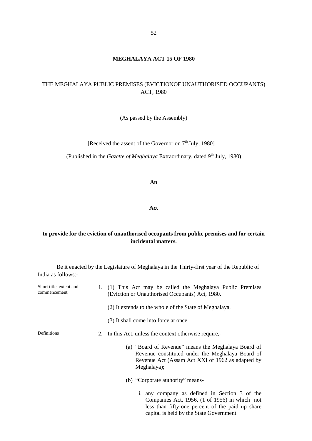### **MEGHALAYA ACT 15 OF 1980**

# THE MEGHALAYA PUBLIC PREMISES (EVICTIONOF UNAUTHORISED OCCUPANTS) ACT, 1980

(As passed by the Assembly)

[Received the assent of the Governor on  $7<sup>th</sup>$  July, 1980]

(Published in the *Gazette of Meghalaya* Extraordinary, dated 9<sup>th</sup> July, 1980)

**An**

**Act**

# **to provide for the eviction of unauthorised occupants from public premises and for certain incidental matters.**

Be it enacted by the Legislature of Meghalaya in the Thirty-first year of the Republic of India as follows:-

| Short title, extent and<br>commencement | 1. (1) This Act may be called the Meghalaya Public Premises<br>(Eviction or Unauthorised Occupants) Act, 1980.                                                             |  |  |
|-----------------------------------------|----------------------------------------------------------------------------------------------------------------------------------------------------------------------------|--|--|
|                                         | (2) It extends to the whole of the State of Meghalaya.                                                                                                                     |  |  |
|                                         | (3) It shall come into force at once.                                                                                                                                      |  |  |
| Definitions                             | 2. In this Act, unless the context otherwise require,-                                                                                                                     |  |  |
|                                         | (a) "Board of Revenue" means the Meghalaya Board of<br>Revenue constituted under the Meghalaya Board of<br>Revenue Act (Assam Act XXI of 1962 as adapted by<br>Meghalaya); |  |  |
|                                         | (b) "Corporate authority" means-                                                                                                                                           |  |  |
|                                         | i. any company as defined in Section 3 of the<br>Companies Act, 1956, (1 of 1956) in which not<br>less than fifty-one percent of the paid up share                         |  |  |

capital is held by the State Government.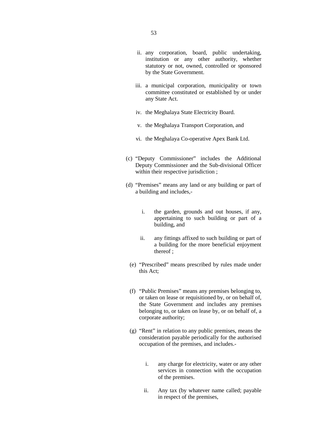- ii. any corporation, board, public undertaking, institution or any other authority, whether statutory or not, owned, controlled or sponsored by the State Government.
- iii. a municipal corporation, municipality or town committee constituted or established by or under any State Act.
- iv. the Meghalaya State Electricity Board.
- v. the Meghalaya Transport Corporation, and
- vi. the Meghalaya Co-operative Apex Bank Ltd.
- (c) "Deputy Commissioner" includes the Additional Deputy Commissioner and the Sub-divisional Officer within their respective jurisdiction :
- (d) "Premises" means any land or any building or part of a building and includes,
	- i. the garden, grounds and out houses, if any, appertaining to such building or part of a building, and
	- ii. any fittings affixed to such building or part of a building for the more beneficial enjoyment thereof ;
	- (e) "Prescribed" means prescribed by rules made under this Act;
	- (f) "Public Premises" means any premises belonging to, or taken on lease or requisitioned by, or on behalf of, the State Government and includes any premises belonging to, or taken on lease by, or on behalf of, a corporate authority;
	- (g) "Rent" in relation to any public premises, means the consideration payable periodically for the authorised occupation of the premises, and includes.
		- i. any charge for electricity, water or any other services in connection with the occupation of the premises.
		- ii. Any tax (by whatever name called; payable in respect of the premises,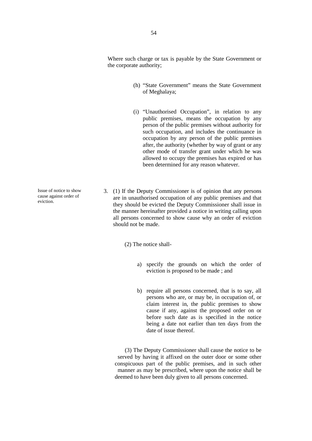Where such charge or tax is payable by the State Government or the corporate authority;

- (h) "State Government" means the State Government of Meghalaya;
- (i) "Unauthorised Occupation", in relation to any public premises, means the occupation by any person of the public premises without authority for such occupation, and includes the continuance in occupation by any person of the public premises after, the authority (whether by way of grant or any other mode of transfer grant under which he was allowed to occupy the premises has expired or has been determined for any reason whatever.
- 3. (1) If the Deputy Commissioner is of opinion that any persons are in unauthorised occupation of any public premises and that they should be evicted the Deputy Commissioner shall issue in the manner hereinafter provided a notice in writing calling upon all persons concerned to show cause why an order of eviction should not be made.

(2) The notice shall-

- a) specify the grounds on which the order of eviction is proposed to be made ; and
- b) require all persons concerned, that is to say, all persons who are, or may be, in occupation of, or claim interest in, the public premises to show cause if any, against the proposed order on or before such date as is specified in the notice being a date not earlier than ten days from the date of issue thereof.

(3) The Deputy Commissioner shall cause the notice to be served by having it affixed on the outer door or some other conspicuous part of the public premises, and in such other manner as may be prescribed, where upon the notice shall be deemed to have been duly given to all persons concerned.

Issue of notice to show cause against order of eviction.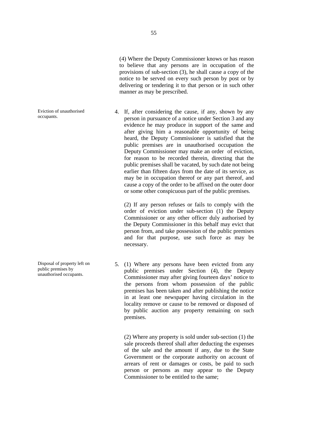(4) Where the Deputy Commissioner knows or has reason to believe that any persons are in occupation of the provisions of sub-section (3), he shall cause a copy of the notice to be served on every such person by post or by delivering or tendering it to that person or in such other manner as may be prescribed.

4. If, after considering the cause, if any, shown by any person in pursuance of a notice under Section 3 and any evidence he may produce in support of the same and after giving him a reasonable opportunity of being heard, the Deputy Commissioner is satisfied that the public premises are in unauthorised occupation the Deputy Commissioner may make an order of eviction, for reason to be recorded therein, directing that the public premises shall be vacated, by such date not being earlier than fifteen days from the date of its service, as may be in occupation thereof or any part thereof, and cause a copy of the order to be affixed on the outer door or some other conspicuous part of the public premises.

(2) If any person refuses or fails to comply with the order of eviction under sub-section (1) the Deputy Commissioner or any other officer duly authorised by the Deputy Commissioner in this behalf may evict that person from, and take possession of the public premises and for that purpose, use such force as may be necessary.

5. (1) Where any persons have been evicted from any public premises under Section (4), the Deputy Commissioner may after giving fourteen days' notice to the persons from whom possession of the public premises has been taken and after publishing the notice in at least one newspaper having circulation in the locality remove or cause to be removed or disposed of by public auction any property remaining on such premises.

(2) Where any property is sold under sub-section (1) the sale proceeds thereof shall after deducting the expenses of the sale and the amount if any, due to the State Government or the corporate authority on account of arrears of rent or damages or costs, be paid to such person or persons as may appear to the Deputy Commissioner to be entitled to the same;

Eviction of unauthorised occupants.

Disposal of property left on public premises by unauthorised occupants.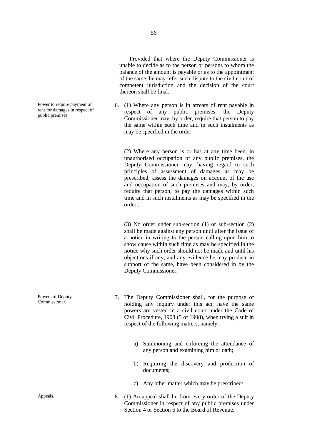Provided that where the Deputy Commissioner is unable to decide as to the person or persons to whom the balance of the amount is payable or as to the appointment of the same, he may refer such dispute to the civil court of competent jurisdiction and the decision of the court thereon shall be final.

6. (1) Where any person is in arrears of rent payable in respect of any public premises, the Deputy Commissioner may, by order, require that person to pay the same within such time and in such instalments as may be specified in the order.

(2) Where any person is or has at any time been, in unauthorised occupation of any public premises, the Deputy Commissioner may, having regard to such principles of assessment of damages as may be prescribed, assess the damages on account of the use and occupation of such premises and may, by order, require that person, to pay the damages within such time and in such instalments as may be specified in the order ;

(3) No order under sub-section (1) or sub-section (2) shall be made against any person until after the issue of a notice in writing to the person calling upon him to show cause within such time as may be specified in the notice why such order should not be made and until his objections if any, and any evidence he may produce in support of the same, have been considered in by the Deputy Commissioner.

- 7. The Deputy Commissioner shall, for the purpose of holding any inquiry under this act, have the same powers are vested in a civil court under the Code of Civil Procedure, 1908 (5 of 1908), when trying a suit in respect of the following matters, namely:
	- a) Summoning and enforcing the attendance of any person and examining him or oath;
	- b) Requiring the discovery and production of documents;
	- c) Any other matter which may be prescribed/
- Appeals. 8. (1) An appeal shall lie from every order of the Deputy Commissioner in respect of any public premises under Section 4 or Section 6 to the Board of Revenue.

Power to require payment of rent for damages in respect of public premises.

Powers of Deputy Commissioner.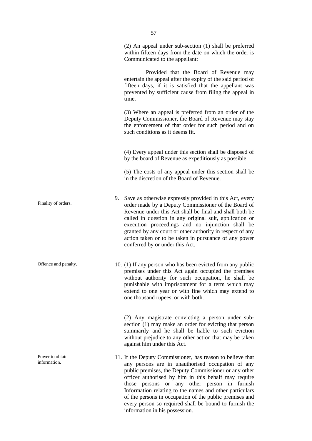(2) An appeal under sub-section (1) shall be preferred within fifteen days from the date on which the order is Communicated to the appellant:

Provided that the Board of Revenue may entertain the appeal after the expiry of the said period of fifteen days, if it is satisfied that the appellant was prevented by sufficient cause from filing the appeal in time.

(3) Where an appeal is preferred from an order of the Deputy Commissioner, the Board of Revenue may stay the enforcement of that order for such period and on such conditions as it deems fit.

(4) Every appeal under this section shall be disposed of by the board of Revenue as expeditiously as possible.

(5) The costs of any appeal under this section shall be in the discretion of the Board of Revenue.

- 9. Save as otherwise expressly provided in this Act, every order made by a Deputy Commissioner of the Board of Revenue under this Act shall be final and shall both be called in question in any original suit, application or execution proceedings and no injunction shall be granted by any court or other authority in respect of any action taken or to be taken in pursuance of any power conferred by or under this Act.
- Offence and penalty. 10. (1) If any person who has been evicted from any public premises under this Act again occupied the premises without authority for such occupation, he shall be punishable with imprisonment for a term which may extend to one year or with fine which may extend to one thousand rupees, or with both.

(2) Any magistrate convicting a person under sub section (1) may make an order for evicting that person summarily and he shall be liable to such eviction without prejudice to any other action that may be taken against him under this Act.

11. If the Deputy Commissioner, has reason to believe that any persons are in unauthorised occupation of any public premises, the Deputy Commissioner or any other officer authorised by him in this behalf may require those persons or any other person in furnish Information relating to the names and other particulars of the persons in occupation of the public premises and every person so required shall be bound to furnish the information in his possession.

Finality of orders.

Power to obtain information.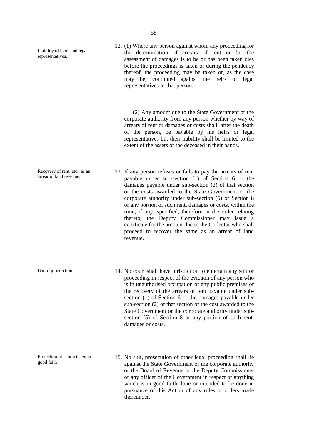Liability of heirs and legal representatives.

Recovery of rent, etc., as an arrear of land revenue.

Protection of action taken in

good faith

12. (1) Where any person against whom any proceeding for the determination of arrears of rent or for the assessment of damages is to be or has been taken dies before the proceedings is taken or during the pendency thereof, the proceeding may be taken or, as the case may be, continued against the heirs or legal representatives of that person.

(2) Any amount due to the State Government or the corporate authority from any person whether by way of arrears of rent or damages or costs shall, after the death of the person, be payable by his heirs or legal representatives but their liability shall be limited to the extent of the assets of the deceased in their hands.

- 13. If any person refuses or fails to pay the arrears of rent payable under sub-section (1) of Section 6 or the damages payable under sub-section (2) of that section or the costs awarded to the State Government or the corporate authority under sub-section (5) of Section 8 or any portion of such rent, damages or costs, within the time, if any, specified, therefore in the order relating thereto, the Deputy Commissioner may issue a certificate for the amount due to the Collector who shall proceed to recover the same as an arrear of land revenue.
- Bar of jurisdiction. 14. No court shall have jurisdiction to entertain any suit or proceeding in respect of the eviction of any person who is in unauthorised occupation of any public premises or the recovery of the arrears of rent payable under sub section (1) of Section 6 or the damages payable under sub-section (2) of that section or the cost awarded to the State Government or the corporate authority under sub section (5) of Section 8 or any portion of such rent, damages or costs.
	- 15. No suit, prosecution of other legal proceeding shall lie against the State Government or the corporate authority or the Board of Revenue or the Deputy Commissioner or any officer of the Government in respect of anything which is in good faith done or intended to be done in pursuance of this Act or of any rules or orders made thereunder.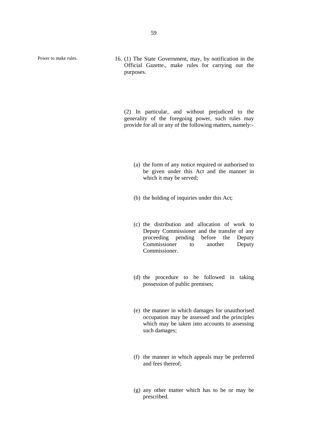Power to make rules. 16. (1) The State Government, may, by notification in the Official Gazette., make rules for carrying out the purposes.

> (2) In particular, and without prejudiced to the generality of the foregoing power, such rules may provide for all or any of the following matters, namely:-

- (a) the form of any notice required or authorised to be given under this Act and the manner in which it may be served;
- (b) the holding of inquiries under this Act;
- (c) the distribution and allocation of work to Deputy Commissioner and the transfer of any proceeding pending before the Deputy Commissioner to another Deputy Commissioner.
- (d) the procedure to be followed in taking possession of public premises;
- (e) the manner in which damages for unauthorised occupation may be assessed and the principles which may be taken into accounts to assessing such damages;
- (f) the manner in which appeals may be preferred and fees thereof;
- (g) any other matter which has to be or may be prescribed.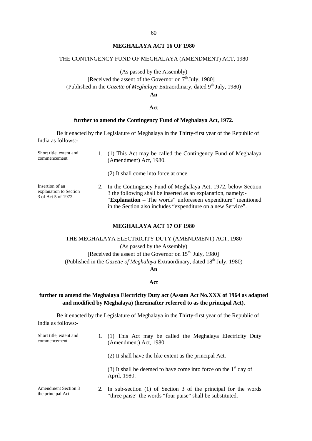### **MEGHALAYA ACT 16 OF 1980**

### THE CONTINGENCY FUND OF MEGHALAYA (AMENDMENT) ACT, 1980

# (As passed by the Assembly)

[Received the assent of the Governor on  $7<sup>th</sup>$  July, 1980]

(Published in the *Gazette of Meghalaya* Extraordinary, dated 9<sup>th</sup> July, 1980)

**An**

### **Act**

# **further to amend the Contingency Fund of Meghalaya Act, 1972.**

Be it enacted by the Legislature of Meghalaya in the Thirty-first year of the Republic of India as follows:-

| Short title, extent and<br>commencement                          | 1. (1) This Act may be called the Contingency Fund of Meghalaya<br>(Amendment) Act, 1980.                                                                                                                                                                        |
|------------------------------------------------------------------|------------------------------------------------------------------------------------------------------------------------------------------------------------------------------------------------------------------------------------------------------------------|
|                                                                  | (2) It shall come into force at once.                                                                                                                                                                                                                            |
| Insertion of an<br>explanation to Section<br>3 of Act 5 of 1972. | 2. In the Contingency Fund of Meghalaya Act, 1972, below Section<br>3 the following shall be inserted as an explanation, namely:-<br>"Explanation – The words" unforeseen expenditure" mentioned<br>in the Section also includes "expenditure on a new Service". |

### **MEGHALAYA ACT 17 OF 1980**

# THE MEGHALAYA ELECTRICITY DUTY (AMENDMENT) ACT, 1980

(As passed by the Assembly)

[Received the assent of the Governor on  $15<sup>th</sup>$  July, 1980] (Published in the *Gazette of Meghalaya* Extraordinary, dated 18<sup>th</sup> July, 1980)

#### **An**

#### **Act**

# **further to amend the Meghalaya Electricity Duty act (Assam Act No.XXX of 1964 as adapted and modified by Meghalaya) (hereinafter referred to as the principal Act).**

Be it enacted by the Legislature of Meghalaya in the Thirty-first year of the Republic of India as follows:-

| Short title, extent and<br>commencement          | 1. (1) This Act may be called the Meghalaya Electricity Duty<br>(Amendment) Act, 1980.                                          |
|--------------------------------------------------|---------------------------------------------------------------------------------------------------------------------------------|
|                                                  | (2) It shall have the like extent as the principal Act.                                                                         |
|                                                  | (3) It shall be deemed to have come into force on the $1st$ day of<br>April, 1980.                                              |
| <b>Amendment Section 3</b><br>the principal Act. | 2. In sub-section (1) of Section 3 of the principal for the words<br>"three paise" the words "four paise" shall be substituted. |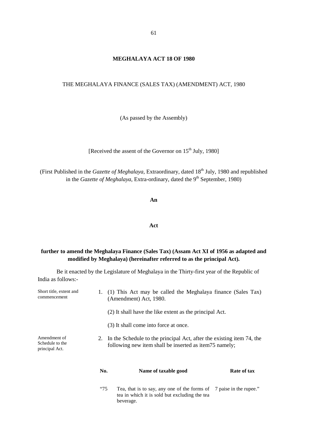# THE MEGHALAYA FINANCE (SALES TAX) (AMENDMENT) ACT, 1980

(As passed by the Assembly)

[Received the assent of the Governor on 15<sup>th</sup> July, 1980]

(First Published in the *Gazette of Meghalaya*, Extraordinary, dated 18<sup>th</sup> July, 1980 and republished in the *Gazette of Meghalaya*, Extra-ordinary, dated the 9<sup>th</sup> September, 1980)

### **An**

### **Act**

# **further to amend the Meghalaya Finance (Sales Tax) (Assam Act XI of 1956 as adapted and modified by Meghalaya) (hereinafter referred to as the principal Act).**

Be it enacted by the Legislature of Meghalaya in the Thirty-first year of the Republic of India as follows:-

| Short title, extent and<br>commencement           |                                                                                                                                    | 1. (1) This Act may be called the Meghalaya finance (Sales Tax)<br>(Amendment) Act, 1980.<br>(2) It shall have the like extent as the principal Act. |             |  |
|---------------------------------------------------|------------------------------------------------------------------------------------------------------------------------------------|------------------------------------------------------------------------------------------------------------------------------------------------------|-------------|--|
|                                                   |                                                                                                                                    | (3) It shall come into force at once.                                                                                                                |             |  |
| Amendment of<br>Schedule to the<br>principal Act. | 2. In the Schedule to the principal Act, after the existing item 74, the<br>following new item shall be inserted as item75 namely; |                                                                                                                                                      |             |  |
|                                                   | No.                                                                                                                                | Name of taxable good                                                                                                                                 | Rate of tax |  |
|                                                   | "75"                                                                                                                               | Tea, that is to say, any one of the forms of 7 paise in the rupee."<br>tea in which it is sold but excluding the tea<br>beverage.                    |             |  |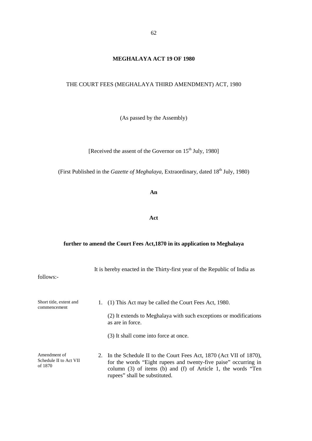# **MEGHALAYA ACT 19 OF 1980**

# THE COURT FEES (MEGHALAYA THIRD AMENDMENT) ACT, 1980

(As passed by the Assembly)

[Received the assent of the Governor on 15<sup>th</sup> July, 1980]

(First Published in the *Gazette of Meghalaya*, Extraordinary, dated 18<sup>th</sup> July, 1980)

**An**

**Act**

# **further to amend the Court Fees Act,1870 in its application to Meghalaya**

| follows:-                                         | It is hereby enacted in the Thirty-first year of the Republic of India as                                                                                                                                                                      |  |
|---------------------------------------------------|------------------------------------------------------------------------------------------------------------------------------------------------------------------------------------------------------------------------------------------------|--|
| Short title, extent and<br>commencement           | (1) This Act may be called the Court Fees Act, 1980.<br>1.<br>(2) It extends to Meghalaya with such exceptions or modifications<br>as are in force.                                                                                            |  |
|                                                   | (3) It shall come into force at once.                                                                                                                                                                                                          |  |
| Amendment of<br>Schedule II to Act VII<br>of 1870 | 2. In the Schedule II to the Court Fees Act, 1870 (Act VII of 1870),<br>for the words "Eight rupees and twenty-five paise" occurring in<br>column $(3)$ of items $(b)$ and $(f)$ of Article 1, the words "Ten<br>rupees" shall be substituted. |  |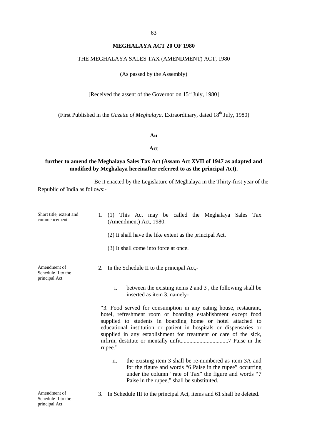# **MEGHALAYA ACT 20 OF 1980**

### THE MEGHALAYA SALES TAX (AMENDMENT) ACT, 1980

(As passed by the Assembly)

[Received the assent of the Governor on  $15<sup>th</sup>$  July, 1980]

(First Published in the *Gazette of Meghalaya*, Extraordinary, dated 18<sup>th</sup> July, 1980)

### **An**

### **Act**

# **further to amend the Meghalaya Sales Tax Act (Assam Act XVII of 1947 as adapted and modified by Meghalaya hereinafter referred to as the principal Act).**

Be it enacted by the Legislature of Meghalaya in the Thirty-first year of the Republic of India as follows:-

| Short title, extent and<br>commencement              | (1) This Act may be called the Meghalaya Sales Tax<br>1.<br>(Amendment) Act, 1980.                                                                                                                                                                                                                                                                   |  |  |
|------------------------------------------------------|------------------------------------------------------------------------------------------------------------------------------------------------------------------------------------------------------------------------------------------------------------------------------------------------------------------------------------------------------|--|--|
|                                                      | (2) It shall have the like extent as the principal Act.                                                                                                                                                                                                                                                                                              |  |  |
|                                                      | (3) It shall come into force at once.                                                                                                                                                                                                                                                                                                                |  |  |
| Amendment of<br>Schedule II to the<br>principal Act. | 2. In the Schedule II to the principal Act,-                                                                                                                                                                                                                                                                                                         |  |  |
|                                                      | i.<br>between the existing items 2 and 3, the following shall be<br>inserted as item 3, namely-                                                                                                                                                                                                                                                      |  |  |
|                                                      | "3. Food served for consumption in any eating house, restaurant,<br>hotel, refreshment room or boarding establishment except food<br>supplied to students in boarding home or hotel attached to<br>educational institution or patient in hospitals or dispensaries or<br>supplied in any establishment for treatment or care of the sick,<br>rupee." |  |  |
|                                                      | ii.<br>the existing item 3 shall be re-numbered as item 3A and<br>for the figure and words "6 Paise in the rupee" occurring<br>under the column "rate of Tax" the figure and words "7<br>Paise in the rupee," shall be substituted.                                                                                                                  |  |  |
| Amendment of<br>Schedule II to the                   | In Schedule III to the principal Act, items and 61 shall be deleted.<br>3.                                                                                                                                                                                                                                                                           |  |  |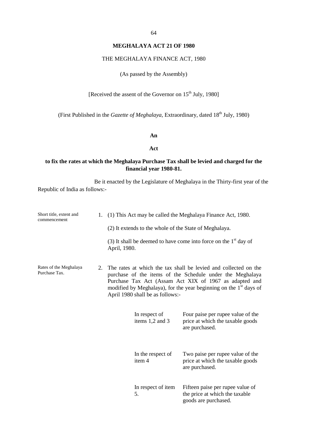# **MEGHALAYA ACT 21 OF 1980**

# THE MEGHALAYA FINANCE ACT, 1980

(As passed by the Assembly)

[Received the assent of the Governor on  $15<sup>th</sup>$  July, 1980]

(First Published in the *Gazette of Meghalaya*, Extraordinary, dated 18<sup>th</sup> July, 1980)

### **An**

#### **Act**

# **to fix the rates at which the Meghalaya Purchase Tax shall be levied and charged for the financial year 1980-81.**

Be it enacted by the Legislature of Meghalaya in the Thirty-first year of the Republic of India as follows:-

| Short title, extent and<br>commencement |    | 1. (1) This Act may be called the Meghalaya Finance Act, 1980.<br>(2) It extends to the whole of the State of Meghalaya.                                                                                                                                                                                    |                                                                                            |  |
|-----------------------------------------|----|-------------------------------------------------------------------------------------------------------------------------------------------------------------------------------------------------------------------------------------------------------------------------------------------------------------|--------------------------------------------------------------------------------------------|--|
|                                         |    | April, 1980.                                                                                                                                                                                                                                                                                                | (3) It shall be deemed to have come into force on the $1st$ day of                         |  |
| Rates of the Meghalaya<br>Purchase Tax. | 2. | The rates at which the tax shall be levied and collected on the<br>purchase of the items of the Schedule under the Meghalaya<br>Purchase Tax Act (Assam Act XIX of 1967 as adapted and<br>modified by Meghalaya), for the year beginning on the 1 <sup>st</sup> days of<br>April 1980 shall be as follows:- |                                                                                            |  |
|                                         |    | In respect of<br>items 1,2 and 3                                                                                                                                                                                                                                                                            | Four paise per rupee value of the<br>price at which the taxable goods<br>are purchased.    |  |
|                                         |    | In the respect of<br>item 4                                                                                                                                                                                                                                                                                 | Two paise per rupee value of the<br>price at which the taxable goods<br>are purchased.     |  |
|                                         |    | In respect of item<br>5.                                                                                                                                                                                                                                                                                    | Fifteen paise per rupee value of<br>the price at which the taxable<br>goods are purchased. |  |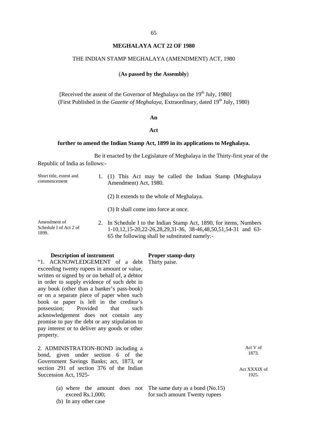### **MEGHALAYA ACT 22 OF 1980**

#### THE INDIAN STAMP MEGHALAYA (AMENDMENT) ACT, 1980

# (**As passed by the Assembly**)

[Received the assent of the Governor of Meghalaya on the  $19<sup>th</sup>$  July, 1980] (First Published in the *Gazette of Meghalaya*, Extraordinary, dated 19<sup>th</sup> July, 1980)

#### **An**

#### **Act**

### **further to amend the Indian Stamp Act, 1899 in its applications to Meghalaya.**

Be it enacted by the Legislature of Meghalaya in the Thirty-first year of the Republic of India as follows:-

| Short title, extent and<br>commencement         | 1. (1) This Act may be called the Indian Stamp (Meghalaya<br>Amendment) Act, 1980.                                                                                                    |  |
|-------------------------------------------------|---------------------------------------------------------------------------------------------------------------------------------------------------------------------------------------|--|
|                                                 | (2) It extends to the whole of Meghalaya.                                                                                                                                             |  |
|                                                 | (3) It shall come into force at once.                                                                                                                                                 |  |
| Amendment of<br>Schedule I of Act 2 of<br>1899. | 2. In Schedule I to the Indian Stamp Act, 1890, for items, Numbers<br>1-10,12,15-20,22-26,28,29,31-36, 38-46,48,50,51,54-31 and 63-<br>65 the following shall be substituted namely:- |  |

#### **Description of instrument Proper stamp-duty**

"1. ACKNOWLEDGEMENT of a debt Thirty paise. exceeding twenty rupees in amount or value, written or signed by or on behalf of, a debtor in order to supply evidence of such debt in any book (other than a banker's pass-book) or on a separate piece of paper when such book or paper is left in the creditor's possession; Provided that such acknowledgement does not contain any promise to pay the debt or any stipulation to pay interest or to deliver any goods or other property.

2. ADMINISTRATION-BOND including a bond, given under section 6 of the Government Savings Banks; act, 1873, or section 291 of section 376 of the Indian Succession Act, 1925-

- (a) where the amount does not The same duty as a bond (No.15) exceed Rs.1,000;
- (b) In any other case

Act V of 1873.

Act XXXIX of 1925.

for such amount Twenty rupees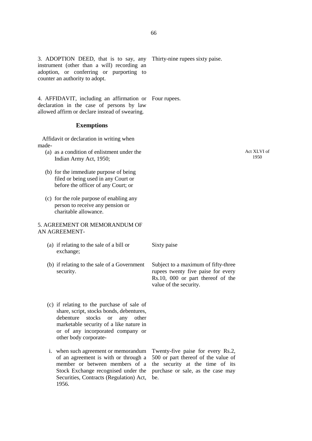3. ADOPTION DEED, that is to say, any instrument (other than a will) recording an adoption, or conferring or purporting to counter an authority to adopt.

4. AFFIDAVIT, including an affirmation or Four rupees. declaration in the case of persons by law allowed affirm or declare instead of swearing.

### **Exemptions**

Affidavit or declaration in writing when made-

- (a) as a condition of enlistment under the Indian Army Act, 1950;
- (b) for the immediate purpose of being filed or being used in any Court or before the officer of any Court; or
- (c) for the role purpose of enabling any person to receive any pension or charitable allowance.

### 5. AGREEMENT OR MEMORANDUM OF AN AGREEMENT-

- (a) if relating to the sale of a bill or exchange;
- (b) if relating to the sale of a Government security.
- (c) if relating to the purchase of sale of share, script, stocks bonds, debentures, debenture stocks or any other marketable security of a like nature in or of any incorporated company or other body corporate-
- i. when such agreement or memorandum of an agreement is with or through a member or between members of a the security at the time of its Stock Exchange recognised under the Securities, Contracts (Regulation) Act, 1956.

Sixty paise

Subject to a maximum of fifty-three rupees twenty five paise for every Rs.10, 000 or part thereof of the value of the security.

Twenty-five paise for every Rs.2, 500 or part thereof of the value of purchase or sale, as the case may be.

Act XLVI of 1950

66

Thirty-nine rupees sixty paise.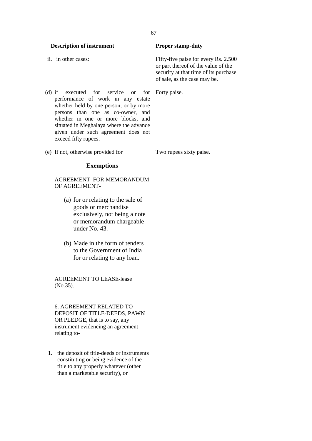**Description of instrument Proper stamp-duty** ii. in other cases: Fifty-five paise for every Rs. 2.500 or part thereof of the value of the security at that time of its purchase of sale, as the case may be.

- (d) if executed for service or for performance of work in any estate whether held by one person, or by more persons than one as co-owner, and whether in one or more blocks, and situated in Meghalaya where the advance given under such agreement does not exceed fifty rupees.
- (e) If not, otherwise provided for Two rupees sixty paise.

# **Exemptions**

AGREEMENT FOR MEMORANDUM OF AGREEMENT-

- (a) for or relating to the sale of goods or merchandise exclusively, not being a note or memorandum chargeable under No. 43.
- (b) Made in the form of tenders to the Government of India for or relating to any loan.

AGREEMENT TO LEASE-lease (No.35).

6. AGREEMENT RELATED TO DEPOSIT OF TITLE-DEEDS, PAWN OR PLEDGE, that is to say, any instrument evidencing an agreement relating to-

1. the deposit of title-deeds or instruments constituting or being evidence of the title to any properly whatever (other than a marketable security), or

### 67

Forty paise.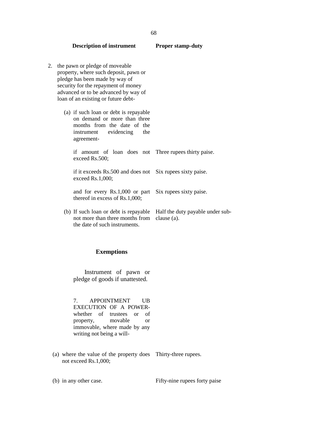| 2. | the pawn or pledge of moveable<br>property, where such deposit, pawn or<br>pledge has been made by way of<br>security for the repayment of money<br>advanced or to be advanced by way of<br>loan of an existing or future debt- |                                                 |
|----|---------------------------------------------------------------------------------------------------------------------------------------------------------------------------------------------------------------------------------|-------------------------------------------------|
|    | (a) if such loan or debt is repayable<br>on demand or more than three<br>months from the date of the<br>instrument evidencing<br>the<br>agreement-                                                                              |                                                 |
|    | if amount of loan does not Three rupees thirty paise.<br>exceed Rs.500;                                                                                                                                                         |                                                 |
|    | if it exceeds Rs.500 and does not Six rupees sixty paise.<br>exceed $Rs.1,000;$                                                                                                                                                 |                                                 |
|    | and for every Rs.1,000 or part<br>thereof in excess of $Rs.1,000;$                                                                                                                                                              | Six rupees sixty paise.                         |
|    | (b) If such loan or debt is repayable<br>not more than three months from<br>the date of such instruments.                                                                                                                       | Half the duty payable under sub-<br>clause (a). |

# **Exemptions**

Instrument of pawn or pledge of goods if unattested.

7. APPOINTMENT UB EXECUTION OF A POWER whether of trustees or of property, movable or immovable, where made by any writing not being a will-

(a) where the value of the property does Thirty-three rupees. not exceed Rs.1,000;

(b) in any other case. Fifty-nine rupees forty paise

**Description of instrument Proper stamp-duty**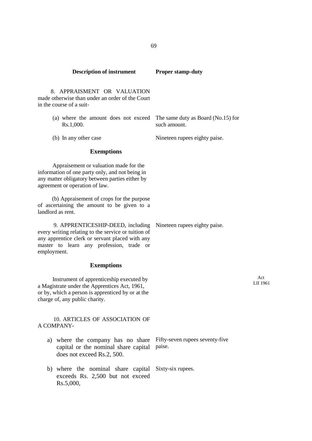| <b>Description of instrument</b>                                                                                                                                                                       | <b>Proper stamp-duty</b>                           |
|--------------------------------------------------------------------------------------------------------------------------------------------------------------------------------------------------------|----------------------------------------------------|
| 8. APPRAISMENT OR VALUATION<br>made otherwise than under an order of the Court<br>in the course of a suit-                                                                                             |                                                    |
| (a) where the amount does not exceed<br>Rs.1,000.                                                                                                                                                      | The same duty as Board (No.15) for<br>such amount. |
| (b) In any other case                                                                                                                                                                                  | Nineteen rupees eighty paise.                      |
| <b>Exemptions</b>                                                                                                                                                                                      |                                                    |
| Appraisement or valuation made for the<br>information of one party only, and not being in<br>any matter obligatory between parties either by<br>agreement or operation of law.                         |                                                    |
| (b) Appraisement of crops for the purpose<br>of ascertaining the amount to be given to a<br>landlord as rent.                                                                                          |                                                    |
| 9. APPRENTICESHIP-DEED, including<br>every writing relating to the service or tuition of<br>any apprentice clerk or servant placed with any<br>master to learn any profession, trade or<br>employment. | Nineteen rupees eighty paise.                      |
| <b>Exemptions</b>                                                                                                                                                                                      |                                                    |
| Instrument of apprenticeship executed by<br>a Magistrate under the Apprentices Act, 1961,<br>or by, which a person is apprenticed by or at the<br>charge of, any public charity.                       | Act<br>LII 1961                                    |
| 10. ARTICLES OF ASSOCIATION OF<br>A COMPANY-                                                                                                                                                           |                                                    |
| a) where the company has no share Fifty-seven rupees seventy-five<br>capital or the nominal share capital<br>does not exceed Rs.2, 500.                                                                | paise.                                             |
| b) where the nominal share capital Sixty-six rupees.<br>exceeds Rs. 2,500 but not exceed<br>Rs.5,000,                                                                                                  |                                                    |

69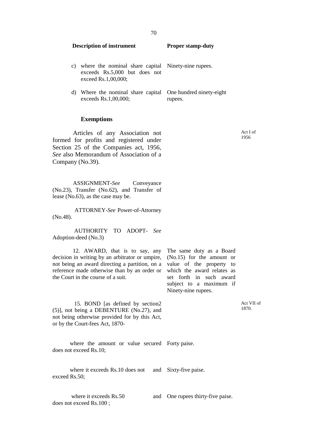| <b>Description of instrument</b> |                                                                                                             | <b>Proper stamp-duty</b> |  |
|----------------------------------|-------------------------------------------------------------------------------------------------------------|--------------------------|--|
| C)                               | where the nominal share capital Ninety-nine rupees.<br>exceeds Rs.5,000 but does not<br>exceed Rs.1,00,000; |                          |  |
| d)                               | Where the nominal share capital One hundred ninety-eight<br>exceeds Rs.1,00,000;                            | rupees.                  |  |

#### **Exemptions**

Articles of any Association not formed for profits and registered under Section 25 of the Companies act, 1956, *See* also Memorandum of Association of a Company (No.39).

ASSIGNMENT-*See* Conveyance (No.23), Transfer (No.62), and Transfer of lease (No.63), as the case may be.

ATTORNEY-*See* Power-of-Attorney (No.48).

AUTHORITY TO ADOPT- *See* Adoption-deed (No.3)

12. AWARD, that is to say, any decision in writing by an arbitrator or umpire, (No.15) for the amount or not being an award directing a partition, on a value of the property to reference made otherwise than by an order or the Court in the course of a suit.

The same duty as a Board which the award relates as set forth in such award subject to a maximum if Ninety-nine rupees.

15. BOND [as defined by section2 (5)], not being a DEBENTURE (No.27), and not being otherwise provided for by this Act, or by the Court-fees Act, 1870-

where the amount or value secured Forty paise. does not exceed Rs.10;

where it exceeds Rs.10 does not and Sixty-five paise. exceed Rs.50;

where it exceeds  $Rs.50$ does not exceed Rs.100 ;

One rupees thirty-five paise.

Act I of 1956

Act VII of 1870.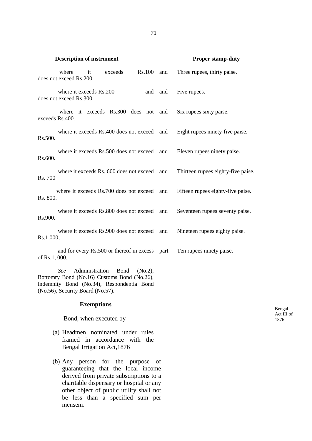|                 | <b>Description of instrument</b>                   |                   |                         |                                                                                                     |         | <b>Proper stamp-duty</b>           |                    |
|-----------------|----------------------------------------------------|-------------------|-------------------------|-----------------------------------------------------------------------------------------------------|---------|------------------------------------|--------------------|
|                 | where<br>does not exceed Rs.200.                   | it                | exceeds                 | Rs.100 and                                                                                          |         | Three rupees, thirty paise.        |                    |
|                 | where it exceeds Rs.200<br>does not exceed Rs.300. |                   |                         |                                                                                                     | and and | Five rupees.                       |                    |
| exceeds Rs.400. |                                                    |                   |                         | where it exceeds Rs.300 does not and                                                                |         | Six rupees sixty paise.            |                    |
| Rs.500.         |                                                    |                   |                         | where it exceeds Rs.400 does not exceed and                                                         |         | Eight rupees ninety-five paise.    |                    |
| Rs.600.         |                                                    |                   |                         | where it exceeds Rs.500 does not exceed and                                                         |         | Eleven rupees ninety paise.        |                    |
| Rs. 700         |                                                    |                   |                         | where it exceeds Rs. 600 does not exceed and                                                        |         | Thirteen rupees eighty-five paise. |                    |
| Rs. 800.        |                                                    |                   |                         | where it exceeds Rs.700 does not exceed and                                                         |         | Fifteen rupees eighty-five paise.  |                    |
| Rs.900.         |                                                    |                   |                         | where it exceeds Rs.800 does not exceed and                                                         |         | Seventeen rupees seventy paise.    |                    |
| Rs.1,000;       |                                                    |                   |                         | where it exceeds Rs.900 does not exceed and                                                         |         | Nineteen rupees eighty paise.      |                    |
| of Rs.1, 000.   |                                                    |                   |                         | and for every Rs.500 or thereof in excess part                                                      |         | Ten rupees ninety paise.           |                    |
|                 | See<br>(No.56), Security Board (No.57).            | Administration    | <b>Bond</b>             | (No.2),<br>Bottomry Bond (No.16) Customs Bond (No.26),<br>Indemnity Bond (No.34), Respondentia Bond |         |                                    |                    |
|                 |                                                    | <b>Exemptions</b> |                         |                                                                                                     |         |                                    | Bengal             |
|                 |                                                    |                   | Bond, when executed by- |                                                                                                     |         |                                    | Act III of<br>1876 |
|                 | Bengal Irrigation Act, 1876                        |                   |                         | (a) Headmen nominated under rules<br>framed in accordance with the                                  |         |                                    |                    |

(b) Any person for the purpose of guaranteeing that the local income derived from private subscriptions to a charitable dispensary or hospital or any other object of public utility shall not be less than a specified sum per mensem.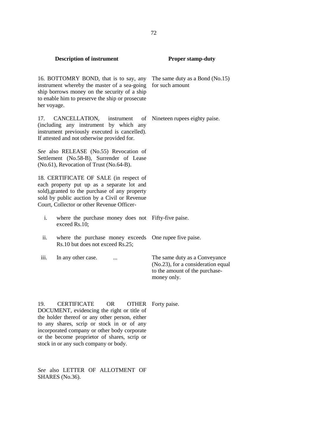16. BOTTOMRY BOND, that is to say, any instrument whereby the master of a sea-going for such amount ship borrows money on the security of a ship to enable him to preserve the ship or prosecute her voyage.

17. CANCELLATION, instrument of (including any instrument by which any instrument previously executed is cancelled). If attested and not otherwise provided for.

*See* also RELEASE (No.55) Revocation of Settlement (No.58-B), Surrender of Lease (No.61), Revocation of Trust (No.64-B).

18. CERTIFICATE OF SALE (in respect of each property put up as a separate lot and sold),granted to the purchase of any property sold by public auction by a Civil or Revenue Court, Collector or other Revenue Officer-

- i. where the purchase money does not Fifty-five paise. exceed Rs.10;
- ii. where the purchase money exceeds One rupee five paise. Rs.10 but does not exceed Rs.25;
- 

iii. In any other case. ... The same duty as a Conveyance (No.23), for a consideration equal to the amount of the purchase money only.

19. CERTIFICATE OR OTHER Forty paise. DOCUMENT, evidencing the right or title of the holder thereof or any other person, either to any shares, scrip or stock in or of any incorporated company or other body corporate or the become proprietor of shares, scrip or stock in or any such company or body.

*See* also LETTER OF ALLOTMENT OF SHARES (No.36).

The same duty as a Bond (No.15)

Nineteen rupees eighty paise.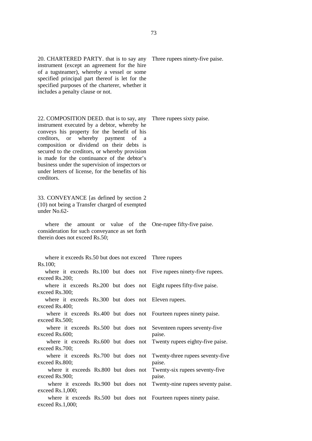20. CHARTERED PARTY. that is to say any instrument (except an agreement for the hire of a tugsteamer), whereby a vessel or some specified principal part thereof is let for the specified purposes of the charterer, whether it includes a penalty clause or not.

22. COMPOSITION DEED. that is to say, any instrument executed by a debtor, whereby he conveys his property for the benefit of his creditors, or whereby payment of a composition or dividend on their debts is secured to the creditors, or whereby provision is made for the continuance of the debtor's business under the supervision of inspectors or under letters of license, for the benefits of his creditors.

33. CONVEYANCE [as defined by section 2 (10) not being a Transfer charged of exempted under No.62-

where the amount or value of the One-rupee fifty-five paise. consideration for such conveyance as set forth therein does not exceed Rs.50;

where it exceeds Rs.50 but does not exceed Three rupees Rs.100; where it exceeds Rs.100 but does not Five rupees ninety-five rupees. exceed Rs.200; where it exceeds Rs.200 but does not Eight rupees fifty-five paise. exceed Rs.300; where it exceeds Rs.300 but does not Eleven rupees. exceed Rs.400; where it exceeds Rs.400 but does not Fourteen rupees ninety paise. exceed Rs.500; where it exceeds Rs.500 but does not exceed Rs.600; Seventeen rupees seventy-five paise. where it exceeds Rs.600 but does not exceed Rs.700; Twenty rupees eighty-five paise. where it exceeds Rs.700 but does not exceed Rs.800; Twenty-three rupees seventy-five paise. where it exceeds Rs.800 but does not exceed Rs.900; Twenty-six rupees seventy-five paise. where it exceeds Rs.900 but does not Twenty-nine rupees seventy paise. exceed Rs.1,000; where it exceeds Rs.500 but does not Fourteen rupees ninety paise.exceed Rs.1,000;

Three rupees ninety-five paise.

Three rupees sixty paise.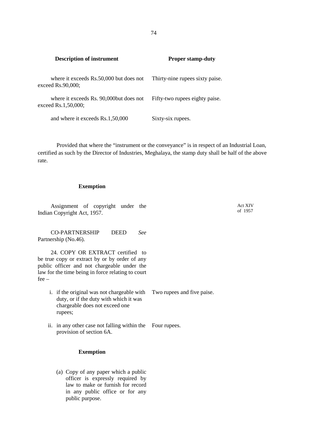**Description of instrument Proper stamp-duty** where it exceeds Rs.50,000 but does not exceed Rs.90,000; Thirty-nine rupees sixty paise. where it exceeds Rs. 90,000but does not exceed Rs.1,50,000; Fifty-two rupees eighty paise. and where it exceeds Rs.1,50,000 Sixty-six rupees.

Provided that where the "instrument or the conveyance" is in respect of an Industrial Loan, certified as such by the Director of Industries, Meghalaya, the stamp duty shall be half of the above rate.

#### **Exemption**

Assignment of copyright under the Indian Copyright Act, 1957.

CO-PARTNERSHIP DEED *See* Partnership (No.46).

24. COPY OR EXTRACT certified to be true copy or extract by or by order of any public officer and not chargeable under the law for the time being in force relating to court fee –

- i. if the original was not chargeable with duty, or if the duty with which it was chargeable does not exceed one rupees; Two rupees and five paise.
- ii. in any other case not falling within the Four rupees. provision of section 6A.

### **Exemption**

(a) Copy of any paper which a public officer is expressly required by law to make or furnish for record in any public office or for any public purpose.

Act XIV of 1957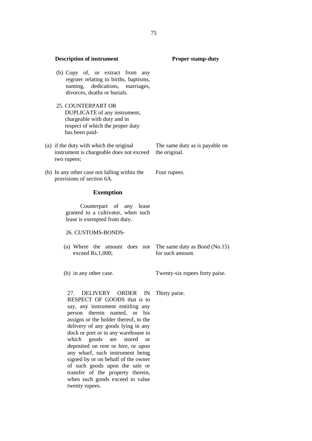| <b>Description of instrument</b>                                                                                                                                                                                                                                                                                                                                                                                                                                                                     | <b>Proper stamp-duty</b>                          |
|------------------------------------------------------------------------------------------------------------------------------------------------------------------------------------------------------------------------------------------------------------------------------------------------------------------------------------------------------------------------------------------------------------------------------------------------------------------------------------------------------|---------------------------------------------------|
| (b) Copy of, or extract from any<br>register relating to births, baptisms,<br>naming, dedications, marriages,<br>divorces, deaths or burials.                                                                                                                                                                                                                                                                                                                                                        |                                                   |
| 25. COUNTERPART OR<br>DUPLICATE of any instrument,<br>chargeable with duty and in<br>respect of which the proper duty<br>has been paid-                                                                                                                                                                                                                                                                                                                                                              |                                                   |
| (a) if the duty with which the original<br>instrument is chargeable does not exceed<br>two rupees;                                                                                                                                                                                                                                                                                                                                                                                                   | The same duty as is payable on<br>the original.   |
| (b) In any other case not falling within the<br>provisions of section 6A.                                                                                                                                                                                                                                                                                                                                                                                                                            | Four rupees.                                      |
| <b>Exemption</b>                                                                                                                                                                                                                                                                                                                                                                                                                                                                                     |                                                   |
| Counterpart of any lease<br>granted to a cultivator, when such<br>lease is exempted from duty.                                                                                                                                                                                                                                                                                                                                                                                                       |                                                   |
| 26. CUSTOMS-BONDS-                                                                                                                                                                                                                                                                                                                                                                                                                                                                                   |                                                   |
| (a) Where the amount does not<br>exceed Rs.1,000;                                                                                                                                                                                                                                                                                                                                                                                                                                                    | The same duty as Bond (No.15)<br>for such amount. |
| (b) in any other case.                                                                                                                                                                                                                                                                                                                                                                                                                                                                               | Twenty-six rupees forty paise.                    |
| DELIVERY ORDER IN<br>27.<br>RESPECT OF GOODS that is to<br>say, any instrument entitling any<br>therein named,<br>or his<br>person<br>assigns or the holder thereof, to the<br>delivery of any goods lying in any<br>dock or port or in any warehouse in<br>which<br>goods<br>are<br>stored<br><sub>or</sub><br>deposited on rent or hire, or upon<br>any wharf, such instrument being<br>signed by or on behalf of the owner<br>of such goods upon the sale or<br>transfer of the property therein, | Thirty paise.                                     |

when such goods exceed in value

twenty rupees.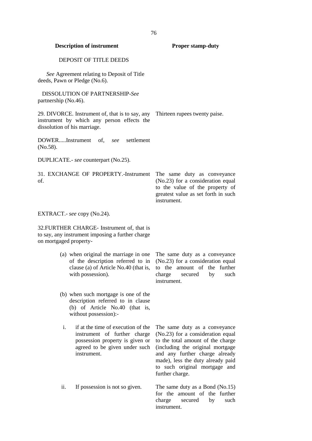| <b>Description of instrument</b>                                                                                                                            | <b>Proper stamp-duty</b>                                                                                                                                                                                                                                               |
|-------------------------------------------------------------------------------------------------------------------------------------------------------------|------------------------------------------------------------------------------------------------------------------------------------------------------------------------------------------------------------------------------------------------------------------------|
| <b>DEPOSIT OF TITLE DEEDS</b>                                                                                                                               |                                                                                                                                                                                                                                                                        |
| See Agreement relating to Deposit of Title<br>deeds, Pawn or Pledge (No.6).                                                                                 |                                                                                                                                                                                                                                                                        |
| <b>DISSOLUTION OF PARTNERSHIP-See</b><br>partnership (No.46).                                                                                               |                                                                                                                                                                                                                                                                        |
| 29. DIVORCE. Instrument of, that is to say, any Thirteen rupees twenty paise.<br>instrument by which any person effects the<br>dissolution of his marriage. |                                                                                                                                                                                                                                                                        |
| DOWERInstrument of, see<br>settlement<br>(No.58).                                                                                                           |                                                                                                                                                                                                                                                                        |
| DUPLICATE.- see counterpart (No.25).                                                                                                                        |                                                                                                                                                                                                                                                                        |
| 31. EXCHANGE OF PROPERTY.-Instrument<br>of.                                                                                                                 | The same duty as conveyance<br>(No.23) for a consideration equal<br>to the value of the property of<br>greatest value as set forth in such<br>instrument.                                                                                                              |
| EXTRACT.- see copy (No.24).                                                                                                                                 |                                                                                                                                                                                                                                                                        |
| 32. FURTHER CHARGE- Instrument of, that is<br>to say, any instrument imposing a further charge<br>on mortgaged property-                                    |                                                                                                                                                                                                                                                                        |
| (a) when original the marriage in one<br>of the description referred to in<br>clause (a) of Article No.40 (that is,<br>with possession).                    | The same duty as a conveyance<br>(No.23) for a consideration equal<br>to the amount of the further<br>charge<br>secured<br>by<br>such<br>instrument.                                                                                                                   |
| (b) when such mortgage is one of the<br>description referred to in clause<br>(b) of Article No.40 (that is,<br>without possession):-                        |                                                                                                                                                                                                                                                                        |
| i.<br>if at the time of execution of the<br>instrument of further charge<br>possession property is given or<br>agreed to be given under such<br>instrument. | The same duty as a conveyance<br>(No.23) for a consideration equal<br>to the total amount of the charge<br>(including the original mortgage<br>and any further charge already<br>made), less the duty already paid<br>to such original mortgage and<br>further charge. |
| If possession is not so given.<br>ii.                                                                                                                       | The same duty as a Bond $(No.15)$<br>for the amount of the further<br>charge<br>such<br>secured<br>by<br>instrument.                                                                                                                                                   |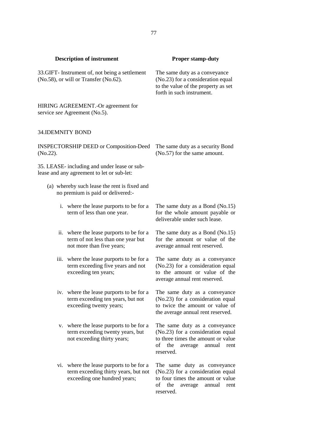|                                                                                          | <b>Description of instrument</b>                                                                                 | <b>Proper stamp-duty</b>                                                                                                                                        |
|------------------------------------------------------------------------------------------|------------------------------------------------------------------------------------------------------------------|-----------------------------------------------------------------------------------------------------------------------------------------------------------------|
| 33. GIFT- Instrument of, not being a settlement<br>(No.58), or will or Transfer (No.62). |                                                                                                                  | The same duty as a conveyance<br>(No.23) for a consideration equal<br>to the value of the property as set<br>forth in such instrument.                          |
|                                                                                          | HIRING AGREEMENT.-Or agreement for<br>service see Agreement (No.5).                                              |                                                                                                                                                                 |
| <b>34.IDEMNITY BOND</b>                                                                  |                                                                                                                  |                                                                                                                                                                 |
| $(No.22)$ .                                                                              | <b>INSPECTORSHIP DEED or Composition-Deed</b>                                                                    | The same duty as a security Bond<br>(No.57) for the same amount.                                                                                                |
|                                                                                          | 35. LEASE- including and under lease or sub-<br>lease and any agreement to let or sub-let:                       |                                                                                                                                                                 |
|                                                                                          | (a) whereby such lease the rent is fixed and<br>no premium is paid or delivered:-                                |                                                                                                                                                                 |
|                                                                                          | i. where the lease purports to be for a<br>term of less than one year.                                           | The same duty as a Bond $(No.15)$<br>for the whole amount payable or<br>deliverable under such lease.                                                           |
|                                                                                          | ii. where the lease purports to be for a<br>term of not less than one year but<br>not more than five years;      | The same duty as a Bond (No.15)<br>for the amount or value of the<br>average annual rent reserved.                                                              |
|                                                                                          | iii. where the lease purports to be for a<br>term exceeding five years and not<br>exceeding ten years;           | The same duty as a conveyance<br>(No.23) for a consideration equal<br>to the amount or value of the<br>average annual rent reserved.                            |
|                                                                                          | iv. where the lease purports to be for a<br>term exceeding ten years, but not<br>exceeding twenty years;         | The same duty as a conveyance<br>(No.23) for a consideration equal<br>to twice the amount or value of<br>the average annual rent reserved.                      |
|                                                                                          | v. where the lease purports to be for a<br>term exceeding twenty years, but<br>not exceeding thirty years;       | The same duty as a conveyance<br>(No.23) for a consideration equal<br>to three times the amount or value<br>of<br>the<br>annual<br>average<br>rent<br>reserved. |
|                                                                                          | vi. where the lease purports to be for a<br>term exceeding thirty years, but not<br>exceeding one hundred years; | The same duty as conveyance<br>(No.23) for a consideration equal<br>to four times the amount or value<br>the<br>of<br>annual<br>average<br>rent<br>reserved.    |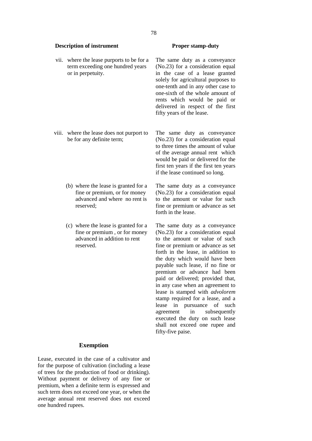#### vii. where the lease purports to be for a term exceeding one hundred years or in perpetuity.

- viii. where the lease does not purport to be for any definite term;
	- (b) where the lease is granted for a fine or premium, or for money advanced and where no rent is reserved;
	- (c) where the lease is granted for a fine or premium , or for money advanced in addition to rent reserved.

The same duty as a conveyance (No.23) for a consideration equal in the case of a lease granted solely for agricultural purposes to one-tenth and in any other case to one-sixth of the whole amount of rents which would be paid or delivered in respect of the first fifty years of the lease.

The same duty as conveyance (No.23) for a consideration equal to three times the amount of value of the average annual rent which would be paid or delivered for the first ten years if the first ten years if the lease continued so long.

The same duty as a conveyance (No.23) for a consideration equal to the amount or value for such fine or premium or advance as set forth in the lease.

The same duty as a conveyance (No.23) for a consideration equal to the amount or value of such fine or premium or advance as set forth in the lease, in addition to the duty which would have been payable such lease, if no fine or premium or advance had been paid or delivered; provided that, in any case when an agreement to lease is stamped with *advolorem* stamp required for a lease, and a lease in pursuance of such agreement in subsequently executed the duty on such lease shall not exceed one rupee and fifty-five paise.

#### **Exemption**

Lease, executed in the case of a cultivator and for the purpose of cultivation (including a lease of trees for the production of food or drinking). Without payment or delivery of any fine or premium, when a definite term is expressed and such term does not exceed one year, or when the average annual rent reserved does not exceed one hundred rupees.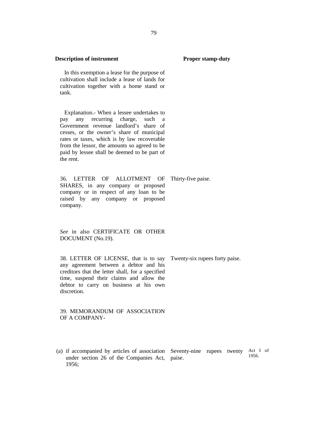In this exemption a lease for the purpose of cultivation shall include a lease of lands for cultivation together with a home stand or tank.

Explanation.- When a lessee undertakes to pay any recurring charge, such a Government revenue landlord's share of cesses, or the owner's share of municipal rates or taxes, which is by law recoverable from the lessor, the amounts so agreed to be paid by lessee shall be deemed to be part of the rent.

36. LETTER OF ALLOTMENT OF SHARES, in any company or proposed company or in respect of any loan to be raised by any company or proposed company.

*See* in also CERTIFICATE OR OTHER DOCUMENT (No.19).

38. LETTER OF LICENSE, that is to say any agreement between a debtor and his creditors that the letter shall, for a specified time, suspend their claims and allow the debtor to carry on business at his own discretion.

39. MEMORANDUM OF ASSOCIATION OF A COMPANY-

(a) if accompanied by articles of association Seventy-nine rupees twenty Act I of under section 26 of the Companies Act, paise. 1956; 1956.

Twenty-six rupees forty paise.

Thirty-five paise.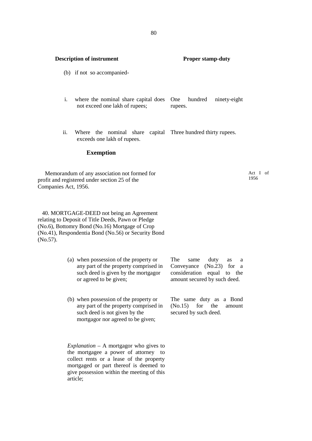#### (b) if not so accompanied-

- i. where the nominal share capital does One not exceed one lakh of rupees; hundred ninety-eight rupees.
- ii. Where the nominal share capital Three hundred thirty rupees. exceeds one lakh of rupees.

#### **Exemption**

Memorandum of any association not formed for profit and registered under section 25 of the Companies Act, 1956.

Act I of 1956

40. MORTGAGE-DEED not being an Agreement relating to Deposit of Title Deeds, Pawn or Pledge (No.6), Bottomry Bond (No.16) Mortgage of Crop (No.41), Respondentia Bond (No.56) or Security Bond (No.57).

- (a) when possession of the property or any part of the property comprised in such deed is given by the mortgagor or agreed to be given; same duty as a Conveyance (No.23) for a consideration equal to the amount secured by such deed.
- (b) when possession of the property or any part of the property comprised in (No.15) such deed is not given by the mortgagor nor agreed to be given;

The same duty as a Bond for the amount secured by such deed.

*Explanation* – A mortgagor who gives to the mortgagee a power of attorney to collect rents or a lease of the property mortgaged or part thereof is deemed to give possession within the meeting of this article;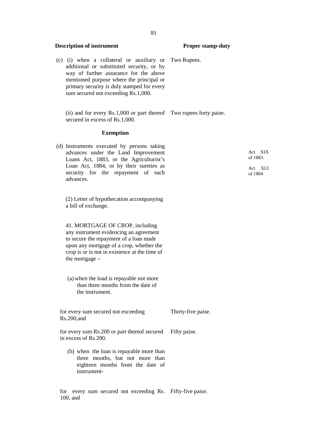(c) (i) when a collateral or auxiliary or additional or substituted security, or by way of further assurance for the above mentioned purpose where the principal or primary security is duly stamped for every sum secured not exceeding Rs.1,000.

(ii) and for every Rs.1,000 or part thereof Two rupees forty paise. secured in excess of Rs.1,000.

#### **Exemption**

(d) Instruments executed by persons taking advances under the Land Improvement Loans Act, 1883, or the Agriculturist's Loan Act, 1884, or by their sureties as security for the repayment of such advances.

(2) Letter of hypothecation accompanying a bill of exchange.

41. MORTGAGE OF CROP, including any instrument evidencing an agreement to secure the repayment of a loan made upon any mortgage of a crop, whether the crop is or is not in existence at the time of the mortgage –

(a) when the load is repayable not more than three months from the date of the instrument.

for every sum secured not exceeding Rs.200,and

Thirty-five paise.

for every sum Rs.200 or part thereof secured in excess of Rs.200. Fifty paise.

(b) when the loan is repayable more than three months, but not more than eighteen months from the date of instrument-

for every sum secured not exceeding Rs. Fifty-five paise.100, and

Two Rupees.

Act XIX of 1883.

Act XLI of 1884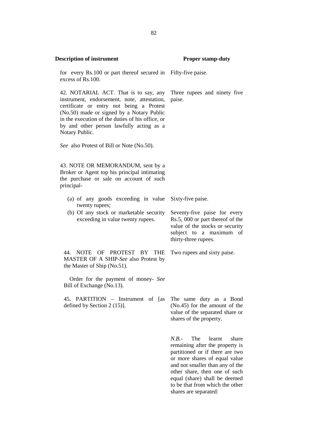for every Rs.100 or part thereof secured in Fifty-five paise. excess of Rs.100.

42. NOTARIAL ACT. That is to say, any instrument, endorsement, note, attestation, certificate or entry not being a Protest (No.50) made or signed by a Notary Public in the execution of the duties of his office, or by and other person lawfully acting as a Notary Public.

*See* also Protest of Bill or Note (No.50).

43. NOTE OR MEMORANDUM, sent by a Broker or Agent top his principal intimating the purchase or sale on account of such principal-

- (a) of any goods exceeding in value Sixty-five paise. twenty rupees;
- (b) Of any stock or marketable security exceeding in value twenty rupees.

Seventy-five paise for every Rs.5, 000 or part thereof of the value of the stocks or security subject to a maximum of thirty-three rupees.

Two rupees and sixty paise.

44. NOTE OF PROTEST BY THE MASTER OF A SHIP-*See* also Protest by the Master of Ship (No.51).

Order for the payment of money- *See* Bill of Exchange (No.13).

45. PARTITION – Instrument of [as defined by Section 2 (15)].

The same duty as a Bond (No.45) for the amount of the value of the separated share or shares of the property.

*N.B.*- The learnt share remaining after the property is partitioned or if there are two or more shares of equal value and not smaller than any of the other share, then one of such equal (share) shall be deemed to be that from which the other shares are separated:

paise.

Three rupees and ninety five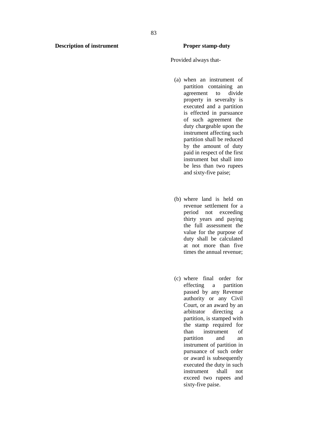Provided always that-

- (a) when an instrument of partition containing an agreement to divide property in severalty is executed and a partition is effected in pursuance of such agreement the duty chargeable upon the instrument affecting such partition shall be reduced by the amount of duty paid in respect of the first instrument but shall into be less than two rupees and sixty-five paise;
- (b) where land is held on revenue settlement for a period not exceeding thirty years and paying the full assessment the value for the purpose of duty shall be calculated at not more than five times the annual revenue;
- (c) where final order for effecting a partition passed by any Revenue authority or any Civil Court, or an award by an arbitrator directing a partition, is stamped with the stamp required for than instrument of partition and an instrument of partition in pursuance of such order or award is subsequently executed the duty in such instrument shall not exceed two rupees and sixty-five paise.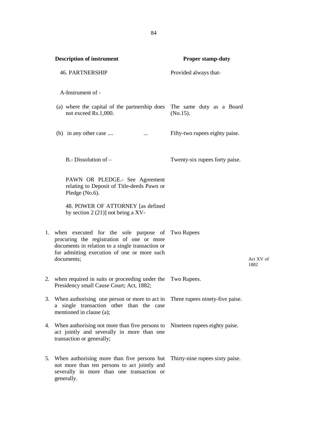**Description of instrument Proper stamp-duty** 46. PARTNERSHIP Provided always that-A-Instrument of - (a) where the capital of the partnership does The same duty as a Board not exceed Rs.1,000. (No.15). (b) in any other case .... ... ... ... Fifty-two rupees eighty paise. B.- Dissolution of – Twenty-six rupees forty paise. PAWN OR PLEDGE.- See Agreement relating to Deposit of Title-deeds Pawn or Pledge (No.6). 48. POWER OF ATTORNEY [as defined by section 2 (21)] not being a XV-1. when executed for the sole purpose of Two Rupees procuring the registration of one or more documents in relation to a single transaction or for admitting execution of one or more such documents; Act XV of 1882 2. when required in suits or proceeding under the Two Rupees. Presidency small Cause Court; Act, 1882; 3. When authorising one person or more to act in a single transaction other than the case mentioned in clause (a); Three rupees ninety-five paise. 4. When authorising not more than five persons to act jointly and severally in more than one transaction or generally; Nineteen rupees eighty paise. 5. When authorising more than five persons but Thirty-nine rupees sixty paise.not more than ten persons to act jointly and severally in more than one transaction or generally.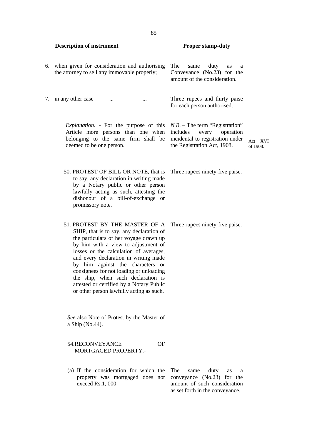**Description of instrument Proper stamp-duty** 6. when given for consideration and authorising the attorney to sell any immovable properly; same duty as a Conveyance (No.23) for the amount of the consideration. 7. in any other case ... ... ... Three rupees and thirty paise for each person authorised. *Explanation*. - For the purpose of this Article more persons than one when includes belonging to the same firm shall be deemed to be one person. *N.B.* – The term "Registration" every operation incidental to registration under the Registration Act, 1908. Act XVI of 1908. 50. PROTEST OF BILL OR NOTE, that is to say, any declaration in writing made by a Notary public or other person lawfully acting as such, attesting the dishonour of a bill-of-exchange or promissory note. Three rupees ninety-five paise. 51. PROTEST BY THE MASTER OF A SHIP, that is to say, any declaration of the particulars of her voyage drawn up by him with a view to adjustment of losses or the calculation of averages, and every declaration in writing made by him against the characters or consignees for not loading or unloading the ship, when such declaration is attested or certified by a Notary Public or other person lawfully acting as such. Three rupees ninety-five paise. *See* also Note of Protest by the Master of a Ship (No.44). 54.RECONVEYANCE OF MORTGAGED PROPERTY.- (a) If the consideration for which the property was mortgaged does not exceed Rs.1, 000. same duty as a conveyance (No.23) for the amount of such consideration as set forth in the conveyance.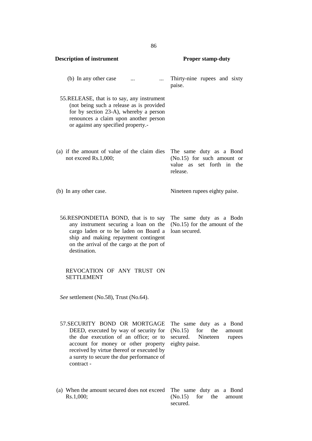| <b>Description of instrument</b>                                                                                                                                                                                                                               | <b>Proper stamp-duty</b>                                                                                         |
|----------------------------------------------------------------------------------------------------------------------------------------------------------------------------------------------------------------------------------------------------------------|------------------------------------------------------------------------------------------------------------------|
| (b) In any other case<br>$\ddotsc$<br>$\cdots$                                                                                                                                                                                                                 | Thirty-nine rupees and sixty<br>paise.                                                                           |
| 55. RELEASE, that is to say, any instrument<br>(not being such a release as is provided<br>for by section 23-A), whereby a person<br>renounces a claim upon another person<br>or against any specified property.-                                              |                                                                                                                  |
| (a) if the amount of value of the claim dies<br>not exceed Rs.1,000;                                                                                                                                                                                           | The same duty as a Bond<br>$(No.15)$ for such amount or<br>value as set forth in the<br>release.                 |
| (b) In any other case.                                                                                                                                                                                                                                         | Nineteen rupees eighty paise.                                                                                    |
| 56.RESPONDIETIA BOND, that is to say<br>any instrument securing a loan on the<br>cargo laden or to be laden on Board a<br>ship and making repayment contingent<br>on the arrival of the cargo at the port of<br>destination.                                   | The same duty as a Bodn<br>(No.15) for the amount of the<br>loan secured.                                        |
| REVOCATION OF ANY TRUST ON<br><b>SETTLEMENT</b>                                                                                                                                                                                                                |                                                                                                                  |
| See settlement (No.58), Trust (No.64).                                                                                                                                                                                                                         |                                                                                                                  |
| 57. SECURITY BOND OR MORTGAGE<br>DEED, executed by way of security for<br>the due execution of an office; or to<br>account for money or other property<br>received by virtue thereof or executed by<br>a surety to secure the due performance of<br>contract - | The same duty as<br>a Bond<br>for<br>(No.15)<br>the<br>amount<br>secured.<br>Nineteen<br>rupees<br>eighty paise. |
| (a) When the amount secured does not exceed<br>Rs.1,000;                                                                                                                                                                                                       | The same duty as<br>a Bond<br>(No.15)<br>for<br>the<br>amount                                                    |

secured.

86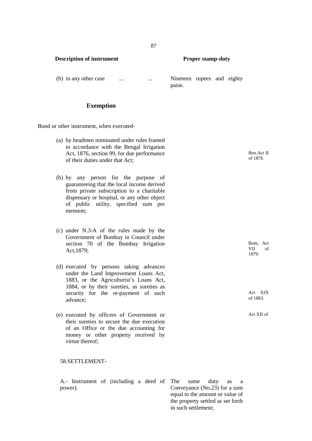## **Exemption**

Bond or other instrument, when executed-

- (a) by headmen nominated under rules framed in accordance with the Bengal Irrigation Act, 1876, section 99, for due performance of their duties under that Act;
- (b) by any person for the purpose of guaranteeing that the local income derived from private subscription to a charitable dispensary or hospital, or any other object of public utility, specified sum per mensem;
- (c) under N.3-A of the rules made by the Government of Bombay in Council under section 70 of the Bombay Irrigation Act,1879;
- (d) executed by persons taking advances under the Land Improvement Loans Act, 1883, or the Agriculturist's Loans Act, 1884, or by their sureties, as sureties as security for the re-payment of such advance;
- (e) executed by officers of Government or their sureties to secure the due execution of an Office or the due accounting for money or other property received by virtue thereof;

### 58.SETTLEMENT-

A.- Instrument of (including a deed of power).

paise.

Ben.Act II of 1876

Bom, Act  $VII$ VII 1879.

Act XIX of 1883.

Act XII of

same duty as a Conveyance (No.23) for a sum equal to the amount or value of the property settled as set forth in such settlement;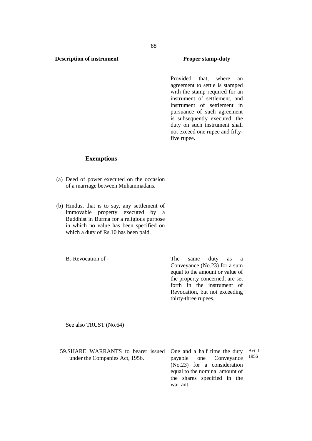Provided that, where an agreement to settle is stamped with the stamp required for an instrument of settlement, and instrument of settlement in pursuance of such agreement is subsequently executed, the duty on such instrument shall not exceed one rupee and fiftyfive rupee.

#### **Exemptions**

- (a) Deed of power executed on the occasion of a marriage between Muhammadans.
- (b) Hindus, that is to say, any settlement of immovable property executed by a Buddhist in Burma for a religious purpose in which no value has been specified on which a duty of Rs.10 has been paid.

B.-Revocation of - The same duty as a Conveyance (No.23) for a sum equal to the amount or value of the property concerned, are set forth in the instrument of Revocation, but not exceeding thirty-three rupees.

See also TRUST (No.64)

59. SHARE WARRANTS to bearer issued One and a half time the duty Act I under the Companies Act, 1956. payable one Conveyance (No.23) for a consideration equal to the nominal amount of the shares specified in the warrant. Act I 1956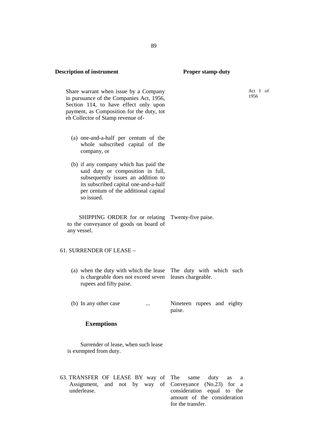Share warrant when issue by a Company in pursuance of the Companies Act, 1956, Section 114, to have effect only upon payment, as Composition for the duty, tot eh Collector of Stamp revenue of-

- (a) one-and-a-half per centum of the whole subscribed capital of the company, or
- (b) if any company which has paid the said duty or composition in full, subsequently issues an addition to its subscribed capital one-and-a-half per centum of the additional capital so issued.

SHIPPING ORDER for or relating Twenty-five paise. to the conveyance of goods on board of SHIPPING ORDER for or relating Twenty-five paise.<br>to the conveyance of goods on board of any vessel.

#### 61. SURRENDER OF LEASE –

- (a) when the duty with which the lease The duty with which such is chargeable does not exceed seven leases chargeable. rupees and fifty paise.
- (b) In any other case ... Sineteen rupees and eighty paise.

## **Exemptions**

Surrender of lease, when such lease is exempted from duty.

63. TRANSFER OF LEASE BY way of Assignment, and not by way of underlease. same duty as a Conveyance (No.23) for a consideration equal to the amount of the consideration for the transfer.

89

Act I of 1956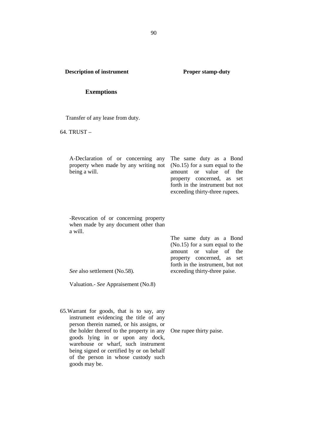#### **Exemptions**

Transfer of any lease from duty.

64. TRUST –

| A-Declaration of or concerning any The same duty as a Bond<br>property when made by any writing not (No.15) for a sum equal to the<br>being a will. | amount or value of the<br>property concerned, as set<br>forth in the instrument but not<br>exceeding thirty-three rupees. |
|-----------------------------------------------------------------------------------------------------------------------------------------------------|---------------------------------------------------------------------------------------------------------------------------|
| -Revocation of or concerning property<br>when made by any document other than<br>a will.                                                            | The same duty as a Bond                                                                                                   |

*See* also settlement (No.58).

Valuation.- *See* Appraisement (No.8)

65.Warrant for goods, that is to say, any instrument evidencing the title of any person therein named, or his assigns, or the holder thereof to the property in any goods lying in or upon any dock, warehouse or wharf, such instrument being signed or certified by or on behalf of the person in whose custody such goods may be.

One rupee thirty paise.

(No.15) for a sum equal to the amount or value of the property concerned, as set forth in the instrument, but not exceeding thirty-three paise.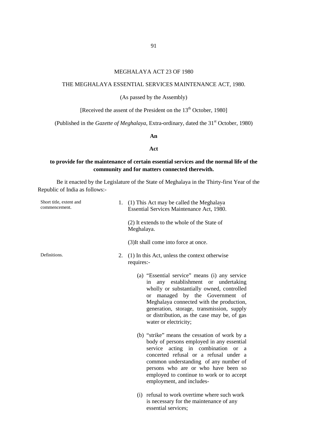## MEGHALAYA ACT 23 OF 1980

## THE MEGHALAYA ESSENTIAL SERVICES MAINTENANCE ACT, 1980.

(As passed by the Assembly)

[Received the assent of the President on the 13<sup>th</sup> October, 1980]

(Published in the *Gazette of Meghalaya*, Extra-ordinary, dated the 31<sup>st</sup> October, 1980)

### **An**

#### **Act**

## **to provide for the maintenance of certain essential services and the normal life of the community and for matters connected therewith.**

Be it enacted by the Legislature of the State of Meghalaya in the Thirty-first Year of the Republic of India as follows:-

| Short title, extent and<br>commencement. |    | 1. (1) This Act may be called the Meghalaya<br>Essential Services Maintenance Act, 1980.                                                                                                                                                                                                                                                               |
|------------------------------------------|----|--------------------------------------------------------------------------------------------------------------------------------------------------------------------------------------------------------------------------------------------------------------------------------------------------------------------------------------------------------|
|                                          |    | (2) It extends to the whole of the State of<br>Meghalaya.                                                                                                                                                                                                                                                                                              |
|                                          |    | (3) It shall come into force at once.                                                                                                                                                                                                                                                                                                                  |
| Definitions.                             | 2. | (1) In this Act, unless the context otherwise<br>requires:-                                                                                                                                                                                                                                                                                            |
|                                          |    | (a) "Essential service" means (i) any service<br>any establishment or undertaking<br>in<br>wholly or substantially owned, controlled<br>managed by the Government of<br><sub>or</sub><br>Meghalaya connected with the production,<br>generation, storage, transmission, supply<br>or distribution, as the case may be, of gas<br>water or electricity; |
|                                          |    | (b) "strike" means the cessation of work by a<br>body of persons employed in any essential<br>service acting in combination or a<br>concerted refusal or a refusal under a<br>common understanding of any number of<br>persons who are or who have been so<br>employed to continue to work or to accept<br>employment, and includes-                   |
|                                          |    | (i) refusal to work overtime where such work<br>is necessary for the maintenance of any<br>essential services;                                                                                                                                                                                                                                         |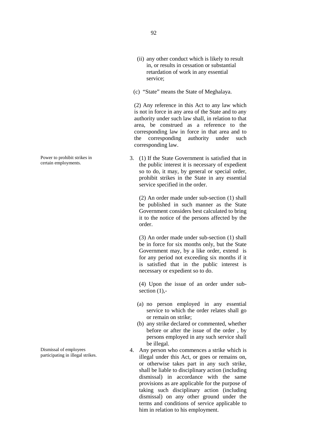- (ii) any other conduct which is likely to result in, or results in cessation or substantial retardation of work in any essential service;
- (c) "State" means the State of Meghalaya.

(2) Any reference in this Act to any law which is not in force in any area of the State and to any authority under such law shall, in relation to that area, be construed as a reference to the corresponding law in force in that area and to the corresponding authority under such corresponding law.

3. (1) If the State Government is satisfied that in the public interest it is necessary of expedient so to do, it may, by general or special order, prohibit strikes in the State in any essential service specified in the order.

> (2) An order made under sub-section (1) shall be published in such manner as the State Government considers best calculated to bring it to the notice of the persons affected by the order.

> (3) An order made under sub-section (1) shall be in force for six months only, but the State Government may, by a like order, extend is for any period not exceeding six months if it is satisfied that in the public interest is necessary or expedient so to do.

> (4) Upon the issue of an order under sub section  $(1)$ ,-

- (a) no person employed in any essential service to which the order relates shall go or remain on strike;
- (b) any strike declared or commented, whether before or after the issue of the order , by persons employed in any such service shall be illegal.
- 4. Any person who commences a strike which is illegal under this Act, or goes or remains on, or otherwise takes part in any such strike, shall be liable to disciplinary action (including dismissal) in accordance with the same provisions as are applicable for the purpose of taking such disciplinary action (including dismissal) on any other ground under the terms and conditions of service applicable to him in relation to his employment.

Power to prohibit strikes in certain employments.

Dismissal of employees participating in illegal strikes.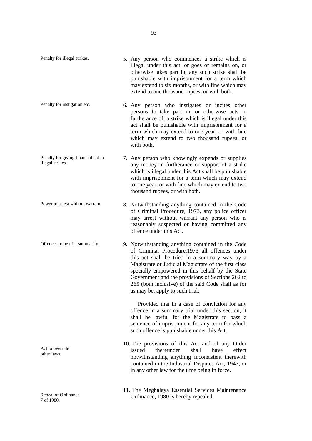| Penalty for illegal strikes.                            | 5. Any person who commences a strike which is<br>illegal under this act, or goes or remains on, or<br>otherwise takes part in, any such strike shall be<br>punishable with imprisonment for a term which<br>may extend to six months, or with fine which may<br>extend to one thousand rupees, or with both.                                                                                                 |
|---------------------------------------------------------|--------------------------------------------------------------------------------------------------------------------------------------------------------------------------------------------------------------------------------------------------------------------------------------------------------------------------------------------------------------------------------------------------------------|
| Penalty for instigation etc.                            | 6. Any person who instigates or incites other<br>persons to take part in, or otherwise acts in<br>furtherance of, a strike which is illegal under this<br>act shall be punishable with imprisonment for a<br>term which may extend to one year, or with fine<br>which may extend to two thousand rupees, or<br>with both.                                                                                    |
| Penalty for giving financial aid to<br>illegal strikes. | 7. Any person who knowingly expends or supplies<br>any money in furtherance or support of a strike<br>which is illegal under this Act shall be punishable<br>with imprisonment for a term which may extend<br>to one year, or with fine which may extend to two<br>thousand rupees, or with both.                                                                                                            |
| Power to arrest without warrant.                        | 8. Notwithstanding anything contained in the Code<br>of Criminal Procedure, 1973, any police officer<br>may arrest without warrant any person who is<br>reasonably suspected or having committed any<br>offence under this Act.                                                                                                                                                                              |
| Offences to be trial summarily.                         | 9. Notwithstanding anything contained in the Code<br>of Criminal Procedure, 1973 all offences under<br>this act shall be tried in a summary way by a<br>Magistrate or Judicial Magistrate of the first class<br>specially empowered in this behalf by the State<br>Government and the provisions of Sections 262 to<br>265 (both inclusive) of the said Code shall as for<br>as may be, apply to such trial: |
|                                                         | Provided that in a case of conviction for any<br>offence in a summary trial under this section, it<br>shall be lawful for the Magistrate to pass a<br>sentence of imprisonment for any term for which<br>such offence is punishable under this Act.                                                                                                                                                          |
| Act to override<br>other laws.                          | 10. The provisions of this Act and of any Order<br>issued<br>thereunder<br>shall<br>effect<br>have<br>notwithstanding anything inconsistent therewith<br>contained in the Industrial Disputes Act, 1947, or<br>in any other law for the time being in force.                                                                                                                                                 |
|                                                         | 11. The Meghalaya Essential Services Maintenance                                                                                                                                                                                                                                                                                                                                                             |

Ordinance, 1980 is hereby repealed.

Repeal of Ordinance

7 of 1980.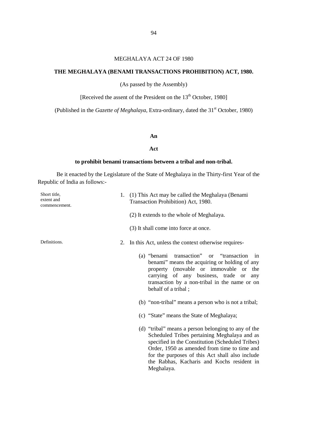### MEGHALAYA ACT 24 OF 1980

## **THE MEGHALAYA (BENAMI TRANSACTIONS PROHIBITION) ACT, 1980.**

(As passed by the Assembly)

[Received the assent of the President on the 13<sup>th</sup> October, 1980]

(Published in the *Gazette of Meghalaya*, Extra-ordinary, dated the 31<sup>st</sup> October, 1980)

#### **An**

#### **Act**

## **to prohibit benami transactions between a tribal and non-tribal.**

Be it enacted by the Legislature of the State of Meghalaya in the Thirty-first Year of the Republic of India as follows:-

| Short title,<br>extent and<br>commencement. | 1. (1) This Act may be called the Meghalaya (Benami<br>Transaction Prohibition) Act, 1980.                                                                                                                                                                                                                             |
|---------------------------------------------|------------------------------------------------------------------------------------------------------------------------------------------------------------------------------------------------------------------------------------------------------------------------------------------------------------------------|
|                                             | (2) It extends to the whole of Meghalaya.                                                                                                                                                                                                                                                                              |
|                                             | (3) It shall come into force at once.                                                                                                                                                                                                                                                                                  |
| Definitions.                                | 2. In this Act, unless the context otherwise requires-                                                                                                                                                                                                                                                                 |
|                                             | transaction" or "transaction<br>(a) "benami<br>in<br>benami" means the acquiring or holding of any<br>property (movable or immovable or the<br>carrying of any business, trade or<br>any<br>transaction by a non-tribal in the name or on<br>behalf of a tribal;                                                       |
|                                             | (b) "non-tribal" means a person who is not a tribal;                                                                                                                                                                                                                                                                   |
|                                             | (c) "State" means the State of Meghalaya;                                                                                                                                                                                                                                                                              |
|                                             | (d) "tribal" means a person belonging to any of the<br>Scheduled Tribes pertaining Meghalaya and as<br>specified in the Constitution (Scheduled Tribes)<br>Order, 1950 as amended from time to time and<br>for the purposes of this Act shall also include<br>the Rabhas, Kacharis and Kochs resident in<br>Meghalaya. |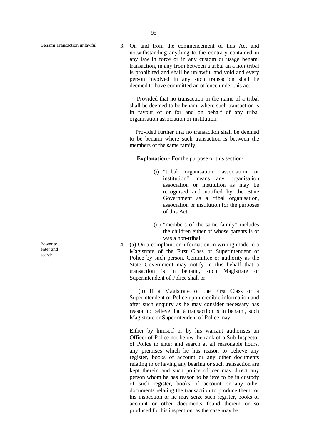Benami Transaction unlawful. 3. On and from the commencement of this Act and notwithstanding anything to the contrary contained in any law in force or in any custom or usage benami transaction, in any from between a tribal an a non-tribal is prohibited and shall be unlawful and void and every person involved in any such transaction shall be deemed to have committed an offence under this act:

> Provided that no transaction in the name of a tribal shall be deemed to be benami where such transaction is in favour of or for and on behalf of any tribal organisation association or institution:

> Provided further that no transaction shall be deemed to be benami where such transaction is between the members of the same family.

**Explanation**.- For the purpose of this section-

- (i) "tribal organisation, association or institution" means any organisation association or institution as may be recognised and notified by the State Government as a tribal organisation, association or institution for the purposes of this Act.
- (ii) "members of the same family" includes the children either of whose parents is or was a non-tribal.
- 4. (a) On a complaint or information in writing made to a Magistrate of the First Class or Superintendent of Police by such person, Committee or authority as the State Government may notify in this behalf that a transaction is in benami, such Magistrate or Superintendent of Police shall or

(b) If a Magistrate of the First Class or a Superintendent of Police upon credible information and after such enquiry as he may consider necessary has reason to believe that a transaction is in benami, such Magistrate or Superintendent of Police may,

Either by himself or by his warrant authorises an Officer of Police not below the rank of a Sub-Inspector of Police to enter and search at all reasonable hours, any premises which he has reason to believe any register, books of account or any other documents relating to or having any bearing or such transaction are kept therein and such police officer may direct any person whom he has reason to believe to be in custody of such register, books of account or any other documents relating the transaction to produce them for his inspection or he may seize such register, books of account or other documents found therein or so produced for his inspection, as the case may be.

Power to enter and search.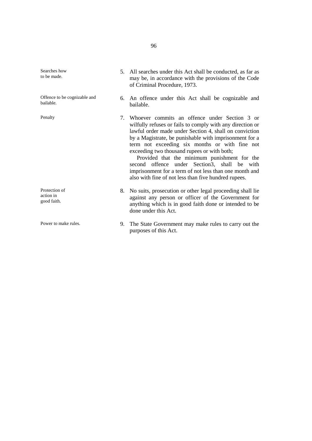Searches how to be made.

Offence to be cognizable and bailable.

Protection of action in good faith.

- 5. All searches under this Act shall be conducted, as far as may be, in accordance with the provisions of the Code of Criminal Procedure, 1973.
- 6. An offence under this Act shall be cognizable and bailable.

Penalty 7. Whoever commits an offence under Section 3 or wilfully refuses or fails to comply with any direction or lawful order made under Section 4, shall on conviction by a Magistrate, be punishable with imprisonment for a term not exceeding six months or with fine not exceeding two thousand rupees or with both;

> Provided that the minimum punishment for the second offence under Section<sub>3</sub>, shall be with imprisonment for a term of not less than one month and also with fine of not less than five hundred rupees.

- 8. No suits, prosecution or other legal proceeding shall lie against any person or officer of the Government for anything which is in good faith done or intended to be done under this Act.
- Power to make rules. 9. The State Government may make rules to carry out the purposes of this Act.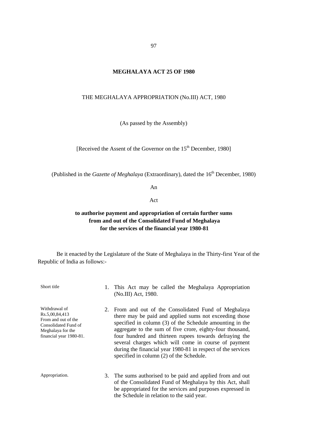### **MEGHALAYA ACT 25 OF 1980**

#### THE MEGHALAYA APPROPRIATION (No.III) ACT, 1980

(As passed by the Assembly)

[Received the Assent of the Governor on the 15<sup>th</sup> December, 1980]

(Published in the *Gazette of Meghalaya* (Extraordinary), dated the 16<sup>th</sup> December, 1980)

An

Act

## **to authorise payment and appropriation of certain further sums from and out of the Consolidated Fund of Meghalaya for the services of the financial year 1980-81**

Be it enacted by the Legislature of the State of Meghalaya in the Thirty-first Year of the Republic of India as follows:-

Short title 1. This Act may be called the Meghalaya Appropriation (No.III) Act, 1980. Withdrawal of Rs.5,00,84,413 From and out of the Consolidated Fund of Meghalaya for the financial year 1980-81. 2. From and out of the Consolidated Fund of Meghalaya there may be paid and applied sums not exceeding those specified in column (3) of the Schedule amounting in the aggregate to the sum of five crore, eighty-four thousand, four hundred and thirteen rupees towards defraying the several charges which will come in course of payment during the financial year 1980-81 in respect of the services specified in column (2) of the Schedule. Appropriation. 3. The sums authorised to be paid and applied from and out of the Consolidated Fund of Meghalaya by this Act, shall be appropriated for the services and purposes expressed in the Schedule in relation to the said year.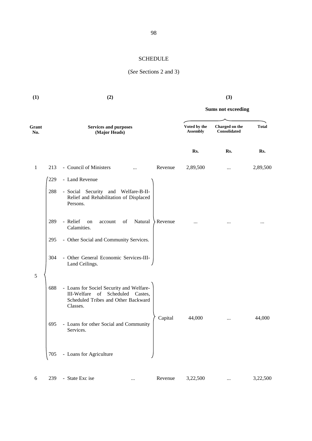## SCHEDULE

## (*See* Sections 2 and 3)

| (1)          |     | (2)                                                                                                                                | (3)                             |                                |                           |          |
|--------------|-----|------------------------------------------------------------------------------------------------------------------------------------|---------------------------------|--------------------------------|---------------------------|----------|
|              |     |                                                                                                                                    |                                 |                                | <b>Sums not exceeding</b> |          |
| Grant<br>No. |     | <b>Services and purposes</b><br>(Major Heads)                                                                                      | Voted by the<br><b>Assembly</b> | Charged on the<br>Consolidated | <b>Total</b>              |          |
|              |     |                                                                                                                                    |                                 | Rs.                            | Rs.                       | Rs.      |
| $\mathbf{1}$ | 213 | - Council of Ministers                                                                                                             | Revenue                         | 2,89,500                       | $\cdots$                  | 2,89,500 |
|              | 229 | - Land Revenue                                                                                                                     |                                 |                                |                           |          |
|              | 288 | - Social Security and<br>Welfare-B-II-<br>Relief and Rehabilitation of Displaced<br>Persons.                                       |                                 |                                |                           |          |
|              | 289 | - Relief<br>Natural<br>of<br>on<br>account<br>Calamities.                                                                          | Revenue                         |                                |                           | $\cdots$ |
|              | 295 | - Other Social and Community Services.                                                                                             |                                 |                                |                           |          |
|              | 304 | - Other General Economic Services-III-<br>Land Ceilings.                                                                           |                                 |                                |                           |          |
| $\sqrt{5}$   | 688 | - Loans for Sociel Security and Welfare-<br>Scheduled Castes,<br>III-Welfare of<br>Scheduled Tribes and Other Backward<br>Classes. |                                 |                                |                           |          |
|              | 695 | - Loans for other Social and Community<br>Services.                                                                                | Capital                         | 44,000                         | $\cdots$                  | 44,000   |
|              | 705 | - Loans for Agriculture                                                                                                            |                                 |                                |                           |          |
| 6            | 239 | - State Exc ise                                                                                                                    | Revenue                         | 3,22,500                       |                           | 3,22,500 |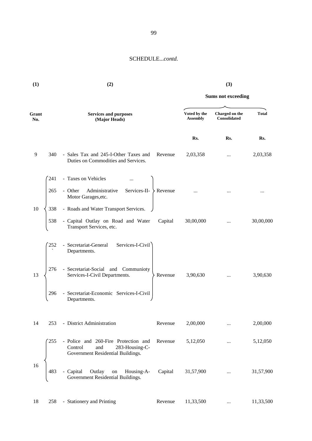| (1)          |     | (2)                                                                                                           |         |                                 | (3)                            |              |  |
|--------------|-----|---------------------------------------------------------------------------------------------------------------|---------|---------------------------------|--------------------------------|--------------|--|
|              |     |                                                                                                               |         | <b>Sums not exceeding</b>       |                                |              |  |
| Grant<br>No. |     | <b>Services and purposes</b><br>(Major Heads)                                                                 |         | Voted by the<br><b>Assembly</b> | Charged on the<br>Consolidated | <b>Total</b> |  |
|              |     |                                                                                                               |         | Rs.                             | Rs.                            | Rs.          |  |
| 9            | 340 | - Sales Tax and 245-I-Other Taxes and<br>Duties on Commodities and Services.                                  | Revenue | 2,03,358                        | $\cdots$                       | 2,03,358     |  |
|              | 241 | - Taxes on Vehicles                                                                                           |         |                                 |                                |              |  |
|              | 265 | Services-II- $\searrow$ Revenue<br>- Other Administrative<br>Motor Garages, etc.                              |         |                                 |                                |              |  |
| 10           | 338 | - Roads and Water Transport Services.                                                                         |         |                                 |                                |              |  |
|              | 538 | - Capital Outlay on Road and Water<br>Transport Services, etc.                                                | Capital | 30,00,000                       |                                | 30,00,000    |  |
|              | 252 | Services-I-Civil<br>- Secretariat-General<br>Departments.                                                     |         |                                 |                                |              |  |
| 13           | 276 | - Secretariat-Social and Communioty<br>Services-I-Civil Departments.                                          | Revenue | 3,90,630                        | $\cdots$                       | 3,90,630     |  |
|              | 296 | - Secretariat-Economic Services-I-Civil<br>Departments.                                                       |         |                                 |                                |              |  |
| 14           | 253 | - District Administration                                                                                     | Revenue | 2,00,000                        | $\cdots$                       | 2,00,000     |  |
|              | 255 | - Police and 260-Fire Protection and<br>Control<br>and<br>283-Housing-C-<br>Government Residential Buildings. | Revenue | 5,12,050                        | $\cdots$                       | 5,12,050     |  |
| 16           | 483 | Outlay<br>Housing-A-<br>- Capital<br>on<br>Government Residential Buildings.                                  | Capital | 31,57,900                       | $\cdots$                       | 31,57,900    |  |
| 18           | 258 | - Stationery and Printing                                                                                     | Revenue | 11,33,500                       |                                | 11,33,500    |  |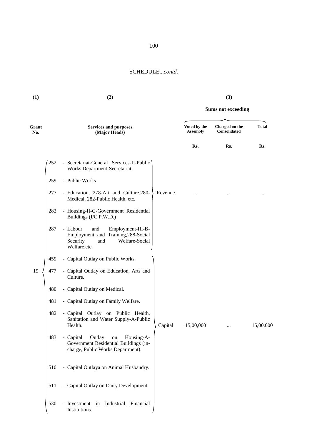**Sums not exceeding**

**(1) (2) (3)**

| Grant<br>No. |     | <b>Services and purposes</b><br>(Major Heads)                                                                                     |         | Voted by the<br><b>Assembly</b> | Charged on the<br><b>Consolidated</b> | <b>Total</b> |
|--------------|-----|-----------------------------------------------------------------------------------------------------------------------------------|---------|---------------------------------|---------------------------------------|--------------|
|              |     |                                                                                                                                   |         | Rs.                             | Rs.                                   | Rs.          |
|              | 252 | Secretariat-General Services-II-Public<br>Works Department-Secretariat.                                                           |         |                                 |                                       |              |
|              | 259 | - Public Works                                                                                                                    |         |                                 |                                       |              |
|              | 277 | - Education, 278-Art and Culture, 280-<br>Medical, 282-Public Health, etc.                                                        | Revenue |                                 |                                       |              |
|              | 283 | - Housing-II-G-Government Residential<br>Buildings (I/C.P.W.D.)                                                                   |         |                                 |                                       |              |
|              | 287 | - Labour<br>and<br>Employment-III-B-<br>Employment and Training, 288-Social<br>Security<br>Welfare-Social<br>and<br>Welfare, etc. |         |                                 |                                       |              |
|              | 459 | - Capital Outlay on Public Works.                                                                                                 |         |                                 |                                       |              |
| 19           | 477 | - Capital Outlay on Education, Arts and<br>Culture.                                                                               |         |                                 |                                       |              |
|              | 480 | - Capital Outlay on Medical.                                                                                                      |         |                                 |                                       |              |
|              | 481 | - Capital Outlay on Family Welfare.                                                                                               |         |                                 |                                       |              |
|              | 482 | - Capital Outlay on Public Health,<br>Sanitation and Water Supply-A-Public<br>Health.                                             | Capital | 15,00,000                       |                                       | 15,00,000    |
|              | 483 | Outlay<br>Housing-A-<br>- Capital<br>on<br>Government Residential Buildings (in-<br>charge, Public Works Department).             |         |                                 |                                       |              |
|              | 510 | - Capital Outlaya on Animal Husbandry.                                                                                            |         |                                 |                                       |              |
|              | 511 | - Capital Outlay on Dairy Development.                                                                                            |         |                                 |                                       |              |
|              | 530 | - Investment in Industrial<br>Financial<br>Institutions.                                                                          |         |                                 |                                       |              |

100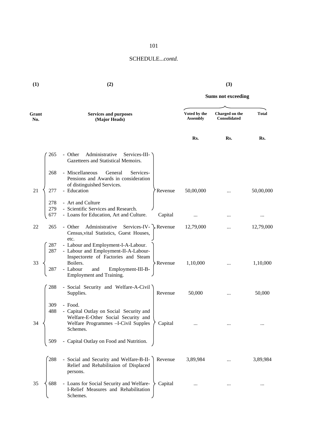| (1)          | (2)               |                                                                                                                                                                                                            | (3)                       |                                 |                                       |              |
|--------------|-------------------|------------------------------------------------------------------------------------------------------------------------------------------------------------------------------------------------------------|---------------------------|---------------------------------|---------------------------------------|--------------|
|              |                   |                                                                                                                                                                                                            | <b>Sums not exceeding</b> |                                 |                                       |              |
| Grant<br>No. |                   | <b>Services and purposes</b><br>(Major Heads)                                                                                                                                                              |                           | Voted by the<br><b>Assembly</b> | Charged on the<br><b>Consolidated</b> | <b>Total</b> |
|              |                   |                                                                                                                                                                                                            |                           | Rs.                             | Rs.                                   | Rs.          |
|              | 265               | Administrative<br>- Other<br>Services-III-<br>Gazetteers and Statistical Memoirs.                                                                                                                          |                           |                                 |                                       |              |
|              | 268               | - Miscellaneous<br>General<br>Services-<br>Pensions and Awards in consideration                                                                                                                            |                           |                                 |                                       |              |
| 21           | 277               | of distinguished Services.<br>- Education                                                                                                                                                                  | Revenue                   | 50,00,000                       |                                       | 50,00,000    |
|              | 278<br>279<br>677 | - Art and Culture<br>- Scientific Services and Research.<br>- Loans for Education, Art and Culture.                                                                                                        | Capital                   | $\cdots$                        |                                       | $\cdots$     |
| 22           | 265               | Services-IV- $\searrow$ Revenue<br>Administrative<br>- Other<br>Census, vital Statistics, Guest Houses,                                                                                                    |                           | 12,79,000                       |                                       | 12,79,000    |
| 33           | 287<br>287<br>287 | etc.<br>- Labour and Employment-I-A-Labour.<br>- Labour and Employment-II-A-Labour-<br>Inspectorete of Factories and Steam<br>Boilers.<br>- Labour<br>and<br>Employment-III-B-<br>Employment and Training. | Revenue                   | 1,10,000                        | $\cdots$                              | 1,10,000     |
|              | 288               | - Social Security and Welfare-A-Civil<br>Supplies.                                                                                                                                                         | Revenue                   | 50,000                          |                                       | 50,000       |
| 34           | 309<br>488        | - Food.<br>- Capital Outlay on Social Security and<br>Welfare-E-Other Social Security and<br>Welfare Programmes -I-Civil Supples<br>Schemes.                                                               | Capital                   |                                 |                                       |              |
|              | 509               | Capital Outlay on Food and Nutrition.                                                                                                                                                                      |                           |                                 |                                       |              |
|              | 288               | - Social and Security and Welfare-B-II-<br>Relief and Rehabilitaion of Displaced<br>persons.                                                                                                               | Revenue                   | 3,89,984                        |                                       | 3,89,984     |
| 35           | 688               | - Loans for Social Security and Welfare-<br>I-Relief Measures and Rehabilitation<br>Schemes.                                                                                                               | Capital                   | $\cdots$                        |                                       | $\cdots$     |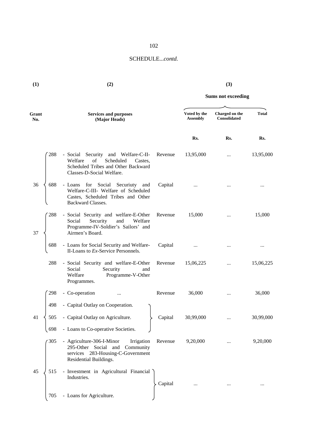|   | I |              |
|---|---|--------------|
| × |   | I<br>۰.<br>I |

**(1) (2) (3)**

**Sums not exceeding**

| Grant<br>No. |     | <b>Services and purposes</b><br>(Major Heads)                                                                                                    |         | Voted by the<br><b>Assembly</b> | Charged on the<br>Consolidated | <b>Total</b> |  |
|--------------|-----|--------------------------------------------------------------------------------------------------------------------------------------------------|---------|---------------------------------|--------------------------------|--------------|--|
|              |     |                                                                                                                                                  |         | Rs.                             | Rs.                            | Rs.          |  |
|              | 288 | - Social Security and Welfare-C-II-<br>of<br>Welfare<br>Scheduled<br>Castes.<br>Scheduled Tribes and Other Backward<br>Classes-D-Social Welfare. | Revenue | 13,95,000                       | $\cdots$                       | 13,95,000    |  |
| 36           | 688 | - Loans for Social Securiuty and<br>Welfare-C-III- Welfare of Scheduled<br>Castes, Scheduled Tribes and Other<br><b>Backward Classes.</b>        | Capital | $\ddotsc$                       |                                |              |  |
| 37           | 288 | - Social Security and welfare-E-Other<br>Security<br>and<br>Social<br>Welfare<br>Programme-IV-Soldier's Sailors' and<br>Airmen's Board.          | Revenue | 15,000                          |                                | 15,000       |  |
|              | 688 | - Loans for Social Security and Welfare-<br>II-Loans to Ex-Service Personnels.                                                                   | Capital | $\cdots$                        |                                | $\cdots$     |  |
|              | 288 | - Social Security and welfare-E-Other<br>Social<br>Security<br>and<br>Welfare<br>Programme-V-Other<br>Programmes.                                | Revenue | 15,06,225                       |                                | 15,06,225    |  |
|              | 298 | - Co-operation                                                                                                                                   | Revenue | 36,000                          |                                | 36,000       |  |
|              | 498 | - Capital Outlay on Cooperation.                                                                                                                 |         |                                 |                                |              |  |
| 41           | 505 | - Capital Outlay on Agriculture.                                                                                                                 | Capital | 30,99,000                       | $\cdots$                       | 30,99,000    |  |
|              | 698 | - Loans to Co-operative Societies.                                                                                                               |         |                                 |                                |              |  |
|              | 305 | - Agriculture-306-I-Minor<br>Irrigation<br>295-Other Social and<br>Community<br>services 283-Housing-C-Government<br>Residential Buildings.      | Revenue | 9,20,000                        |                                | 9,20,000     |  |
| 45           | 515 | - Investment in Agricultural Financial<br>Industries.                                                                                            | Capital | $\cdots$                        | $\cdots$                       | $\ldots$     |  |
|              | 705 | - Loans for Agriculture.                                                                                                                         |         |                                 |                                |              |  |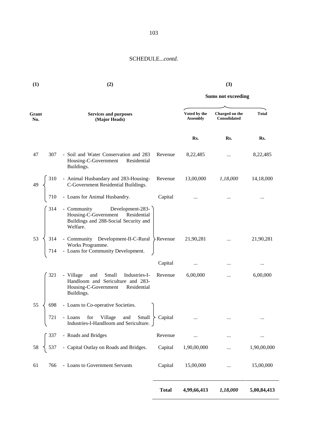**(1) (2) (3)**

|                  |                                                                                                                                      | <b>Sums not exceeding</b> |                                 |                                       |              |
|------------------|--------------------------------------------------------------------------------------------------------------------------------------|---------------------------|---------------------------------|---------------------------------------|--------------|
| Grant<br>No.     | <b>Services and purposes</b><br>(Major Heads)                                                                                        |                           | Voted by the<br><b>Assembly</b> | Charged on the<br><b>Consolidated</b> | <b>Total</b> |
|                  |                                                                                                                                      |                           | Rs.                             | Rs.                                   | Rs.          |
| 47<br>307        | - Soil and Water Conservation and 283<br>Housing-C-Government<br>Residential<br>Buildings.                                           | Revenue                   | 8,22,485                        | $\cdots$                              | 8,22,485     |
| 310<br>49        | - Animal Husbandary and 283-Housing-<br>C-Government Residential Buildings.                                                          | Revenue                   | 13,00,000                       | 1,18,000                              | 14,18,000    |
| 710              | - Loans for Animal Husbandry.                                                                                                        | Capital                   |                                 |                                       |              |
| 314              | Development-283-<br>- Community<br>Housing-C-Government<br>Residential<br>Buildings and 288-Social Security and<br>Welfare.          |                           |                                 |                                       |              |
| 53<br>314<br>714 | - Community Development-II-C-Rural<br>Works Programme.<br>- Loans for Community Development.                                         | $\angle$ Revenue          | 21,90,281                       | $\cdots$                              | 21,90,281    |
|                  |                                                                                                                                      | Capital                   | $\cdots$                        |                                       | $\cdots$     |
| 321              | - Village<br>Small<br>and<br>Industries-I-<br>Handloom and Sericulture and 283-<br>Housing-C-Government<br>Residential<br>Buildings. | Revenue                   | 6,00,000                        |                                       | 6,00,000     |
| 55<br>698        | - Loans to Co-operative Societies.                                                                                                   |                           |                                 |                                       |              |
| 721              | - Loans for Village<br>and<br>Small<br>Industries-I-Handloom and Sericulture. J                                                      | Capital                   | $\cdots$                        |                                       |              |
| 337              | - Roads and Bridges                                                                                                                  | Revenue                   | $\cdots$                        |                                       |              |
| 58<br>537        | - Capital Outlay on Roads and Bridges.                                                                                               | Capital                   | 1,90,00,000                     |                                       | 1,90,00,000  |
| 61<br>766        | - Loans to Government Servants                                                                                                       | Capital                   | 15,00,000                       |                                       | 15,00,000    |
|                  |                                                                                                                                      | <b>Total</b>              | 4,99,66,413                     | 1,18,000                              | 5,00,84,413  |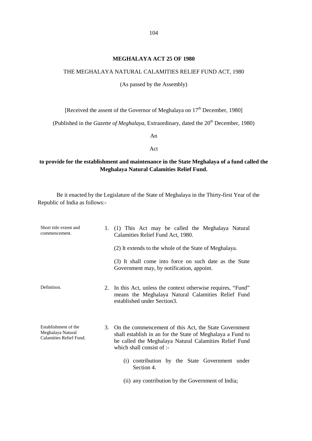#### **MEGHALAYA ACT 25 OF 1980**

#### THE MEGHALAYA NATURAL CALAMITIES RELIEF FUND ACT, 1980

(As passed by the Assembly)

[Received the assent of the Governor of Meghalaya on 17<sup>th</sup> December, 1980]

(Published in the *Gazette of Meghalaya*, Extraordinary, dated the 20<sup>th</sup> December, 1980)

An

Act

## **to provide for the establishment and maintenance in the State Meghalaya of a fund called the Meghalaya Natural Calamities Relief Fund.**

Be it enacted by the Legislature of the State of Meghalaya in the Thirty-first Year of the Republic of India as follows:-

| Short title extent and<br>commencement.                              | 1. | (1) This Act may be called the Meghalaya Natural<br>Calamities Relief Fund Act, 1980.                                                                                                                         |
|----------------------------------------------------------------------|----|---------------------------------------------------------------------------------------------------------------------------------------------------------------------------------------------------------------|
|                                                                      |    | (2) It extends to the whole of the State of Meghalaya.                                                                                                                                                        |
|                                                                      |    | (3) It shall come into force on such date as the State<br>Government may, by notification, appoint.                                                                                                           |
| Definition.                                                          |    | 2. In this Act, unless the context otherwise requires, "Fund"<br>means the Meghalaya Natural Calamities Relief Fund<br>established under Section3.                                                            |
| Establishment of the<br>Meghalaya Natural<br>Calamities Relief Fund. |    | 3. On the commencement of this Act, the State Government<br>shall establish in an for the State of Meghalaya a Fund to<br>be called the Meghalaya Natural Calamities Relief Fund<br>which shall consist of :- |
|                                                                      |    | (i) contribution by the State Government under<br>Section 4.                                                                                                                                                  |
|                                                                      |    | (ii) any contribution by the Government of India;                                                                                                                                                             |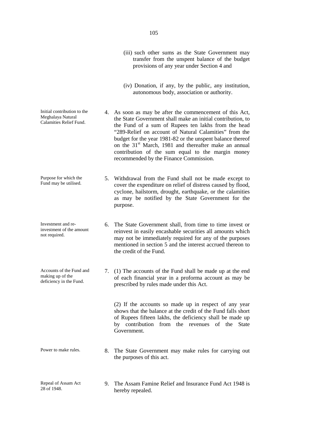(iii) such other sums as the State Government may transfer from the unspent balance of the budget provisions of any year under Section 4 and (iv) Donation, if any, by the public, any institution, autonomous body, association or authority. Initial contribution to the Meghalaya Natural Calamities Relief Fund. 4. As soon as may be after the commencement of this Act, the State Government shall make an initial contribution, to the Fund of a sum of Rupees ten lakhs from the head "289-Relief on account of Natural Calamities" from the budget for the year 1981-82 or the unspent balance thereof on the  $31<sup>st</sup>$  March, 1981 and thereafter make an annual contribution of the sum equal to the margin money recommended by the Finance Commission. Purpose for which the Fund may be utilised. 5. Withdrawal from the Fund shall not be made except to cover the expenditure on relief of distress caused by flood, cyclone, hailstorm, drought, earthquake, or the calamities as may be notified by the State Government for the purpose. Investment and reinvestment of the amount not required. 6. The State Government shall, from time to time invest or reinvest in easily encashable securities all amounts which may not be immediately required for any of the purposes mentioned in section 5 and the interest accrued thereon to the credit of the Fund. Accounts of the Fund and making up of the deficiency in the Fund. 7. (1) The accounts of the Fund shall be made up at the end of each financial year in a proforma account as may be prescribed by rules made under this Act. (2) If the accounts so made up in respect of any year shows that the balance at the credit of the Fund falls short of Rupees fifteen lakhs, the deficiency shall be made up by contribution from the revenues of the State Government. Power to make rules. 8. The State Government may make rules for carrying out the purposes of this act. Repeal of Assam Act 28 of 1948. 9. The Assam Famine Relief and Insurance Fund Act 1948 is

hereby repealed.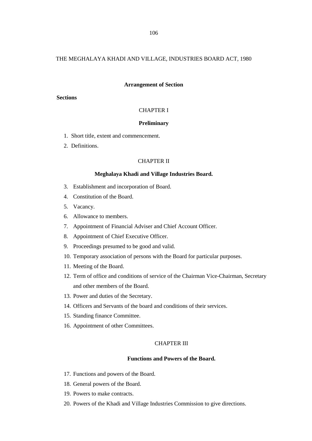### THE MEGHALAYA KHADI AND VILLAGE, INDUSTRIES BOARD ACT, 1980

#### **Arrangement of Section**

## **Sections**

## CHAPTER I

#### **Preliminary**

- 1. Short title, extent and commencement.
- 2. Definitions.

### CHAPTER II

#### **Meghalaya Khadi and Village Industries Board.**

- 3. Establishment and incorporation of Board.
- 4. Constitution of the Board.
- 5. Vacancy.
- 6. Allowance to members.
- 7. Appointment of Financial Adviser and Chief Account Officer.
- 8. Appointment of Chief Executive Officer.
- 9. Proceedings presumed to be good and valid.
- 10. Temporary association of persons with the Board for particular purposes.
- 11. Meeting of the Board.
- 12. Term of office and conditions of service of the Chairman Vice-Chairman, Secretary and other members of the Board.
- 13. Power and duties of the Secretary.
- 14. Officers and Servants of the board and conditions of their services.
- 15. Standing finance Committee.
- 16. Appointment of other Committees.

## CHAPTER III

### **Functions and Powers of the Board.**

- 17. Functions and powers of the Board.
- 18. General powers of the Board.
- 19. Powers to make contracts.
- 20. Powers of the Khadi and Village Industries Commission to give directions.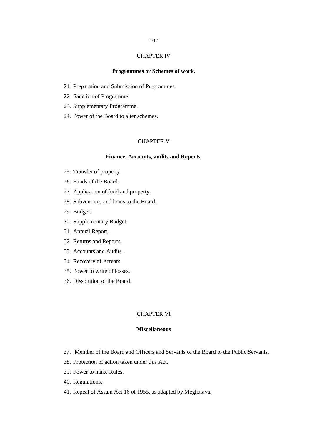## CHAPTER IV

## **Programmes or Schemes of work.**

- 21. Preparation and Submission of Programmes.
- 22. Sanction of Programme.
- 23. Supplementary Programme.
- 24. Power of the Board to alter schemes.

## CHAPTER V

## **Finance, Accounts, audits and Reports.**

- 25. Transfer of property.
- 26. Funds of the Board.
- 27. Application of fund and property.
- 28. Subventions and loans to the Board.
- 29. Budget.
- 30. Supplementary Budget.
- 31. Annual Report.
- 32. Returns and Reports.
- 33. Accounts and Audits.
- 34. Recovery of Arrears.
- 35. Power to write of losses.
- 36. Dissolution of the Board.

## CHAPTER VI

### **Miscellaneous**

- 37. Member of the Board and Officers and Servants of the Board to the Public Servants.
- 38. Protection of action taken under this Act.
- 39. Power to make Rules.
- 40. Regulations.
- 41. Repeal of Assam Act 16 of 1955, as adapted by Meghalaya.

## 107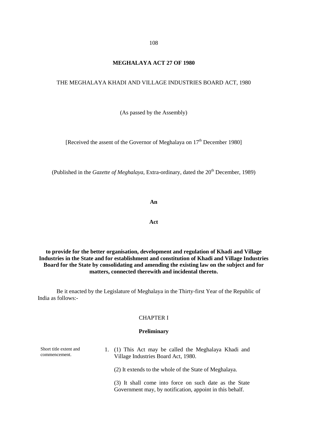## **MEGHALAYA ACT 27 OF 1980**

#### THE MEGHALAYA KHADI AND VILLAGE INDUSTRIES BOARD ACT, 1980

(As passed by the Assembly)

[Received the assent of the Governor of Meghalaya on  $17<sup>th</sup>$  December 1980]

(Published in the *Gazette of Meghalaya*, Extra-ordinary, dated the 20<sup>th</sup> December, 1989)

**An**

**Act**

**to provide for the better organisation, development and regulation of Khadi and Village Industries in the State and for establishment and constitution of Khadi and Village Industries Board for the State by consolidating and amending the existing law on the subject and for matters, connected therewith and incidental thereto.**

Be it enacted by the Legislature of Meghalaya in the Thirty-first Year of the Republic of India as follows:-

#### CHAPTER I

#### **Preliminary**

Short title extent and commencement.

1. (1) This Act may be called the Meghalaya Khadi and Village Industries Board Act, 1980.

(2) It extends to the whole of the State of Meghalaya.

(3) It shall come into force on such date as the State Government may, by notification, appoint in this behalf.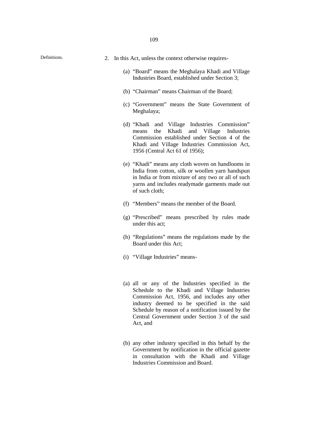- Definitions. 2. In this Act, unless the context otherwise requires-
	- (a) "Board" means the Meghalaya Khadi and Village Industries Board, established under Section 3;
	- (b) "Chairman" means Chairman of the Board;
	- (c) "Government" means the State Government of Meghalaya;
	- (d) "Khadi and Village Industries Commission" means the Khadi and Village Industries Commission established under Section 4 of the Khadi and Village Industries Commission Act, 1956 (Central Act 61 of 1956);
	- (e) "Khadi" means any cloth woven on handlooms in India from cotton, silk or woollen yarn handspun in India or from mixture of any two or all of such yarns and includes readymade garments made out of such cloth;
	- (f) "Members" means the member of the Board.
	- (g) "Prescribed" means prescribed by rules made under this act;
	- (h) "Regulations" means the regulations made by the Board under this Act;
	- (i) "Village Industries" means-
	- (a) all or any of the Industries specified in the Schedule to the Khadi and Village Industries Commission Act, 1956, and includes any other industry deemed to be specified in the said Schedule by reason of a notification issued by the Central Government under Section 3 of the said Act, and
	- (b) any other industry specified in this behalf by the Government by notification in the official gazette in consultation with the Khadi and Village Industries Commission and Board.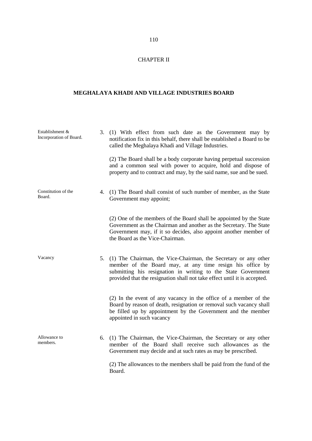## CHAPTER II

## **MEGHALAYA KHADI AND VILLAGE INDUSTRIES BOARD**

| Establishment &<br>Incorporation of Board. | 3. (1) With effect from such date as the Government may by<br>notification fix in this behalf, there shall be established a Board to be<br>called the Meghalaya Khadi and Village Industries.                                                                                 |
|--------------------------------------------|-------------------------------------------------------------------------------------------------------------------------------------------------------------------------------------------------------------------------------------------------------------------------------|
|                                            | (2) The Board shall be a body corporate having perpetual succession<br>and a common seal with power to acquire, hold and dispose of<br>property and to contract and may, by the said name, sue and be sued.                                                                   |
| Constitution of the<br>Board.              | 4. (1) The Board shall consist of such number of member, as the State<br>Government may appoint;                                                                                                                                                                              |
|                                            | (2) One of the members of the Board shall be appointed by the State<br>Government as the Chairman and another as the Secretary. The State<br>Government may, if it so decides, also appoint another member of<br>the Board as the Vice-Chairman.                              |
| Vacancy                                    | 5. (1) The Chairman, the Vice-Chairman, the Secretary or any other<br>member of the Board may, at any time resign his office by<br>submitting his resignation in writing to the State Government<br>provided that the resignation shall not take effect until it is accepted. |
|                                            | (2) In the event of any vacancy in the office of a member of the<br>Board by reason of death, resignation or removal such vacancy shall<br>be filled up by appointment by the Government and the member<br>appointed in such vacancy                                          |
| Allowance to<br>members.                   | 6. (1) The Chairman, the Vice-Chairman, the Secretary or any other<br>member of the Board shall receive such allowances as the<br>Government may decide and at such rates as may be prescribed.                                                                               |
|                                            | (2) The allowances to the members shall be paid from the fund of the<br>Board.                                                                                                                                                                                                |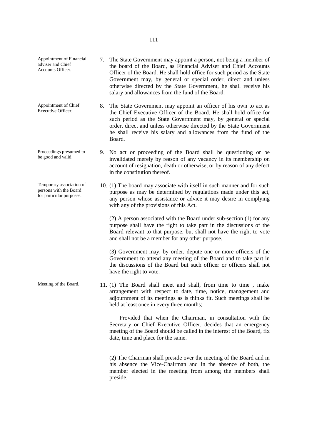Appointment of Financial adviser and Chief Accounts Officer. 7. The State Government may appoint a person, not being a member of the board of the Board, as Financial Adviser and Chief Accounts Officer of the Board. He shall hold office for such period as the State Government may, by general or special order, direct and unless otherwise directed by the State Government, he shall receive his salary and allowances from the fund of the Board. Appointment of Chief Executive Officer. 8. The State Government may appoint an officer of his own to act as the Chief Executive Officer of the Board. He shall hold office for such period as the State Government may, by general or special order, direct and unless otherwise directed by the State Government he shall receive his salary and allowances from the fund of the Board. Proceedings presumed to be good and valid. 9. No act or proceeding of the Board shall be questioning or be invalidated merely by reason of any vacancy in its membership on account of resignation, death or otherwise, or by reason of any defect in the constitution thereof. Temporary association of persons with the Board for particular purposes. 10. (1) The board may associate with itself in such manner and for such purpose as may be determined by regulations made under this act, any person whose assistance or advice it may desire in complying with any of the provisions of this Act. (2) A person associated with the Board under sub-section (1) for any purpose shall have the right to take part in the discussions of the Board relevant to that purpose, but shall not have the right to vote and shall not be a member for any other purpose. (3) Government may, by order, depute one or more officers of the Government to attend any meeting of the Board and to take part in the discussions of the Board but such officer or officers shall not have the right to vote. Meeting of the Board. 11. (1) The Board shall meet and shall, from time to time, make arrangement with respect to date, time, notice, management and adjournment of its meetings as is thinks fit. Such meetings shall be held at least once in every three months; Provided that when the Chairman, in consultation with the Secretary or Chief Executive Officer, decides that an emergency meeting of the Board should be called in the interest of the Board, fix date, time and place for the same. (2) The Chairman shall preside over the meeting of the Board and in his absence the Vice-Chairman and in the absence of both, the member elected in the meeting from among the members shall

preside.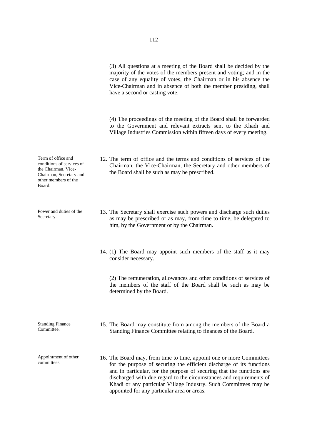(3) All questions at a meeting of the Board shall be decided by the majority of the votes of the members present and voting; and in the case of any equality of votes, the Chairman or in his absence the Vice-Chairman and in absence of both the member presiding, shall have a second or casting vote.

(4) The proceedings of the meeting of the Board shall be forwarded to the Government and relevant extracts sent to the Khadi and Village Industries Commission within fifteen days of every meeting.

- 12. The term of office and the terms and conditions of services of the Chairman, the Vice-Chairman, the Secretary and other members of the Board shall be such as may be prescribed.
- 13. The Secretary shall exercise such powers and discharge such duties as may be prescribed or as may, from time to time, be delegated to him, by the Government or by the Chairman.
- 14. (1) The Board may appoint such members of the staff as it may consider necessary.

(2) The remuneration, allowances and other conditions of services of the members of the staff of the Board shall be such as may be determined by the Board.

- 15. The Board may constitute from among the members of the Board a Standing Finance Committee relating to finances of the Board.
- 16. The Board may, from time to time, appoint one or more Committees for the purpose of securing the efficient discharge of its functions and in particular, for the purpose of securing that the functions are discharged with due regard to the circumstances and requirements of Khadi or any particular Village Industry. Such Committees may be appointed for any particular area or areas.

Term of office and conditions of services of the Chairman, Vice- Chairman, Secretary and other members of the Board.

Power and duties of the Secretary.

Standing Finance Committee.

Appointment of other committees.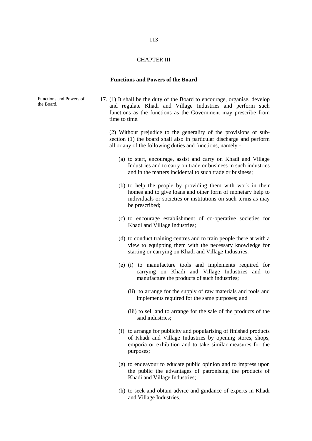## CHAPTER III

#### **Functions and Powers of the Board**

Functions and Powers of the Board. 17. (1) It shall be the duty of the Board to encourage, organise, develop and regulate Khadi and Village Industries and perform such functions as the functions as the Government may prescribe from

time to time.

(2) Without prejudice to the generality of the provisions of sub section (1) the board shall also in particular discharge and perform all or any of the following duties and functions, namely:-

- (a) to start, encourage, assist and carry on Khadi and Village Industries and to carry on trade or business in such industries and in the matters incidental to such trade or business;
- (b) to help the people by providing them with work in their homes and to give loans and other form of monetary help to individuals or societies or institutions on such terms as may be prescribed;
- (c) to encourage establishment of co-operative societies for Khadi and Village Industries;
- (d) to conduct training centres and to train people there at with a view to equipping them with the necessary knowledge for starting or carrying on Khadi and Village Industries.
- (e) (i) to manufacture tools and implements required for carrying on Khadi and Village Industries and to manufacture the products of such industries;
	- (ii) to arrange for the supply of raw materials and tools and implements required for the same purposes; and
	- (iii) to sell and to arrange for the sale of the products of the said industries;
- (f) to arrange for publicity and popularising of finished products of Khadi and Village Industries by opening stores, shops, emporia or exhibition and to take similar measures for the purposes;
- (g) to endeavour to educate public opinion and to impress upon the public the advantages of patronising the products of Khadi and Village Industries;
- (h) to seek and obtain advice and guidance of experts in Khadi and Village Industries.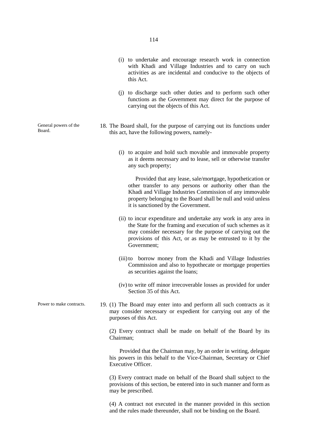- (i) to undertake and encourage research work in connection with Khadi and Village Industries and to carry on such activities as are incidental and conducive to the objects of this Act.
- (j) to discharge such other duties and to perform such other functions as the Government may direct for the purpose of carrying out the objects of this Act.
- 18. The Board shall, for the purpose of carrying out its functions under this act, have the following powers, namely-
	- (i) to acquire and hold such movable and immovable property as it deems necessary and to lease, sell or otherwise transfer any such property;

Provided that any lease, sale/mortgage, hypothetication or other transfer to any persons or authority other than the Khadi and Village Industries Commission of any immovable property belonging to the Board shall be null and void unless it is sanctioned by the Government.

- (ii) to incur expenditure and undertake any work in any area in the State for the framing and execution of such schemes as it may consider necessary for the purpose of carrying out the provisions of this Act, or as may be entrusted to it by the Government;
- (iii)to borrow money from the Khadi and Village Industries Commission and also to hypothecate or mortgage properties as securities against the loans;
- (iv) to write off minor irrecoverable losses as provided for under Section 35 of this Act.
- Power to make contracts. 19. (1) The Board may enter into and perform all such contracts as it may consider necessary or expedient for carrying out any of the purposes of this Act.

(2) Every contract shall be made on behalf of the Board by its Chairman;

Provided that the Chairman may, by an order in writing, delegate his powers in this behalf to the Vice-Chairman, Secretary or Chief Executive Officer.

(3) Every contract made on behalf of the Board shall subject to the provisions of this section, be entered into in such manner and form as may be prescribed.

(4) A contract not executed in the manner provided in this section and the rules made thereunder, shall not be binding on the Board.

General powers of the Board.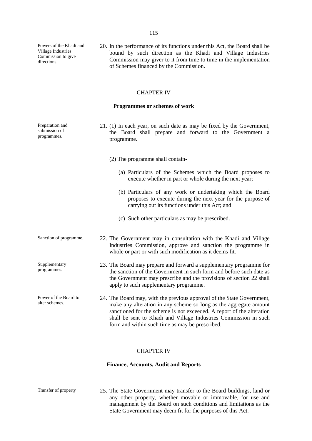Powers of the Khadi and Village Industries Commission to give directions.

20. In the performance of its functions under this Act, the Board shall be bound by such direction as the Khadi and Village Industries Commission may giver to it from time to time in the implementation of Schemes financed by the Commission.

#### CHAPTER IV

#### **Programmes or schemes of work**

Preparation and submission of programmes. 21. (1) In each year, on such date as may be fixed by the Government, the Board shall prepare and forward to the Government a programme. (2) The programme shall contain- (a) Particulars of the Schemes which the Board proposes to execute whether in part or whole during the next year; (b) Particulars of any work or undertaking which the Board proposes to execute during the next year for the purpose of carrying out its functions under this Act; and (c) Such other particulars as may be prescribed. Sanction of programme. 22. The Government may in consultation with the Khadi and Village Industries Commission, approve and sanction the programme in whole or part or with such modification as it deems fit. Supplementary programmes. 23. The Board may prepare and forward a supplementary programme for the sanction of the Government in such form and before such date as the Government may prescribe and the provisions of section 22 shall apply to such supplementary programme. Power of the Board to alter schemes. 24. The Board may, with the previous approval of the State Government, make any alteration in any scheme so long as the aggregate amount sanctioned for the scheme is not exceeded. A report of the alteration shall be sent to Khadi and Village Industries Commission in such form and within such time as may be prescribed.

#### CHAPTER IV

#### **Finance, Accounts, Audit and Reports**

Transfer of property 25. The State Government may transfer to the Board buildings, land or any other property, whether movable or immovable, for use and management by the Board on such conditions and limitations as the State Government may deem fit for the purposes of this Act.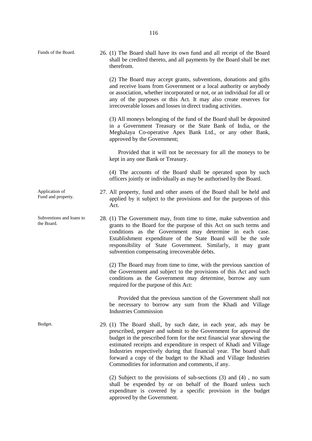(2) The Board may accept grants, subventions, donations and gifts and receive loans from Government or a local authority or anybody or association, whether incorporated or not, or an individual for all or any of the purposes or this Act. It may also create reserves for irrecoverable losses and losses in direct trading activities.

(3) All moneys belonging of the fund of the Board shall be deposited in a Government Treasury or the State Bank of India, or the Meghalaya Co-operative Apex Bank Ltd., or any other Bank, approved by the Government;

Provided that it will not be necessary for all the moneys to be kept in any one Bank or Treasury.

(4) The accounts of the Board shall be operated upon by such officers jointly or individually as may be authorised by the Board.

- 27. All property, fund and other assets of the Board shall be held and applied by it subject to the provisions and for the purposes of this Act.
- 28. (1) The Government may, from time to time, make subvention and grants to the Board for the purpose of this Act on such terms and conditions as the Government may determine in each case. Establishment expenditure of the State Board will be the sole responsibility of State Government. Similarly, it may grant subvention compensating irrecoverable debts.

(2) The Board may from time to time, with the previous sanction of the Government and subject to the provisions of this Act and such conditions as the Government may determine, borrow any sum required for the purpose of this Act:

Provided that the previous sanction of the Government shall not be necessary to borrow any sum from the Khadi and Village Industries Commission

Budget. 29. (1) The Board shall, by such date, in each year, ads may be prescribed, prepare and submit to the Government for approval the budget in the prescribed form for the next financial year showing the estimated receipts and expenditure in respect of Khadi and Village Industries respectively during that financial year. The board shall forward a copy of the budget to the Khadi and Village Industries Commodities for information and comments, if any.

> (2) Subject to the provisions of sub-sections (3) and (4) , no sum shall be expended by or on behalf of the Board unless such expenditure is covered by a specific provision in the budget approved by the Government.

Application of Fund and property.

Subventions and loans to the Board.

Funds of the Board. 26. (1) The Board shall have its own fund and all receipt of the Board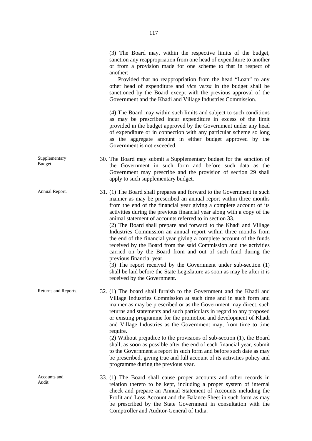or from a provision made for one scheme to that in respect of another: Provided that no reappropriation from the head "Loan" to any other head of expenditure and *vice versa* in the budget shall be sanctioned by the Board except with the previous approval of the Government and the Khadi and Village Industries Commission. (4) The Board may within such limits and subject to such conditions as may be prescribed incur expenditure in excess of the limit provided in the budget approved by the Government under any head of expenditure or in connection with any particular scheme so long as the aggregate amount in either budget approved by the Government is not exceeded. Supplementary 30. The Board may submit a Supplementary budget for the sanction of the Government in such form and before such data as the Government may prescribe and the provision of section 29 shall apply to such supplementary budget. Annual Report. 31. (1) The Board shall prepares and forward to the Government in such manner as may be prescribed an annual report within three months from the end of the financial year giving a complete account of its activities during the previous financial year along with a copy of the animal statement of accounts referred to in section 33. (2) The Board shall prepare and forward to the Khadi and Village Industries Commission an annual report within three months from the end of the financial year giving a complete account of the funds received by the Board from the said Commission and the activities carried on by the Board from and out of such fund during the previous financial year. (3) The report received by the Government under sub-section (1) shall be laid before the State Legislature as soon as may be after it is received by the Government. Returns and Reports. 32. (1) The board shall furnish to the Government and the Khadi and Village Industries Commission at such time and in such form and manner as may be prescribed or as the Government may direct, such returns and statements and such particulars in regard to any proposed or existing programme for the promotion and development of Khadi and Village Industries as the Government may, from time to time

Budget.

(2) Without prejudice to the provisions of sub-section (1), the Board shall, as soon as possible after the end of each financial year, submit to the Government a report in such form and before such date as may be prescribed, giving true and full account of its activities policy and programme during the previous year.

Accounts and Audit 33. (1) The Board shall cause proper accounts and other records in relation thereto to be kept, including a proper system of internal check and prepare an Annual Statement of Accounts including the Profit and Loss Account and the Balance Sheet in such form as may be prescribed by the State Government in consultation with the Comptroller and Auditor-General of India.

require.

(3) The Board may, within the respective limits of the budget, sanction any reappropriation from one head of expenditure to another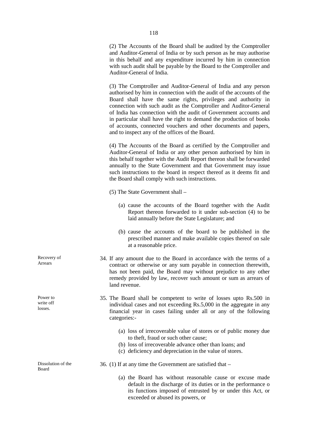(2) The Accounts of the Board shall be audited by the Comptroller and Auditor-General of India or by such person as he may authorise in this behalf and any expenditure incurred by him in connection with such audit shall be payable by the Board to the Comptroller and Auditor-General of India.

(3) The Comptroller and Auditor-General of India and any person authorised by him in connection with the audit of the accounts of the Board shall have the same rights, privileges and authority in connection with such audit as the Comptroller and Auditor-General of India has connection with the audit of Government accounts and in particular shall have the right to demand the production of books of accounts, connected vouchers and other documents and papers, and to inspect any of the offices of the Board.

(4) The Accounts of the Board as certified by the Comptroller and Auditor-General of India or any other person authorised by him in this behalf together with the Audit Report thereon shall be forwarded annually to the State Government and that Government may issue such instructions to the board in respect thereof as it deems fit and the Board shall comply with such instructions.

- (5) The State Government shall
	- (a) cause the accounts of the Board together with the Audit Report thereon forwarded to it under sub-section (4) to be laid annually before the State Legislature; and
	- (b) cause the accounts of the board to be published in the prescribed manner and make available copies thereof on sale at a reasonable price.
- 34. If any amount due to the Board in accordance with the terms of a contract or otherwise or any sum payable in connection therewith, has not been paid, the Board may without prejudice to any other remedy provided by law, recover such amount or sum as arrears of land revenue.
- 35. The Board shall be competent to write of losses upto Rs.500 in individual cases and not exceeding Rs.5,000 in the aggregate in any financial year in cases failing under all or any of the following categories:-
	- (a) loss of irrecoverable value of stores or of public money due to theft, fraud or such other cause;
	- (b) loss of irrecoverable advance other than loans; and
	- (c) deficiency and depreciation in the value of stores.

36. (1) If at any time the Government are satisfied that –

(a) the Board has without reasonable cause or excuse made default in the discharge of its duties or in the performance o its functions imposed of entrusted by or under this Act, or exceeded or abused its powers, or

Recovery of Arrears

Power to write off losses.

Dissolution of the

Board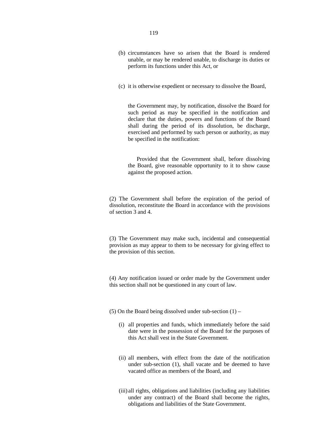- (b) circumstances have so arisen that the Board is rendered unable, or may be rendered unable, to discharge its duties or perform its functions under this Act, or
- (c) it is otherwise expedient or necessary to dissolve the Board,

the Government may, by notification, dissolve the Board for such period as may be specified in the notification and declare that the duties, powers and functions of the Board shall during the period of its dissolution, be discharge, exercised and performed by such person or authority, as may be specified in the notification:

Provided that the Government shall, before dissolving the Board, give reasonable opportunity to it to show cause against the proposed action.

(2) The Government shall before the expiration of the period of dissolution, reconstitute the Board in accordance with the provisions of section 3 and 4.

(3) The Government may make such, incidental and consequential provision as may appear to them to be necessary for giving effect to the provision of this section.

(4) Any notification issued or order made by the Government under this section shall not be questioned in any court of law.

(5) On the Board being dissolved under sub-section  $(1)$  –

- (i) all properties and funds, which immediately before the said date were in the possession of the Board for the purposes of this Act shall vest in the State Government.
- (ii) all members, with effect from the date of the notification under sub-section (1), shall vacate and be deemed to have vacated office as members of the Board, and
- (iii) all rights, obligations and liabilities (including any liabilities under any contract) of the Board shall become the rights, obligations and liabilities of the State Government.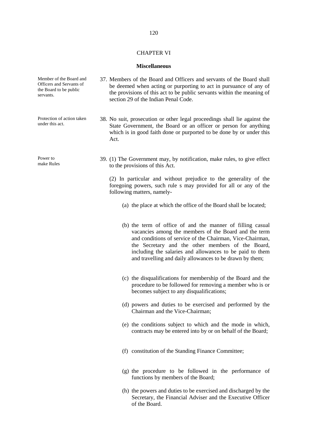#### CHAPTER VI

#### **Miscellaneous**

- 37. Members of the Board and Officers and servants of the Board shall be deemed when acting or purporting to act in pursuance of any of the provisions of this act to be public servants within the meaning of section 29 of the Indian Penal Code.
	- 38. No suit, prosecution or other legal proceedings shall lie against the State Government, the Board or an officer or person for anything which is in good faith done or purported to be done by or under this Act.
	- 39. (1) The Government may, by notification, make rules, to give effect to the provisions of this Act.

(2) In particular and without prejudice to the generality of the foregoing powers, such rule s may provided for all or any of the following matters, namely-

- (a) the place at which the office of the Board shall be located;
- (b) the term of office of and the manner of filling casual vacancies among the members of the Board and the term and conditions of service of the Chairman, Vice-Chairman, the Secretary and the other members of the Board, including the salaries and allowances to be paid to them and travelling and daily allowances to be drawn by them;
- (c) the disqualifications for membership of the Board and the procedure to be followed for removing a member who is or becomes subject to any disqualifications;
- (d) powers and duties to be exercised and performed by the Chairman and the Vice-Chairman;
- (e) the conditions subject to which and the mode in which, contracts may be entered into by or on behalf of the Board;
- (f) constitution of the Standing Finance Committee;
- (g) the procedure to be followed in the performance of functions by members of the Board;
- (h) the powers and duties to be exercised and discharged by the Secretary, the Financial Adviser and the Executive Officer of the Board.

Member of the Board and Officers and Servants of the Board to be public servants.

Protection of action taken under this act.

Power to make Rules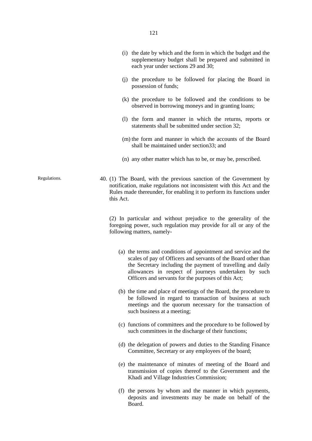- (i) the date by which and the form in which the budget and the supplementary budget shall be prepared and submitted in each year under sections 29 and 30;
- (j) the procedure to be followed for placing the Board in possession of funds;
- (k) the procedure to be followed and the conditions to be observed in borrowing moneys and in granting loans;
- (l) the form and manner in which the returns, reports or statements shall be submitted under section 32;
- (m) the form and manner in which the accounts of the Board shall be maintained under section33; and
- (n) any other matter which has to be, or may be, prescribed.
- Regulations. 40. (1) The Board, with the previous sanction of the Government by notification, make regulations not inconsistent with this Act and the Rules made thereunder, for enabling it to perform its functions under this Act.

(2) In particular and without prejudice to the generality of the foregoing power, such regulation may provide for all or any of the following matters, namely-

- (a) the terms and conditions of appointment and service and the scales of pay of Officers and servants of the Board other than the Secretary including the payment of travelling and daily allowances in respect of journeys undertaken by such Officers and servants for the purposes of this Act;
- (b) the time and place of meetings of the Board, the procedure to be followed in regard to transaction of business at such meetings and the quorum necessary for the transaction of such business at a meeting;
- (c) functions of committees and the procedure to be followed by such committees in the discharge of their functions;
- (d) the delegation of powers and duties to the Standing Finance Committee, Secretary or any employees of the board;
- (e) the maintenance of minutes of meeting of the Board and transmission of copies thereof to the Government and the Khadi and Village Industries Commission;
- (f) the persons by whom and the manner in which payments, deposits and investments may be made on behalf of the Board.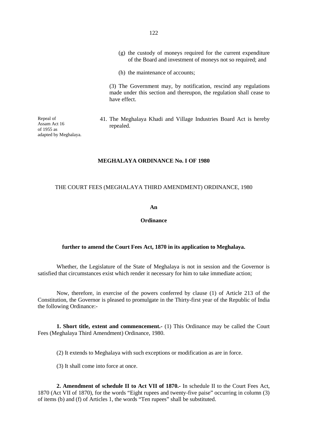- (g) the custody of moneys required for the current expenditure of the Board and investment of moneys not so required; and
- (h) the maintenance of accounts;

(3) The Government may, by notification, rescind any regulations made under this section and thereupon, the regulation shall cease to have effect.

41. The Meghalaya Khadi and Village Industries Board Act is hereby repealed.

**MEGHALAYA ORDINANCE No. I OF 1980**

## THE COURT FEES (MEGHALAYA THIRD AMENDMENT) ORDINANCE, 1980

**An**

**Ordinance**

#### **further to amend the Court Fees Act, 1870 in its application to Meghalaya.**

Whether, the Legislature of the State of Meghalaya is not in session and the Governor is satisfied that circumstances exist which render it necessary for him to take immediate action;

Now, therefore, in exercise of the powers conferred by clause (1) of Article 213 of the Constitution, the Governor is pleased to promulgate in the Thirty-first year of the Republic of India the following Ordinance:-

**1. Short title, extent and commencement.-** (1) This Ordinance may be called the Court Fees (Meghalaya Third Amendment) Ordinance, 1980.

(2) It extends to Meghalaya with such exceptions or modification as are in force.

(3) It shall come into force at once.

**2. Amendment of schedule II to Act VII of 1870.-** In schedule II to the Court Fees Act, 1870 (Act VII of 1870), for the words "Eight rupees and twenty-five paise" occurring in column (3) of items (b) and (f) of Articles 1, the words "Ten rupees" shall be substituted.

122

Repeal of Assam Act 16 of 1955 as adapted by Meghalaya.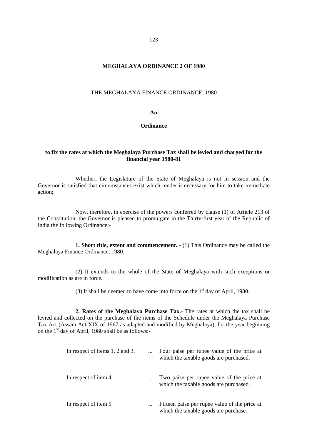## **MEGHALAYA ORDINANCE 2 OF 1980**

#### THE MEGHALAYA FINANCE ORDINANCE, 1980

**An**

#### **Ordinance**

## **to fix the rates at which the Meghalaya Purchase Tax shall be levied and charged for the financial year 1980-81**

Whether, the Legislature of the State of Meghalaya is not in session and the Governor is satisfied that circumstances exist which render it necessary for him to take immediate action;

Now, therefore, in exercise of the powers conferred by clause (1) of Article 213 of the Constitution, the Governor is pleased to promulgate in the Thirty-first year of the Republic of India the following Ordinance:-

**1. Short title, extent and commencement. -** (1) This Ordinance may be called the Meghalaya Finance Ordinance, 1980.

(2) It extends to the whole of the State of Meghalaya with such exceptions or modification as are in force.

(3) It shall be deemed to have come into force on the  $1<sup>st</sup>$  day of April, 1980.

**2. Rates of the Meghalaya Purchase Tax.-** The rates at which the tax shall be levied and collected on the purchase of the items of the Schedule under the Meghalaya Purchase Tax Act (Assam Act XIX of 1967 as adapted and modified by Meghalaya), for the year beginning on the  $1<sup>st</sup>$  day of April, 1980 shall be as follows:-

| In respect of items 1, 2 and 3. |          | Four paise per rupee value of the price at<br>which the taxable goods are purchased.   |
|---------------------------------|----------|----------------------------------------------------------------------------------------|
| In respect of item 4            |          | Two paise per rupee value of the price at<br>which the taxable goods are purchased.    |
| In respect of item 5            | $\cdots$ | Fifteen paise per rupee value of the price at<br>which the taxable goods are purchase. |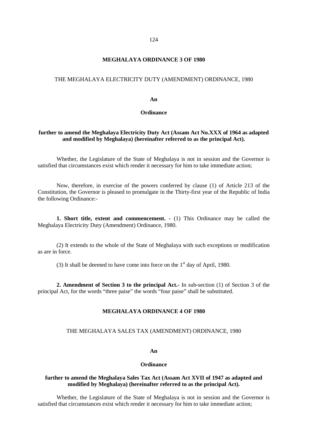## **MEGHALAYA ORDINANCE 3 OF 1980**

#### THE MEGHALAYA ELECTRICITY DUTY (AMENDMENT) ORDINANCE, 1980

#### **An**

## **Ordinance**

## **further to amend the Meghalaya Electricity Duty Act (Assam Act No.XXX of 1964 as adapted and modified by Meghalaya) (hereinafter referred to as the principal Act).**

Whether, the Legislature of the State of Meghalaya is not in session and the Governor is satisfied that circumstances exist which render it necessary for him to take immediate action;

Now, therefore, in exercise of the powers conferred by clause (1) of Article 213 of the Constitution, the Governor is pleased to promulgate in the Thirty-first year of the Republic of India the following Ordinance:-

**1. Short title, extent and commencement. -** (1) This Ordinance may be called the Meghalaya Electricity Duty (Amendment) Ordinance, 1980.

(2) It extends to the whole of the State of Meghalaya with such exceptions or modification as are in force.

(3) It shall be deemed to have come into force on the  $1<sup>st</sup>$  day of April, 1980.

**2. Amendment of Section 3 to the principal Act.-** In sub-section (1) of Section 3 of the principal Act, for the words "three paise" the words "four paise" shall be substituted.

#### **MEGHALAYA ORDINANCE 4 OF 1980**

## THE MEGHALAYA SALES TAX (AMENDMENT) ORDINANCE, 1980

#### **An**

#### **Ordinance**

## **further to amend the Meghalaya Sales Tax Act (Assam Act XVII of 1947 as adapted and modified by Meghalaya) (hereinafter referred to as the principal Act).**

Whether, the Legislature of the State of Meghalaya is not in session and the Governor is satisfied that circumstances exist which render it necessary for him to take immediate action;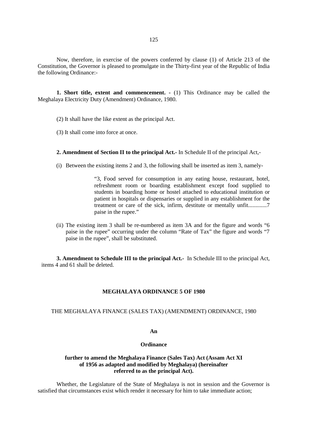Now, therefore, in exercise of the powers conferred by clause (1) of Article 213 of the Constitution, the Governor is pleased to promulgate in the Thirty-first year of the Republic of India the following Ordinance:-

**1. Short title, extent and commencement. -** (1) This Ordinance may be called the Meghalaya Electricity Duty (Amendment) Ordinance, 1980.

- (2) It shall have the like extent as the principal Act.
- (3) It shall come into force at once.

## **2. Amendment of Section II to the principal Act.-** In Schedule II of the principal Act,-

(i) Between the existing items 2 and 3, the following shall be inserted as item 3, namely-

"3, Food served for consumption in any eating house, restaurant, hotel, refreshment room or boarding establishment except food supplied to students in boarding home or hostel attached to educational institution or patient in hospitals or dispensaries or supplied in any establishment for the treatment or care of the sick, infirm, destitute or mentally unfit.............7 paise in the rupee."

(ii) The existing item 3 shall be re-numbered as item 3A and for the figure and words "6 paise in the rupee" occurring under the column "Rate of Tax" the figure and words "7 paise in the rupee", shall be substituted.

**3. Amendment to Schedule III to the principal Act.-** In Schedule III to the principal Act, items 4 and 61 shall be deleted.

#### **MEGHALAYA ORDINANCE 5 OF 1980**

#### THE MEGHALAYA FINANCE (SALES TAX) (AMENDMENT) ORDINANCE, 1980

#### **An**

#### **Ordinance**

## **further to amend the Meghalaya Finance (Sales Tax) Act (Assam Act XI of 1956 as adapted and modified by Meghalaya) (hereinafter referred to as the principal Act).**

Whether, the Legislature of the State of Meghalaya is not in session and the Governor is satisfied that circumstances exist which render it necessary for him to take immediate action;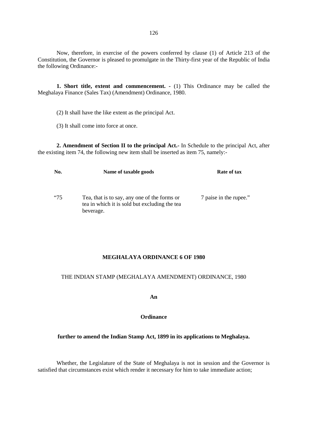Now, therefore, in exercise of the powers conferred by clause (1) of Article 213 of the Constitution, the Governor is pleased to promulgate in the Thirty-first year of the Republic of India the following Ordinance:-

**1. Short title, extent and commencement. -** (1) This Ordinance may be called the Meghalaya Finance (Sales Tax) (Amendment) Ordinance, 1980.

(2) It shall have the like extent as the principal Act.

(3) It shall come into force at once.

**2. Amendment of Section II to the principal Act.-** In Schedule to the principal Act, after the existing item 74, the following new item shall be inserted as item 75, namely:-

| No.        | Name of taxable goods                                                                                      | Rate of tax            |  |
|------------|------------------------------------------------------------------------------------------------------------|------------------------|--|
| <i>"75</i> | Tea, that is to say, any one of the forms or<br>tea in which it is sold but excluding the tea<br>beverage. | 7 paise in the rupee." |  |

## **MEGHALAYA ORDINANCE 6 OF 1980**

## THE INDIAN STAMP (MEGHALAYA AMENDMENT) ORDINANCE, 1980

**An**

## **Ordinance**

## **further to amend the Indian Stamp Act, 1899 in its applications to Meghalaya.**

Whether, the Legislature of the State of Meghalaya is not in session and the Governor is satisfied that circumstances exist which render it necessary for him to take immediate action;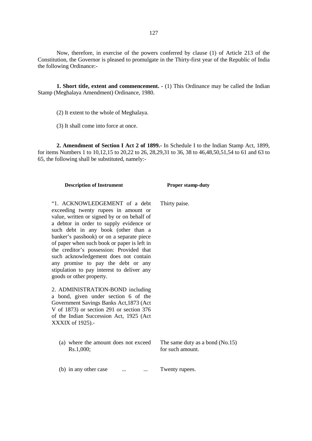Now, therefore, in exercise of the powers conferred by clause (1) of Article 213 of the Constitution, the Governor is pleased to promulgate in the Thirty-first year of the Republic of India the following Ordinance:-

**1. Short title, extent and commencement. -** (1) This Ordinance may be called the Indian Stamp (Meghalaya Amendment) Ordinance, 1980.

(2) It extent to the whole of Meghalaya.

(3) It shall come into force at once.

**2. Amendment of Section I Act 2 of 1899.-** In Schedule I to the Indian Stamp Act, 1899, for items Numbers 1 to 10,12,15 to 20,22 to 26, 28,29,31 to 36, 38 to 46,48,50,51,54 to 61 and 63 to 65, the following shall be substituted, namely:-

| <b>Description of Instrument</b>                                                                                                                                                                                                                                                                                                                                                                                                                                                                        | <b>Proper stamp-duty</b>                              |
|---------------------------------------------------------------------------------------------------------------------------------------------------------------------------------------------------------------------------------------------------------------------------------------------------------------------------------------------------------------------------------------------------------------------------------------------------------------------------------------------------------|-------------------------------------------------------|
| "1. ACKNOWLEDGEMENT of a debt<br>exceeding twenty rupees in amount or<br>value, written or signed by or on behalf of<br>a debtor in order to supply evidence or<br>such debt in any book (other than a<br>banker's passbook) or on a separate piece<br>of paper when such book or paper is left in<br>the creditor's possession: Provided that<br>such acknowledgement does not contain<br>any promise to pay the debt or any<br>stipulation to pay interest to deliver any<br>goods or other property. | Thirty paise.                                         |
| 2. ADMINISTRATION-BOND including<br>a bond, given under section 6 of the<br>Government Savings Banks Act, 1873 (Act<br>V of 1873) or section 291 or section 376<br>of the Indian Succession Act, 1925 (Act<br>XXXIX of 1925).-                                                                                                                                                                                                                                                                          |                                                       |
| (a) where the amount does not exceed<br>Rs.1,000;                                                                                                                                                                                                                                                                                                                                                                                                                                                       | The same duty as a bond $(No.15)$<br>for such amount. |
| (b) in any other case<br>$\cdots$                                                                                                                                                                                                                                                                                                                                                                                                                                                                       | Twenty rupees.                                        |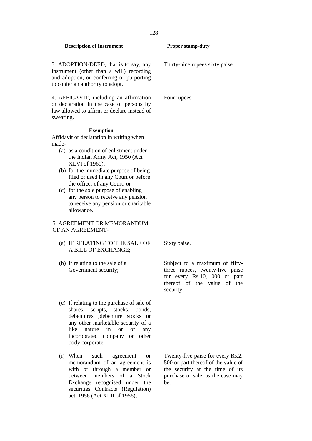3. ADOPTION-DEED, that is to say, any instrument (other than a will) recording and adoption, or conferring or purporting to confer an authority to adopt.

4. AFFICAVIT, including an affirmation or declaration in the case of persons by law allowed to affirm or declare instead of swearing.

## **Exemption**

Affidavit or declaration in writing when made-

- (a) as a condition of enlistment under the Indian Army Act, 1950 (Act XLVI of 1960);
- (b) for the immediate purpose of being filed or used in any Court or before the officer of any Court; or
- (c) for the sole purpose of enabling any person to receive any pension to receive any pension or charitable allowance.

## 5. AGREEMENT OR MEMORANDUM OF AN AGREEMENT-

- (a) IF RELATING TO THE SALE OF A BILL OF EXCHANGE;
- (b) If relating to the sale of a Government security;
- (c) If relating to the purchase of sale of shares, scripts, stocks, bonds, debentures ,debenture stocks or any other marketable security of a like nature in or of any incorporated company or other body corporate-
- (i) When such agreement or memorandum of an agreement is with or through a member or between members of a Stock Exchange recognised under the securities Contracts (Regulation) act, 1956 (Act XLII of 1956);

Thirty-nine rupees sixty paise.

Four rupees.

Sixty paise.

Subject to a maximum of fiftythree rupees, twenty-five paise for every Rs.10, 000 or part thereof of the value of the security.

Twenty-five paise for every Rs.2, 500 or part thereof of the value of the security at the time of its purchase or sale, as the case may be.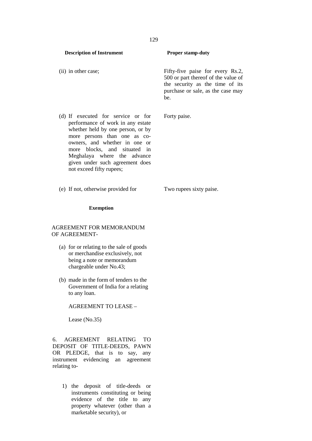(ii) in other case; Fifty-five paise for every Rs.2, 500 or part thereof of the value of the security as the time of its purchase or sale, as the case may be.

Forty paise.

(e) If not, otherwise provided for Two rupees sixty paise.

not exceed fifty rupees;

(d) If executed for service or for performance of work in any estate whether held by one person, or by more persons than one as co owners, and whether in one or more blocks, and situated in Meghalaya where the advance given under such agreement does

**Exemption**

## AGREEMENT FOR MEMORANDUM OF AGREEMENT-

- (a) for or relating to the sale of goods or merchandise exclusively, not being a note or memorandum chargeable under No.43;
- (b) made in the form of tenders to the Government of India for a relating to any loan.

AGREEMENT TO LEASE –

Lease (No.35)

6. AGREEMENT RELATING TO DEPOSIT OF TITLE-DEEDS, PAWN OR PLEDGE, that is to say, any instrument evidencing an agreement relating to-

> 1) the deposit of title-deeds or instruments constituting or being evidence of the title to any property whatever (other than a marketable security), or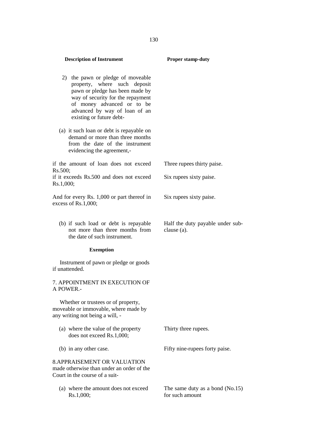| <b>Description of Instrument</b>                                                                                                                                                                                                     | <b>Proper stamp-duty</b>                             |
|--------------------------------------------------------------------------------------------------------------------------------------------------------------------------------------------------------------------------------------|------------------------------------------------------|
| 2) the pawn or pledge of moveable<br>property, where such deposit<br>pawn or pledge has been made by<br>way of security for the repayment<br>of money advanced or to be<br>advanced by way of loan of an<br>existing or future debt- |                                                      |
| (a) it such loan or debt is repayable on<br>demand or more than three months<br>from the date of the instrument<br>evidencing the agreement,-                                                                                        |                                                      |
| if the amount of loan does not exceed<br>Rs.500;                                                                                                                                                                                     | Three rupees thirty paise.                           |
| if it exceeds Rs.500 and does not exceed<br>Rs.1,000;                                                                                                                                                                                | Six rupees sixty paise.                              |
| And for every Rs. 1,000 or part thereof in<br>excess of Rs.1,000;                                                                                                                                                                    | Six rupees sixty paise.                              |
| (b) if such load or debt is repayable<br>not more than three months from<br>the date of such instrument.                                                                                                                             | Half the duty payable under sub-<br>clause (a).      |
| <b>Exemption</b>                                                                                                                                                                                                                     |                                                      |
| Instrument of pawn or pledge or goods<br>if unattended.                                                                                                                                                                              |                                                      |
| 7. APPOINTMENT IN EXECUTION OF<br>A POWER.-                                                                                                                                                                                          |                                                      |
| Whether or trustees or of property,<br>moveable or immovable, where made by<br>any writing not being a will, -                                                                                                                       |                                                      |
| (a) where the value of the property<br>does not exceed Rs.1,000;                                                                                                                                                                     | Thirty three rupees.                                 |
| (b) in any other case.                                                                                                                                                                                                               | Fifty nine-rupees forty paise.                       |
| <b>8. APPRAISEMENT OR VALUATION</b><br>made otherwise than under an order of the<br>Court in the course of a suit-                                                                                                                   |                                                      |
| (a) where the amount does not exceed<br>Rs.1,000;                                                                                                                                                                                    | The same duty as a bond $(No.15)$<br>for such amount |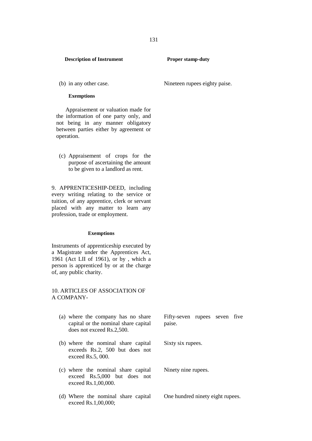#### **Exemptions**

Appraisement or valuation made for the information of one party only, and not being in any manner obligatory between parties either by agreement or operation.

(c) Appraisement of crops for the purpose of ascertaining the amount to be given to a landlord as rent.

9. APPRENTICESHIP-DEED, including every writing relating to the service or tuition, of any apprentice, clerk or servant placed with any matter to learn any profession, trade or employment.

#### **Exemptions**

Instruments of apprenticeship executed by a Magistrate under the Apprentices Act, 1961 (Act LII of 1961), or by , which a person is apprenticed by or at the charge of, any public charity.

## 10. ARTICLES OF ASSOCIATION OF A COMPANY-

- (a) where the company has no share capital or the nominal share capital does not exceed Rs.2,500.
- (b) where the nominal share capital exceeds Rs.2, 500 but does not exceed Rs.5, 000.
- (c) where the nominal share capital exceed Rs.5,000 but does not exceed Rs.1,00,000.
- (d) Where the nominal share capital exceed Rs.1,00,000;

(b) in any other case. Nineteen rupees eighty paise.

Fifty-seven rupees seven five paise.

Sixty six rupees.

Ninety nine rupees.

One hundred ninety eight rupees.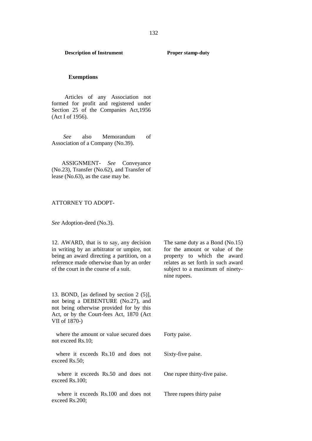## **Exemptions**

Articles of any Association not formed for profit and registered under Section 25 of the Companies Act,1956 (Act I of 1956).

*See* also Memorandum of Association of a Company (No.39).

ASSIGNMENT- *See* Conveyance (No.23), Transfer (No.62), and Transfer of lease (No.63), as the case may be.

#### ATTORNEY TO ADOPT-

*See* Adoption-deed (No.3).

12. AWARD, that is to say, any decision in writing by an arbitrator or umpire, not being an award directing a partition, on a reference made otherwise than by an order of the court in the course of a suit.

13. BOND, [as defined by section 2 (5)], not being a DEBENTURE (No.27), and not being otherwise provided for by this Act, or by the Court-fees Act, 1870 (Act VII of 1870-)

where the amount or value secured does not exceed Rs.10;

where it exceeds Rs.10 and does not exceed Rs.50;

where it exceeds Rs.50 and does not exceed Rs.100;

where it exceeds Rs.100 and does not exceed Rs.200;

The same duty as a Bond (No.15) for the amount or value of the property to which the award relates as set forth in such award subject to a maximum of ninety nine rupees.

Forty paise.

Sixty-five paise.

One rupee thirty-five paise.

Three rupees thirty paise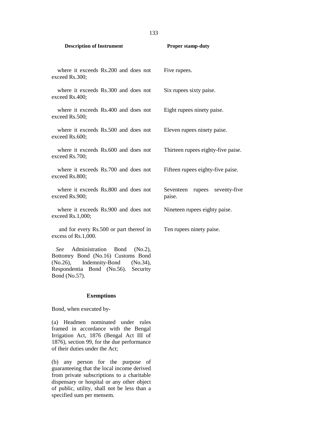| <b>Description of Instrument</b>                               | <b>Proper stamp-duty</b>                      |  |
|----------------------------------------------------------------|-----------------------------------------------|--|
| where it exceeds Rs.200 and does not<br>exceed Rs.300;         | Five rupees.                                  |  |
| where it exceeds Rs.300 and does not<br>exceed Rs.400;         | Six rupees sixty paise.                       |  |
| where it exceeds Rs.400 and does not<br>exceed Rs.500;         | Eight rupees ninety paise.                    |  |
| where it exceeds Rs.500 and does not<br>exceed Rs.600;         | Eleven rupees ninety paise.                   |  |
| where it exceeds Rs.600 and does not<br>exceed Rs.700;         | Thirteen rupees eighty-five paise.            |  |
| where it exceeds Rs.700 and does not<br>exceed Rs.800;         | Fifteen rupees eighty-five paise.             |  |
| where it exceeds Rs.800 and does not<br>exceed Rs.900;         | seventy-five<br>Seventeen<br>rupees<br>paise. |  |
| where it exceeds Rs.900 and does not<br>exceed Rs.1,000;       | Nineteen rupees eighty paise.                 |  |
| and for every Rs.500 or part thereof in<br>excess of Rs.1,000. | Ten rupees ninety paise.                      |  |

*See* Administration Bond (No.2), Bottomry Bond (No.16) Customs Bond<br>(No.26), Indemnity-Bond (No.34), (No.26), Indemnity-Bond (No.34), Respondentia Bond (No.56). Security Bond (No.57).

#### **Exemptions**

Bond, when executed by-

(a) Headmen nominated under rules framed in accordance with the Bengal Irrigation Act, 1876 (Bengal Act III of 1876), section 99, for the due performance of their duties under the Act;

(b) any person for the purpose of guaranteeing that the local income derived from private subscriptions to a charitable dispensary or hospital or any other object of public, utility, shall not be less than a specified sum per mensem.

133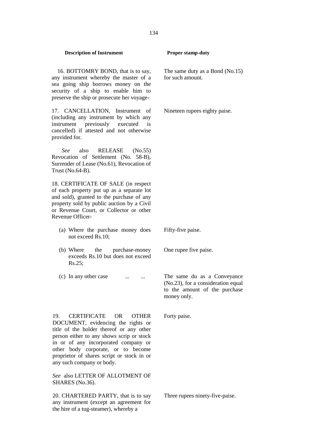16. BOTTOMRY BOND, that is to say, any instrument whereby the master of a sea going ship borrows money on the security of a ship to enable him to preserve the ship or prosecute her voyage-

17. CANCELLATION, Instrument of (including any instrument by which any instrument previously executed is cancelled) if attested and not otherwise provided for.

*See* also RELEASE (No.55) Revocation of Settlement (No. 58-B), Surrender of Lease (No.61), Revocation of Trust (No.64-B).

18. CERTIFICATE OF SALE (in respect of each property put up as a separate lot and sold), granted to the purchase of any property sold by public auction by a Civil or Revenue Court, or Collector or other Revenue Officer-

- (a) Where the purchase money does not exceed Rs.10;
- (b) Where the purchase-money exceeds Rs.10 but does not exceed Rs.25;
- (c) In any other case ... ... ... The same du as a Conveyance

19. CERTIFICATE OR OTHER DOCUMENT, evidencing the rights or title of the holder thereof or any other person either to any shows scrip or stock in or of any incorporated company or other body corporate, or to become proprietor of shares script or stock in or any such company or body.

*See* also LETTER OF ALLOTMENT OF SHARES (No.36).

20. CHARTERED PARTY, that is to say any instrument (except an agreement for the hire of a tug-steamer), whereby a

The same duty as a Bond (No.15) for such amount.

Nineteen rupees eighty paise.

Fifty-five paise.

One rupee five paise.

(No.23), for a consideration equal to the amount of the purchase money only.

Forty paise.

Three rupees ninety-five-paise.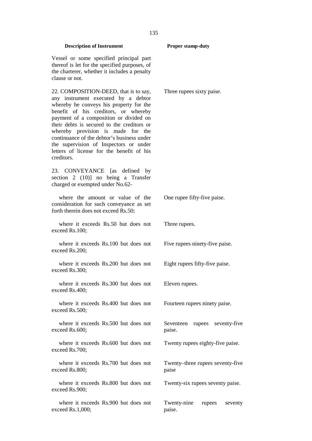## Vessel or some specified principal part thereof is let for the specified purposes, of the charterer, whether it includes a penalty clause or not. 22. COMPOSITION-DEED, that is to say, any instrument executed by a debtor whereby he conveys his property for the benefit of his creditors, or whereby payment of a composition or divided on their debts is secured to the creditors or whereby provision is made for the continuance of the debtor's business under the supervision of Inspectors or under letters of license for the benefit of his creditors. Three rupees sixty paise. 23. CONVEYANCE [as defined by section 2 (10)] no being a Transfer charged or exempted under No.62 where the amount or value of the consideration for such conveyance as set forth therein does not exceed Rs.50; One rupee fifty-five paise. where it exceeds Rs.50 but does not exceed Rs.100; Three rupees. where it exceeds Rs.100 but does not exceed Rs.200; Five rupees ninety-five paise. where it exceeds Rs.200 but does not exceed Rs.300; Eight rupees fifty-five paise. where it exceeds Rs.300 but does not exceed Rs.400; Eleven rupees. where it exceeds Rs.400 but does not exceed Rs.500; Fourteen rupees ninety paise. where it exceeds Rs.500 but does not exceed Rs.600; Seventeen rupees seventy-five paise. where it exceeds Rs.600 but does not exceed Rs.700; Twenty rupees eighty-five paise. where it exceeds Rs.700 but does not exceed Rs.800; Twenty–three rupees seventy-five paise where it exceeds Rs.800 but does not exceed Rs.900; Twenty-six rupees seventy paise.

Twenty-nine rupees seventy

paise.

where it exceeds Rs.900 but does not exceed Rs.1,000;

135

**Description of Instrument Proper stamp-duty**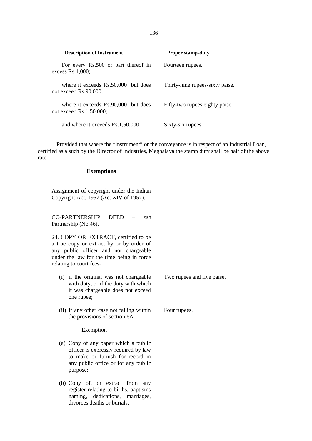| <b>Description of Instrument</b>                                 | <b>Proper stamp-duty</b>        |
|------------------------------------------------------------------|---------------------------------|
| For every Rs.500 or part thereof in<br>excess $Rs.1,000;$        | Fourteen rupees.                |
| where it exceeds Rs.50,000 but does<br>not exceed Rs.90,000;     | Thirty-nine rupees-sixty paise. |
| where it exceeds Rs.90,000 but does<br>not exceed $Rs.1,50,000;$ | Fifty-two rupees eighty paise.  |
| and where it exceeds Rs.1,50,000;                                | Sixty-six rupees.               |

Provided that where the "instrument" or the conveyance is in respect of an Industrial Loan, certified as a such by the Director of Industries, Meghalaya the stamp duty shall be half of the above rate.

## **Exemptions**

Assignment of copyright under the Indian Copyright Act, 1957 (Act XIV of 1957).

CO-PARTNERSHIP DEED – *see* Partnership (No.46).

24. COPY OR EXTRACT, certified to be a true copy or extract by or by order of any public officer and not chargeable under the law for the time being in force relating to court fees-

- (i) if the original was not chargeable with duty, or if the duty with which it was chargeable does not exceed one rupee;
- (ii) If any other case not falling within the provisions of section 6A.

## Exemption

- (a) Copy of any paper which a public officer is expressly required by law to make or furnish for record in any public office or for any public purpose;
- (b) Copy of, or extract from any register relating to births, baptisms naming, dedications, marriages, divorces deaths or burials.

Two rupees and five paise.

Four rupees.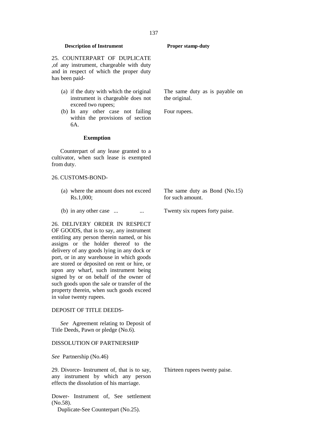25. COUNTERPART OF DUPLICATE ,of any instrument, chargeable with duty and in respect of which the proper duty has been paid-

- (a) if the duty with which the original instrument is chargeable does not exceed two rupees;
- (b) In any other case not failing within the provisions of section 6A.

#### **Exemption**

Counterpart of any lease granted to a cultivator, when such lease is exempted from duty.

#### 26. CUSTOMS-BOND-

- (a) where the amount does not exceed Rs.1,000;
- (b) in any other case ...  $\cdots$  ... Twenty six rupees forty paise.

26. DELIVERY ORDER IN RESPECT OF GOODS, that is to say, any instrument entitling any person therein named, or his assigns or the holder thereof to the delivery of any goods lying in any dock or port, or in any warehouse in which goods are stored or deposited on rent or hire, or upon any wharf, such instrument being signed by or on behalf of the owner of such goods upon the sale or transfer of the property therein, when such goods exceed in value twenty rupees.

#### DEPOSIT OF TITLE DEEDS-

*See* Agreement relating to Deposit of Title Deeds, Pawn or pledge (No.6).

## DISSOLUTION OF PARTNERSHIP

*See* Partnership (No.46)

29. Divorce- Instrument of, that is to say, any instrument by which any person effects the dissolution of his marriage.

Dower- Instrument of, See settlement (No.58).

Duplicate-See Counterpart (No.25).

The same duty as is payable on the original.

Four rupees.

The same duty as Bond (No.15) for such amount.

Thirteen rupees twenty paise.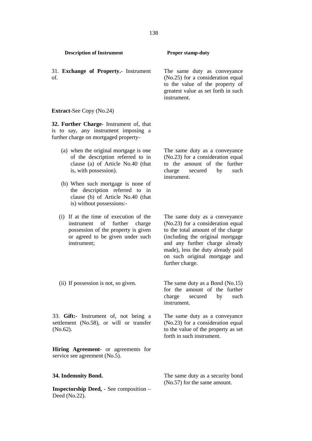31. **Exchange of Property.**- Instrument of.

The same duty as conveyance (No.25) for a consideration equal to the value of the property of greatest value as set forth in such instrument.

The same duty as a conveyance (No.23) for a consideration equal to the amount of the further charge secured by such

**Extract**-See Copy (No.24)

**32. Further Charge-** Instrument of, that is to say, any instrument imposing a further charge on mortgaged property-

- (a) when the original mortgage is one of the description referred to in clause (a) of Article No.40 (that is, with possession).
- (b) When such mortgage is none of the description referred to in clause (b) of Article No.40 (that is) without possessions:-
- (i) If at the time of execution of the instrument of further charge possession of the property is given or agreed to be given under such instrument;

The same duty as a conveyance (No.23) for a consideration equal to the total amount of the charge (including the original mortgage and any further charge already made), less the duty already paid

on such original mortgage and

(ii) If possession is not, so given. The same duty as a Bond (No.15) for the amount of the further charge secured by such

instrument.

further charge.

instrument.

33. **Gift:-** Instrument of, not being a settlement (No.58), or will or transfer (No.62).

**Hiring Agreement-** or agreements for service see agreement (No.5).

**Inspectorship Deed, -** See composition – Deed (No.22).

The same duty as a conveyance (No.23) for a consideration equal to the value of the property as set forth in such instrument.

**34. Indemnity Bond.** The same duty as a security bond (No.57) for the same amount.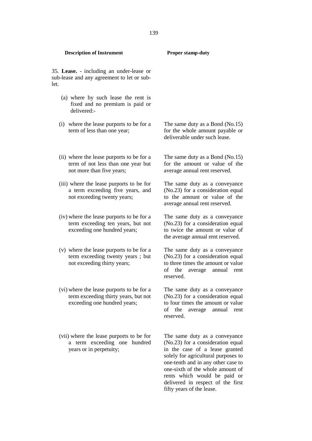| 35. Lease. - including an under-lease or<br>sub-lease and any agreement to let or sub-<br>let.                    |                                                                                                                                                                |
|-------------------------------------------------------------------------------------------------------------------|----------------------------------------------------------------------------------------------------------------------------------------------------------------|
| (a) where by such lease the rent is<br>fixed and no premium is paid or<br>delivered:-                             |                                                                                                                                                                |
| (i) where the lease purports to be for a<br>term of less than one year;                                           | The same duty as a Bond (No.15)<br>for the whole amount payable or<br>deliverable under such lease.                                                            |
| (ii) where the lease purports to be for a<br>term of not less than one year but<br>not more than five years;      | The same duty as a Bond $(No.15)$<br>for the amount or value of the<br>average annual rent reserved.                                                           |
| (iii) where the lease purports to be for<br>a term exceeding five years, and<br>not exceeding twenty years;       | The same duty as a conveyance<br>(No.23) for a consideration equal<br>to the amount or value of the<br>average annual rent reserved.                           |
| (iv) where the lease purports to be for a<br>term exceeding ten years, but not<br>exceeding one hundred years;    | The same duty as a conveyance<br>(No.23) for a consideration equal<br>to twice the amount or value of<br>the average annual rent reserved.                     |
| (v) where the lease purports to be for a<br>term exceeding twenty years ; but<br>not exceeding thirty years;      | The same duty as a conveyance<br>(No.23) for a consideration equal<br>to three times the amount or value<br>of the<br>average annual rent<br>reserved.         |
| (vi) where the lease purports to be for a<br>term exceeding thirty years, but not<br>exceeding one hundred years; | The same duty as a conveyance<br>(No.23) for a consideration equal<br>to four times the amount or value<br>of<br>the<br>annual<br>average<br>rent<br>reserved. |
| (vii) where the lease purports to be for<br>a term exceeding one hundred<br>years or in perpetuity;               | The same duty as a conveyance<br>(No.23) for a consideration equal<br>in the case of a lease granted<br>solely for agricultural purposes to                    |

## **Description of Instrument Proper stamp-duty**

one-tenth and in any other case to one-sixth of the whole amount of rents which would be paid or delivered in respect of the first

fifty years of the lease.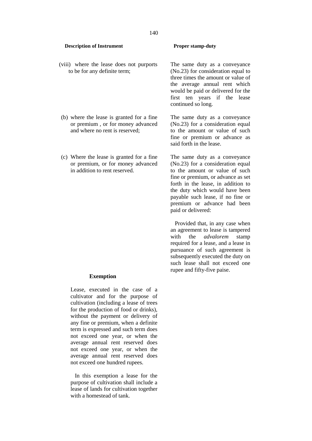- (viii) where the lease does not purports to be for any definite term;
- (b) where the lease is granted for a fine or premium , or for money advanced and where no rent is reserved;
- (c) Where the lease is granted for a fine or premium, or for money advanced in addition to rent reserved.

#### **Exemption**

Lease, executed in the case of a cultivator and for the purpose of cultivation (including a lease of trees for the production of food or drinks), without the payment or delivery of any fine or premium, when a definite term is expressed and such term does not exceed one year, or when the average annual rent reserved does not exceed one year, or when the average annual rent reserved does not exceed one hundred rupees.

In this exemption a lease for the purpose of cultivation shall include a lease of lands for cultivation together with a homestead of tank.

The same duty as a conveyance (No.23) for consideration equal to three times the amount or value of the average annual rent which would be paid or delivered for the first ten years if the lease continued so long.

The same duty as a conveyance (No.23) for a consideration equal to the amount or value of such fine or premium or advance as said forth in the lease.

The same duty as a conveyance (No.23) for a consideration equal to the amount or value of such fine or premium, or advance as set forth in the lease, in addition to the duty which would have been payable such lease, if no fine or premium or advance had been paid or delivered:

Provided that, in any case when an agreement to lease is tampered with the *advalorem* stamp required for a lease, and a lease in pursuance of such agreement is subsequently executed the duty on such lease shall not exceed one rupee and fifty-five paise.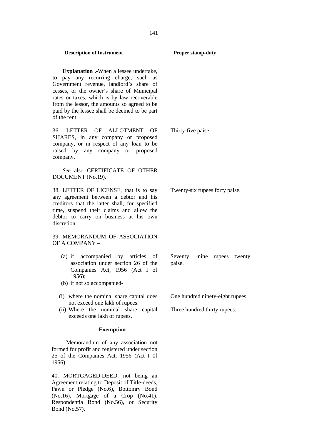**Explanation .-**When a lessee undertake, to pay any recurring charge, such as Government revenue, landlord's share of cesses, or the owner's share of Municipal rates or taxes, which is by law recoverable from the lessor, the amounts so agreed to be paid by the lessee shall be deemed to be part of the rent.

36. LETTER OF ALLOTMENT OF SHARES, in any company or proposed company, or in respect of any loan to be raised by any company or proposed company.

*See* also CERTIFICATE OF OTHER DOCUMENT (No.19).

38. LETTER OF LICENSE, that is to say any agreement between a debtor and his creditors that the latter shall, for specified time, suspend their claims and allow the debtor to carry on business at his own discretion.

## 39. MEMORANDUM OF ASSOCIATION OF A COMPANY –

- (a) if accompanied by articles of association under section 26 of the Companies Act, 1956 (Act I of 1956);
- (b) if not so accompanied-
- (i) where the nominal share capital does not exceed one lakh of rupees.
- (ii) Where the nominal share capital exceeds one lakh of rupees.

## **Exemption**

Memorandum of any association not formed for profit and registered under section 25 of the Companies Act, 1956 (Act I 0f 1956).

40. MORTGAGED-DEED, not being an Agreement relating to Deposit of Title-deeds, Pawn or Pledge (No.6), Bottomry Bond (No.16), Mortgage of a Crop (No.41), Respondentia Bond (No.56), or Security Bond (No.57).

Thirty-five paise.

Twenty-six rupees forty paise.

paise.

Seventy –nine rupees twenty

One hundred ninety-eight rupees.

Three hundred thirty rupees.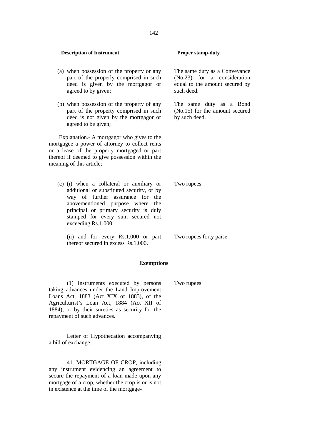# (a) when possession of the property or any part of the properly comprised in such deed is given by the mortgagor or agreed to by given;

(b) when possession of the property of any part of the property comprised in such deed is not given by the mortgagor or agreed to be given;

Explanation.- A mortgagor who gives to the mortgagee a power of attorney to collect rents or a lease of the property mortgaged or part thereof if deemed to give possession within the meaning of this article;

(c) (i) when a collateral or auxiliary or additional or substituted security, or by way of further assurance for the abovementioned purpose where the principal or primary security is duly stamped for every sum secured not exceeding Rs.1,000;

(ii) and for every Rs.1,000 or part thereof secured in excess Rs.1,000.

# **Exemptions**

(1) Instruments executed by persons taking advances under the Land Improvement Loans Act, 1883 (Act XIX of 1883), of the Agriculturist's Loan Act, 1884 (Act XII of 1884), or by their sureties as security for the repayment of such advances.

Letter of Hypothecation accompanying a bill of exchange.

41. MORTGAGE OF CROP, including any instrument evidencing an agreement to secure the repayment of a loan made upon any mortgage of a crop, whether the crop is or is not in existence at the time of the mortgage-

The same duty as a Conveyance (No.23) for a consideration equal to the amount secured by such deed.

The same duty as a Bond (No.15) for the amount secured by such deed.

Two rupees.

Two rupees.

Two rupees forty paise.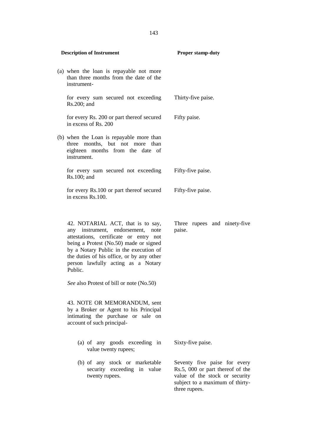| <b>Description of Instrument</b>                                                                                                                                                                                                                                                                      | <b>Proper stamp-duty</b>                                                                                                                               |
|-------------------------------------------------------------------------------------------------------------------------------------------------------------------------------------------------------------------------------------------------------------------------------------------------------|--------------------------------------------------------------------------------------------------------------------------------------------------------|
| (a) when the loan is repayable not more<br>than three months from the date of the<br>instrument-                                                                                                                                                                                                      |                                                                                                                                                        |
| for every sum secured not exceeding<br>Rs.200; and                                                                                                                                                                                                                                                    | Thirty-five paise.                                                                                                                                     |
| for every Rs. 200 or part thereof secured<br>in excess of Rs. 200                                                                                                                                                                                                                                     | Fifty paise.                                                                                                                                           |
| (b) when the Loan is repayable more than<br>three months, but not more than<br>eighteen months from the date of<br>instrument.                                                                                                                                                                        |                                                                                                                                                        |
| for every sum secured not exceeding<br>Rs.100; and                                                                                                                                                                                                                                                    | Fifty-five paise.                                                                                                                                      |
| for every Rs.100 or part thereof secured<br>in excess Rs.100.                                                                                                                                                                                                                                         | Fifty-five paise.                                                                                                                                      |
| 42. NOTARIAL ACT, that is to say,<br>any instrument, endorsement,<br>note<br>attestations, certificate or entry not<br>being a Protest (No.50) made or signed<br>by a Notary Public in the execution of<br>the duties of his office, or by any other<br>person lawfully acting as a Notary<br>Public. | Three rupees and ninety-five<br>paise.                                                                                                                 |
| See also Protest of bill or note (No.50)                                                                                                                                                                                                                                                              |                                                                                                                                                        |
| 43. NOTE OR MEMORANDUM, sent<br>by a Broker or Agent to his Principal<br>intimating the purchase or sale on<br>account of such principal-                                                                                                                                                             |                                                                                                                                                        |
| (a) of any goods exceeding in<br>value twenty rupees;                                                                                                                                                                                                                                                 | Sixty-five paise.                                                                                                                                      |
| (b) of any stock or marketable<br>security exceeding in value<br>twenty rupees.                                                                                                                                                                                                                       | Seventy five paise for every<br>Rs.5, 000 or part thereof of the<br>value of the stock or security<br>subject to a maximum of thirty-<br>three rupees. |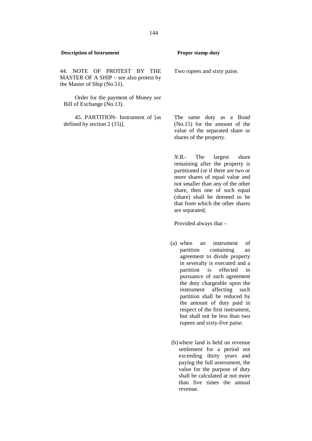Two rupees and sixty paise.

44. NOTE OF PROTEST BY THE MASTER OF A SHIP – *see* also protest by the Master of Ship (No.51).

Order for the payment of Money *see* Bill of Exchange (No.13).

45. PARTITION- Instrument of [as defined by section 2 (15)].

The same duty as a Bond (No.15) for the amount of the value of the separated share or shares of the property.

*N.B.*- The largest share remaining after the property is partitioned (or if there are two or more shares of equal value and not smaller than any of the other share, then one of such equal (share) shall be deemed to be that from which the other shares are separated;

Provided always that –

- (a) when an instrument of partition containing an agreement to divide property in severalty is executed and a partition is effected in pursuance of such agreement the duty chargeable upon the instrument affecting such partition shall be reduced by the amount of duty paid in respect of the first instrument, but shall not be less than two rupees and sixty-five paise.
- (b)where land is held on revenue settlement for a period not exceeding thirty years and paying the full assessment, the value for the purpose of duty shall be calculated at not more than five times the annual revenue.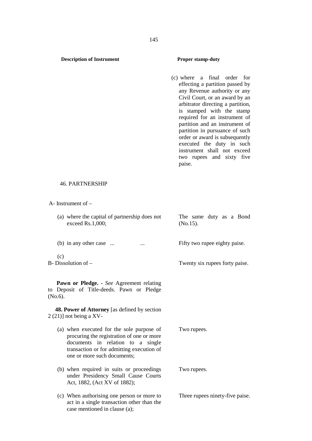(c) where a final order for effecting a partition passed by any Revenue authority or any Civil Court, or an award by an arbitrator directing a partition, is stamped with the stamp required for an instrument of partition and an instrument of partition in pursuance of such order or award is subsequently executed the duty in such instrument shall not exceed two rupees and sixty five paise.

### 46. PARTNERSHIP

A- Instrument of –

- (a) where the capital of partnership does not exceed Rs.1,000; The same duty as a Bond (No.15).
- (b) in any other case ...  $\qquad \qquad \ldots \qquad \qquad$  Fifty two rupee eighty paise.

 $(c)$ 

**Pawn or Pledge. -** *See* Agreement relating to Deposit of Title-deeds. Pawn or Pledge (No.6).

**48. Power of Attorney** [as defined by section  $2(21)$ ] not being a XV-

- (a) when executed for the sole purpose of procuring the registration of one or more documents in relation to a single transaction or for admitting execution of one or more such documents;
- (b) when required in suits or proceedings under Presidency Small Cause Courts Act, 1882, (Act XV of 1882);
- (c) When authorising one person or more to act in a single transaction other than the case mentioned in clause (a);

B- Dissolution of – Twenty six rupees forty paise.

Two rupees.

Two rupees.

Three rupees ninety-five paise.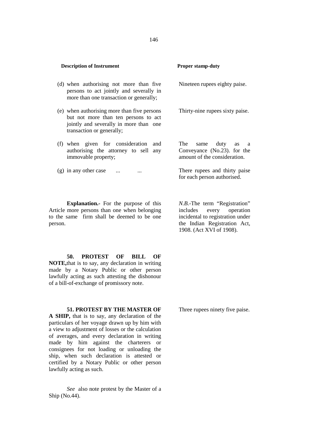| (d) when authorising not more than five<br>persons to act jointly and severally in<br>more than one transaction or generally;                              | Nineteen rupees eighty paise.                                                           |
|------------------------------------------------------------------------------------------------------------------------------------------------------------|-----------------------------------------------------------------------------------------|
| (e) when authorising more than five persons<br>but not more than ten persons to act<br>jointly and severally in more than one<br>transaction or generally; | Thirty-nine rupees sixty paise.                                                         |
| (f) when given for consideration<br>and<br>authorising the attorney to sell any<br>immovable property;                                                     | The same<br>duty<br>as a<br>Conveyance (No.23). for the<br>amount of the consideration. |
| $(g)$ in any other case<br>$\cdots$                                                                                                                        | There rupees and thirty paise<br>for each person authorised.                            |

**Explanation.-** For the purpose of this Article more persons than one when belonging includes to the same firm shall be deemed to be one person.

*N.B*.-The term "Registration" every operation incidental to registration under the Indian Registration Act, 1908. (Act XVI of 1908).

**50. PROTEST OF BILL OF NOTE,**that is to say, any declaration in writing made by a Notary Public or other person lawfully acting as such attesting the dishonour of a bill-of-exchange of promissory note.

**51. PROTEST BY THE MASTER OF A SHIP,** that is to say, any declaration of the particulars of her voyage drawn up by him with a view to adjustment of losses or the calculation of averages, and every declaration in writing made by him against the charterers or consignees for not loading or unloading the ship, when such declaration is attested or certified by a Notary Public or other person lawfully acting as such.

*See* also note protest by the Master of a Ship (No.44).

Three rupees ninety five paise.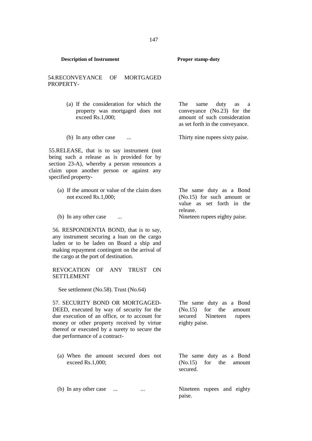| <b>Description of Instrument</b>                                                                                                                                                                                                                               | Proper stamp-duty                                                                                                               |
|----------------------------------------------------------------------------------------------------------------------------------------------------------------------------------------------------------------------------------------------------------------|---------------------------------------------------------------------------------------------------------------------------------|
| 54.RECONVEYANCE<br>OF<br><b>MORTGAGED</b><br>PROPERTY-                                                                                                                                                                                                         |                                                                                                                                 |
| (a) If the consideration for which the<br>property was mortgaged does not<br>exceed Rs.1,000;                                                                                                                                                                  | The<br>duty<br>same<br>as<br>a<br>conveyance (No.23) for the<br>amount of such consideration<br>as set forth in the conveyance. |
| (b) In any other case                                                                                                                                                                                                                                          | Thirty nine rupees sixty paise.                                                                                                 |
| 55. RELEASE, that is to say instrument (not<br>being such a release as is provided for by<br>section 23-A), whereby a person renounces a<br>claim upon another person or against any<br>specified property-                                                    |                                                                                                                                 |
| (a) If the amount or value of the claim does<br>not exceed Rs.1,000;                                                                                                                                                                                           | The same duty as a Bond<br>$(No.15)$ for such amount or<br>value as set forth in the<br>release.                                |
| (b) In any other case                                                                                                                                                                                                                                          | Nineteen rupees eighty paise.                                                                                                   |
| 56. RESPONDENTIA BOND, that is to say,<br>any instrument securing a loan on the cargo<br>laden or to be laden on Board a ship and<br>making repayment contingent on the arrival of<br>the cargo at the port of destination.                                    |                                                                                                                                 |
| ANY<br><b>TRUST</b><br><b>REVOCATION</b><br>OF<br>ON<br><b>SETTLEMENT</b>                                                                                                                                                                                      |                                                                                                                                 |
| See settlement (No.58). Trust (No.64)                                                                                                                                                                                                                          |                                                                                                                                 |
| 57. SECURITY BOND OR MORTGAGED-<br>DEED, executed by way of security for the<br>due execution of an office, or to account for<br>money or other property received by virtue<br>thereof or executed by a surety to secure the<br>due performance of a contract- | The same duty as a Bond<br>(No.15)<br>for the<br>amount<br>secured<br>Nineteen<br>rupees<br>eighty paise.                       |
| (a) When the amount secured does not<br>exceed Rs.1,000;                                                                                                                                                                                                       | The same duty as a Bond<br>(No.15)<br>for<br>the<br>amount<br>secured.                                                          |

(b) In any other case ... ... ... ... Nineteen rupees and eighty

paise.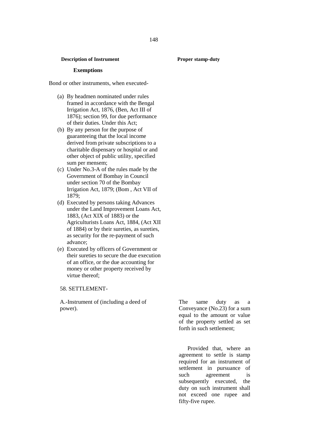## **Exemptions**

Bond or other instruments, when executed-

- (a) By headmen nominated under rules framed in accordance with the Bengal Irrigation Act, 1876, (Ben, Act III of 1876); section 99, for due performance of their duties. Under this Act;
- (b) By any person for the purpose of guaranteeing that the local income derived from private subscriptions to a charitable dispensary or hospital or and other object of public utility, specified sum per mensem;
- (c) Under No.3-A of the rules made by the Government of Bombay in Council under section 70 of the Bombay Irrigation Act, 1879; (Bom , Act VII of 1879;
- (d) Executed by persons taking Advances under the Land Improvement Loans Act, 1883, (Act XIX of 1883) or the Agriculturists Loans Act, 1884, (Act XII of 1884) or by their sureties, as sureties, as security for the re-payment of such advance;
- (e) Executed by officers of Government or their sureties to secure the due execution of an office, or the due accounting for money or other property received by virtue thereof;

### 58. SETTLEMENT-

A.-Instrument of (including a deed of power).

The same duty as a Conveyance (No.23) for a sum equal to the amount or value of the property settled as set forth in such settlement;

Provided that, where an agreement to settle is stamp required for an instrument of settlement in pursuance of such agreement is subsequently executed, the duty on such instrument shall not exceed one rupee and fifty-five rupee.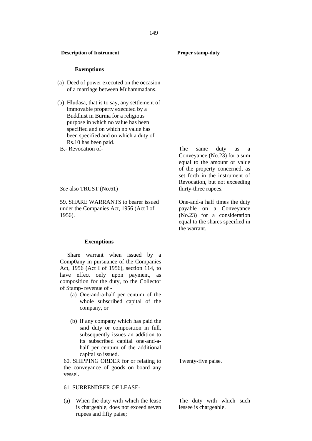## **Exemptions**

- (a) Deed of power executed on the occasion of a marriage between Muhammadans.
- (b) Hludasa, that is to say, any settlement of immovable property executed by a Buddhist in Burma for a religious purpose in which no value has been specified and on which no value has been specified and on which a duty of Rs.10 has been paid.
- B.- Revocation of-

*See* also TRUST (No.61)

59. SHARE WARRANTS to bearer issued under the Companies Act, 1956 (Act I of 1956).

### **Exemptions**

Share warrant when issued by a Comp0any in pursuance of the Companies Act, 1956 (Act I of 1956), section 114, to have effect only upon payment, as composition for the duty, to the Collector of Stamp- revenue of -

- (a) One-and-a-half per centum of the whole subscribed capital of the company, or
- (b) If any company which has paid the said duty or composition in full, subsequently issues an addition to its subscribed capital one-and-a half per centum of the additional capital so issued.

60. SHIPPING ORDER for or relating to the conveyance of goods on board any vessel.

# 61. SURRENDEER OF LEASE-

(a) When the duty with which the lease is chargeable, does not exceed seven rupees and fifty paise;

The same duty as a Conveyance (No.23) for a sum equal to the amount or value of the property concerned, as set forth in the instrument of Revocation, but not exceeding thirty-three rupees.

One-and-a half times the duty payable on a Conveyance (No.23) for a consideration equal to the shares specified in the warrant.

Twenty-five paise.

The duty with which such lessee is chargeable.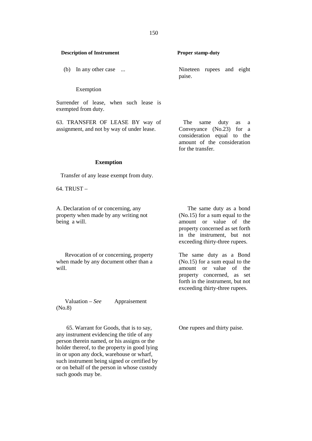# Exemption

Surrender of lease, when such lease is exempted from duty.

63. TRANSFER OF LEASE BY way of assignment, and not by way of under lease.

The same duty as a Conveyance (No.23) for a consideration equal to the amount of the consideration for the transfer.

## **Exemption**

Transfer of any lease exempt from duty.

 $64$  TRUST  $-$ 

A. Declaration of or concerning, any property when made by any writing not being a will.

Revocation of or concerning, property when made by any document other than a will.

Valuation – *See* Appraisement (No.8)

65. Warrant for Goods, that is to say, any instrument evidencing the title of any person therein named, or his assigns or the holder thereof, to the property in good lying in or upon any dock, warehouse or wharf, such instrument being signed or certified by or on behalf of the person in whose custody such goods may be.

The same duty as a bond (No.15) for a sum equal to the amount or value of the property concerned as set forth in the instrument, but not exceeding thirty-three rupees.

The same duty as a Bond (No.15) for a sum equal to the amount or value of the property concerned, as set forth in the instrument, but not exceeding thirty-three rupees.

One rupees and thirty paise.

(b) In any other case ... Nineteen rupees and eight paise.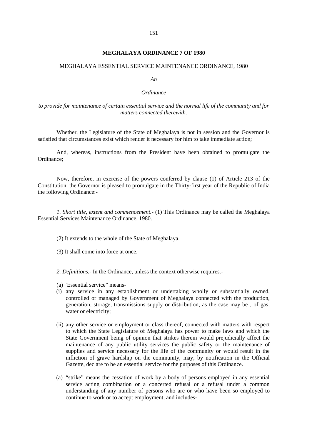## **MEGHALAYA ORDINANCE 7 OF 1980**

# MEGHALAYA ESSENTIAL SERVICE MAINTENANCE ORDINANCE, 1980

*An*

## *Ordinance*

# *to provide for maintenance of certain essential service and the normal life of the community and for matters connected therewith.*

Whether, the Legislature of the State of Meghalaya is not in session and the Governor is satisfied that circumstances exist which render it necessary for him to take immediate action;

And, whereas, instructions from the President have been obtained to promulgate the Ordinance;

Now, therefore, in exercise of the powers conferred by clause (1) of Article 213 of the Constitution, the Governor is pleased to promulgate in the Thirty-first year of the Republic of India the following Ordinance:-

*1. Short title, extent and commencement.-* (1) This Ordinance may be called the Meghalaya Essential Services Maintenance Ordinance, 1980.

- (2) It extends to the whole of the State of Meghalaya.
- (3) It shall come into force at once.

*2. Definitions.-* In the Ordinance, unless the context otherwise requires.-

- (a) "Essential service" means-
- (i) any service in any establishment or undertaking wholly or substantially owned, controlled or managed by Government of Meghalaya connected with the production, generation, storage, transmissions supply or distribution, as the case may be , of gas, water or electricity;
- (ii) any other service or employment or class thereof, connected with matters with respect to which the State Legislature of Meghalaya has power to make laws and which the State Government being of opinion that strikes therein would prejudicially affect the maintenance of any public utility services the public safety or the maintenance of supplies and service necessary for the life of the community or would result in the infliction of grave hardship on the community, may, by notification in the Official Gazette, declare to be an essential service for the purposes of this Ordinance.
- (a) "strike" means the cessation of work by a body of persons employed in any essential service acting combination or a concerted refusal or a refusal under a common understanding of any number of persons who are or who have been so employed to continue to work or to accept employment, and includes-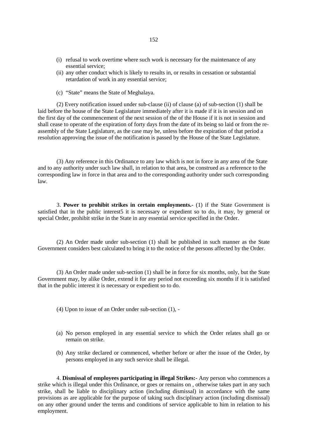- (i) refusal to work overtime where such work is necessary for the maintenance of any essential service;
- (ii) any other conduct which is likely to results in, or results in cessation or substantial retardation of work in any essential service;
- (c) "State" means the State of Meghalaya.

(2) Every notification issued under sub-clause (ii) of clause (a) of sub-section (1) shall be laid before the house of the State Legislature immediately after it is made if it is in session and on the first day of the commencement of the next session of the of the House if it is not in session and shall cease to operate of the expiration of forty days from the date of its being so laid or from the re assembly of the State Legislature, as the case may be, unless before the expiration of that period a resolution approving the issue of the notification is passed by the House of the State Legislature.

(3) Any reference in this Ordinance to any law which is not in force in any area of the State and to any authority under such law shall, in relation to that area, be construed as a reference to the corresponding law in force in that area and to the corresponding authority under such corresponding law.

3. **Power to prohibit strikes in certain employments.-** (1) if the State Government is satisfied that in the public interest5 it is necessary or expedient so to do, it may, by general or special Order, prohibit strike in the State in any essential service specified in the Order.

(2) An Order made under sub-section (1) shall be published in such manner as the State Government considers best calculated to bring it to the notice of the persons affected by the Order.

(3) An Order made under sub-section (1) shall be in force for six months, only, but the State Government may, by alike Order, extend it for any period not exceeding six months if it is satisfied that in the public interest it is necessary or expedient so to do.

- (4) Upon to issue of an Order under sub-section (1), -
- (a) No person employed in any essential service to which the Order relates shall go or remain on strike.
- (b) Any strike declared or commenced, whether before or after the issue of the Order, by persons employed in any such service shall be illegal.

4. **Dismissal of employees participating in illegal Strikes:-** Any person who commences a strike which is illegal under this Ordinance, or goes or remains on , otherwise takes part in any such strike, shall be liable to disciplinary action (including dismissal) in accordance with the same provisions as are applicable for the purpose of taking such disciplinary action (including dismissal) on any other ground under the terms and conditions of service applicable to him in relation to his employment.